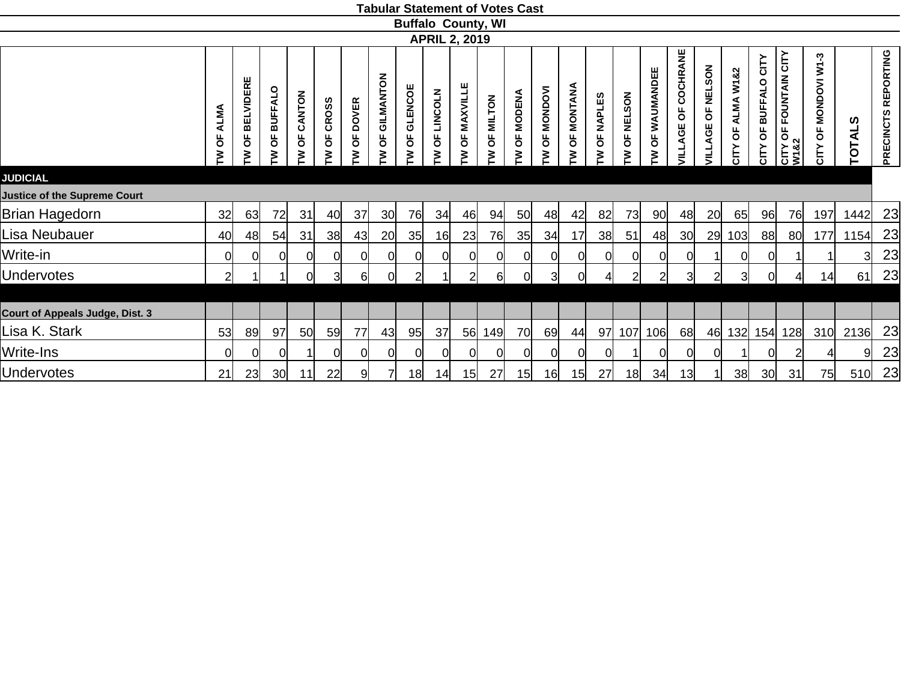| <b>ALMA</b><br>pp<br>ξ | OF BELVIDERE<br>≽ | <b>BUFFALO</b><br>۴,<br>₹ | CANTON<br>ਠ<br>≶ | <b>CROSS</b><br>Ъ<br>ξ | <b>DOVER</b><br>$\overline{\sigma}$<br>₹ | GILMANTON<br>p<br>₹ | GLENCOE<br>ხ<br>₹                                                      | <b>LINCOLN</b><br>Ъ<br>⋧ | OF MAXVILLE<br>₹ | <b>MILTON</b><br>ხ<br>≽ | <b>MODENA</b><br>p<br>₹                      | OF MONDOVI<br>₹           | MONTANA<br>$\overline{\sigma}$<br>ξ | <b>NAPLES</b><br>Ъ<br>₹ | <b>NELSON</b><br>p<br>≽ | OF WAUMANDEE<br>₹ | COCHRANE<br>ხ<br><b>ILLAGE</b> | <b>NELSON</b><br>p<br><b>JILLAGE</b> | ALMA W1&2<br>pF<br>CITY | CITY<br><b>BUFFALO</b><br>Ъ<br>CITY         | CITY OF FOUNTAIN CITY<br>W1&2 | MONDOVI W1-3<br>Ъ<br>čΙΣ                                                    | <b>ALS</b><br>ō         | PRECINCTS REPORTING |
|------------------------|-------------------|---------------------------|------------------|------------------------|------------------------------------------|---------------------|------------------------------------------------------------------------|--------------------------|------------------|-------------------------|----------------------------------------------|---------------------------|-------------------------------------|-------------------------|-------------------------|-------------------|--------------------------------|--------------------------------------|-------------------------|---------------------------------------------|-------------------------------|-----------------------------------------------------------------------------|-------------------------|---------------------|
|                        |                   |                           |                  |                        |                                          |                     |                                                                        |                          |                  |                         |                                              |                           |                                     |                         |                         |                   |                                |                                      |                         |                                             |                               |                                                                             |                         |                     |
|                        |                   |                           |                  |                        |                                          |                     |                                                                        |                          |                  |                         |                                              |                           |                                     |                         |                         |                   |                                |                                      |                         |                                             |                               |                                                                             |                         |                     |
| 32                     | 63                | 72                        | 31               | 40                     |                                          | 30 <sub>l</sub>     | 76                                                                     | 34                       |                  | 94                      | 50                                           | 48                        | 42                                  | 82                      | 73                      | 90 <sub>l</sub>   |                                |                                      | 65                      |                                             |                               | 197                                                                         | 1442                    | 23                  |
| 40                     | 48                |                           | 31               | 38 <sup>1</sup>        |                                          | 20                  | 35                                                                     | 16                       |                  | 76                      | 35                                           | 34                        | 17                                  |                         | 51                      | 48                | 30 <sub>l</sub>                |                                      |                         |                                             | 80                            | 177                                                                         | 1154                    | 23                  |
| 0                      | Οl                | $\Omega$                  | O                | 0l                     |                                          | $\Omega$            | $\Omega$                                                               |                          | ΩI               | Ωl                      | 0                                            | Οl                        | $\overline{0}$                      |                         | 0l                      | 0l                | $\Omega$                       |                                      | 0l                      |                                             |                               |                                                                             | $\overline{\mathbf{3}}$ | 23                  |
| $\overline{2}$         |                   |                           | Οl               | 3                      |                                          | 0l                  | $\overline{2}$                                                         |                          | $\overline{2}$   | $6 \mid$                | 0                                            |                           | $\overline{0}$                      | $\overline{4}$          | $\overline{2}$          | 2                 | 3                              |                                      |                         |                                             | 41                            |                                                                             | 61                      | 23                  |
|                        |                   |                           |                  |                        |                                          |                     |                                                                        |                          |                  |                         |                                              |                           |                                     |                         |                         |                   |                                |                                      |                         |                                             |                               |                                                                             |                         |                     |
|                        |                   |                           |                  |                        |                                          |                     |                                                                        |                          |                  |                         |                                              |                           |                                     |                         |                         |                   |                                |                                      |                         |                                             |                               |                                                                             |                         |                     |
| 53                     | 89                | 97                        | 50               | 59                     | 77                                       | 43                  | 95                                                                     | 37                       |                  | 149                     | 70                                           | 69                        | 44                                  |                         |                         |                   | 68                             |                                      |                         |                                             |                               | 310                                                                         | 2136                    | 23                  |
| $\Omega$               |                   | $\Omega$                  |                  | 0l                     |                                          |                     | $\Omega$                                                               |                          | 0                |                         | C                                            | Οl                        | $\overline{0}$                      |                         |                         | 0l                | $\Omega$                       |                                      |                         |                                             |                               |                                                                             | 9                       | 23                  |
| 21                     |                   | 30 <sub>l</sub>           | 11               | 22                     |                                          |                     | 18                                                                     | 14                       |                  | 27                      |                                              |                           | 15                                  | 27                      |                         | 34                | 13                             |                                      |                         |                                             | 31                            |                                                                             | 510                     | 23                  |
|                        |                   |                           | 23               | 54                     |                                          |                     | 37<br>43<br><sub>0</sub><br>$6 \mid$<br><sub>0</sub><br>9 <sup>1</sup> |                          |                  |                         | <b>APRIL 2, 2019</b><br>46<br>23<br>56<br>15 | <b>Buffalo County, WI</b> | 15                                  | 3 <sup>l</sup><br>16    | 38                      | 107<br>97         | 18                             | 106                                  | 48<br>01                | 20<br>29<br>$\overline{2}$<br>3<br>46<br>38 | 103<br>132                    | 96<br>76<br>88<br>0l<br><sub>0</sub><br>154<br>128<br>Οl<br>30 <sub>l</sub> | 14                      | 75                  |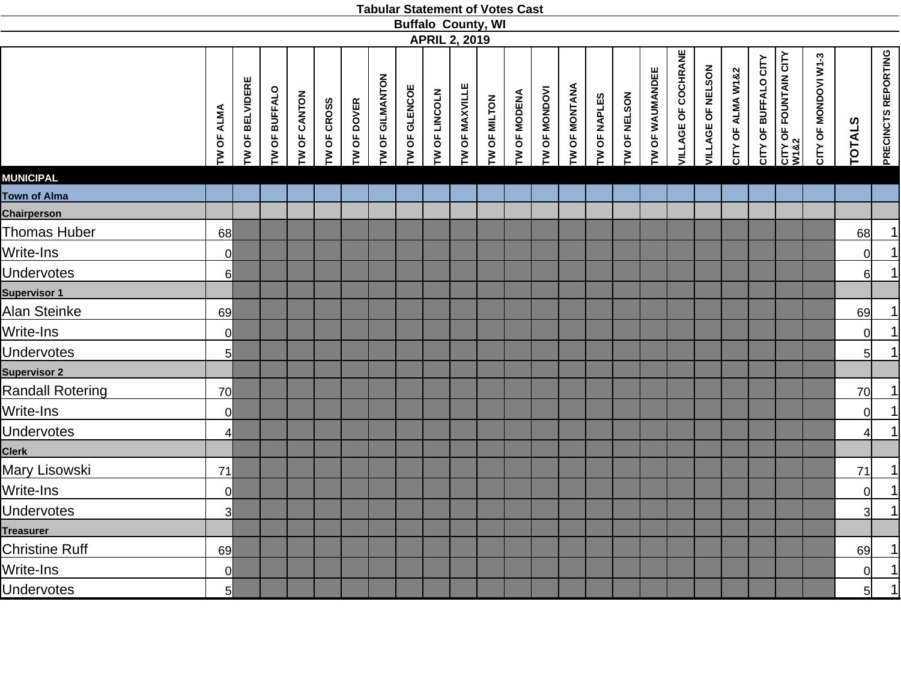|                         |                   |                   |                      |              |             |             |                 | <b>Buffalo County, WI</b> | <b>APRIL 2, 2019</b> |                |              |              |               |               |              |              |                 |                     |                   |                   |                      |                                       |                      |                |                     |
|-------------------------|-------------------|-------------------|----------------------|--------------|-------------|-------------|-----------------|---------------------------|----------------------|----------------|--------------|--------------|---------------|---------------|--------------|--------------|-----------------|---------------------|-------------------|-------------------|----------------------|---------------------------------------|----------------------|----------------|---------------------|
|                         | <b>TW OF ALMA</b> | OF BELVIDERE<br>ξ | <b>TW OF BUFFALO</b> | TW OF CANTON | TW OF CROSS | TW OF DOVER | TW OF GILMANTON | TW OF GLENCOE             | TW OF LINCOLN        | TW OF MAXVILLE | TW OF MILTON | TW OF MODENA | TW OF MONDOVI | TW OF MONTANA | TW OF NAPLES | TW OF NELSON | TW OF WAUMANDEE | VILLAGE OF COCHRANE | VILLAGE OF NELSON | CITY OF ALMA W1&2 | CITY OF BUFFALO CITY | CITY OF FOUNTAIN CITY<br>W1&2<br>M1&2 | CITY OF MONDOVI W1-3 | <b>TOTALS</b>  | PRECINCTS REPORTING |
| <b>MUNICIPAL</b>        |                   |                   |                      |              |             |             |                 |                           |                      |                |              |              |               |               |              |              |                 |                     |                   |                   |                      |                                       |                      |                |                     |
| Town of Alma            |                   |                   |                      |              |             |             |                 |                           |                      |                |              |              |               |               |              |              |                 |                     |                   |                   |                      |                                       |                      |                |                     |
| Chairperson             |                   |                   |                      |              |             |             |                 |                           |                      |                |              |              |               |               |              |              |                 |                     |                   |                   |                      |                                       |                      |                |                     |
| Thomas Huber            | 68                |                   |                      |              |             |             |                 |                           |                      |                |              |              |               |               |              |              |                 |                     |                   |                   |                      |                                       |                      | 68             | $\overline{1}$      |
| Write-Ins               | $\overline{0}$    |                   |                      |              |             |             |                 |                           |                      |                |              |              |               |               |              |              |                 |                     |                   |                   |                      |                                       |                      | 0              | $\overline{1}$      |
| <b>Undervotes</b>       | 6                 |                   |                      |              |             |             |                 |                           |                      |                |              |              |               |               |              |              |                 |                     |                   |                   |                      |                                       |                      | $6 \mid$       | $\vert$             |
| <b>Supervisor 1</b>     |                   |                   |                      |              |             |             |                 |                           |                      |                |              |              |               |               |              |              |                 |                     |                   |                   |                      |                                       |                      |                |                     |
| Alan Steinke            | 69                |                   |                      |              |             |             |                 |                           |                      |                |              |              |               |               |              |              |                 |                     |                   |                   |                      |                                       |                      | 69             | $\vert$             |
| Write-Ins               | $\overline{0}$    |                   |                      |              |             |             |                 |                           |                      |                |              |              |               |               |              |              |                 |                     |                   |                   |                      |                                       |                      | $\overline{0}$ | $\overline{1}$      |
| <b>Undervotes</b>       | $5\overline{)}$   |                   |                      |              |             |             |                 |                           |                      |                |              |              |               |               |              |              |                 |                     |                   |                   |                      |                                       |                      | 5 <sup>1</sup> | $\overline{1}$      |
| <b>Supervisor 2</b>     |                   |                   |                      |              |             |             |                 |                           |                      |                |              |              |               |               |              |              |                 |                     |                   |                   |                      |                                       |                      |                |                     |
| <b>Randall Rotering</b> | 70                |                   |                      |              |             |             |                 |                           |                      |                |              |              |               |               |              |              |                 |                     |                   |                   |                      |                                       |                      | 70             | $\overline{1}$      |
| Write-Ins               | $\overline{0}$    |                   |                      |              |             |             |                 |                           |                      |                |              |              |               |               |              |              |                 |                     |                   |                   |                      |                                       |                      | 0              | $\overline{1}$      |
| <b>Undervotes</b>       | $\overline{4}$    |                   |                      |              |             |             |                 |                           |                      |                |              |              |               |               |              |              |                 |                     |                   |                   |                      |                                       |                      | 4              | $\vert$             |
| <b>Clerk</b>            |                   |                   |                      |              |             |             |                 |                           |                      |                |              |              |               |               |              |              |                 |                     |                   |                   |                      |                                       |                      |                |                     |
| Mary Lisowski           | 71                |                   |                      |              |             |             |                 |                           |                      |                |              |              |               |               |              |              |                 |                     |                   |                   |                      |                                       |                      | 71             | $\overline{1}$      |
| Write-Ins               | $\overline{0}$    |                   |                      |              |             |             |                 |                           |                      |                |              |              |               |               |              |              |                 |                     |                   |                   |                      |                                       |                      | $\overline{0}$ | $\vert$             |
| Undervotes              | $\overline{3}$    |                   |                      |              |             |             |                 |                           |                      |                |              |              |               |               |              |              |                 |                     |                   |                   |                      |                                       |                      | $\overline{3}$ | $\overline{1}$      |
| <b>Treasurer</b>        |                   |                   |                      |              |             |             |                 |                           |                      |                |              |              |               |               |              |              |                 |                     |                   |                   |                      |                                       |                      |                |                     |
| Christine Ruff          | 69                |                   |                      |              |             |             |                 |                           |                      |                |              |              |               |               |              |              |                 |                     |                   |                   |                      |                                       |                      | 69             | $\overline{1}$      |
| Write-Ins               | $\overline{0}$    |                   |                      |              |             |             |                 |                           |                      |                |              |              |               |               |              |              |                 |                     |                   |                   |                      |                                       |                      | $\overline{0}$ | $\overline{1}$      |
| <b>Undervotes</b>       | 5                 |                   |                      |              |             |             |                 |                           |                      |                |              |              |               |               |              |              |                 |                     |                   |                   |                      |                                       |                      | 5 <sup>1</sup> | $\overline{1}$      |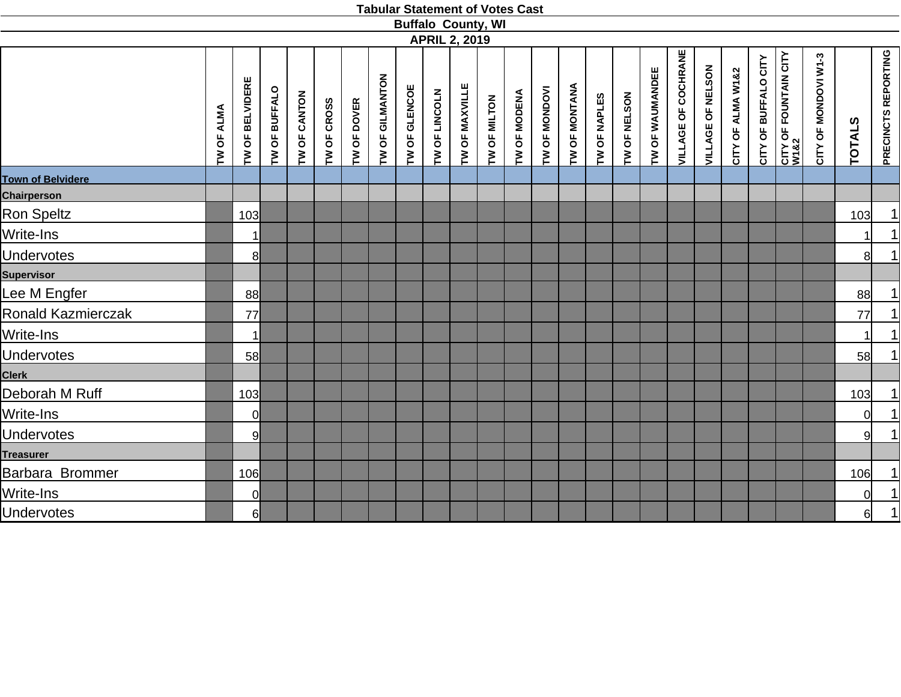|                          |                   |                 |               |              |             |             |                 | <b>Buffalo County, WI</b> |               |                      |              |              |               |               |              |              |                 |                            |                   |                   |                      |                               |                      |               |                            |
|--------------------------|-------------------|-----------------|---------------|--------------|-------------|-------------|-----------------|---------------------------|---------------|----------------------|--------------|--------------|---------------|---------------|--------------|--------------|-----------------|----------------------------|-------------------|-------------------|----------------------|-------------------------------|----------------------|---------------|----------------------------|
|                          |                   |                 |               |              |             |             |                 |                           |               | <b>APRIL 2, 2019</b> |              |              |               |               |              |              |                 |                            |                   |                   |                      |                               |                      |               |                            |
|                          | <b>TW OF ALMA</b> | TW OF BELVIDERE | TW OF BUFFALO | TW OF CANTON | TW OF CROSS | TW OF DOVER | TW OF GILMANTON | TW OF GLENCOE             | TW OF LINCOLN | TW OF MAXVILLE       | TW OF MILTON | TW OF MODENA | TW OF MONDOVI | TW OF MONTANA | TW OF NAPLES | TW OF NELSON | TW OF WAUMANDEE | <b>VILLAGE OF COCHRANE</b> | VILLAGE OF NELSON | CITY OF ALMA W1&2 | CITY OF BUFFALO CITY | CITY OF FOUNTAIN CITY<br>W1&2 | CITY OF MONDOVI W1-3 | <b>TOTALS</b> | <b>PRECINCTS REPORTING</b> |
| <b>Town of Belvidere</b> |                   |                 |               |              |             |             |                 |                           |               |                      |              |              |               |               |              |              |                 |                            |                   |                   |                      |                               |                      |               |                            |
| <b>Chairperson</b>       |                   |                 |               |              |             |             |                 |                           |               |                      |              |              |               |               |              |              |                 |                            |                   |                   |                      |                               |                      |               |                            |
| Ron Speltz               |                   | 103             |               |              |             |             |                 |                           |               |                      |              |              |               |               |              |              |                 |                            |                   |                   |                      |                               |                      | 103           | 1                          |
| Write-Ins                |                   | 1               |               |              |             |             |                 |                           |               |                      |              |              |               |               |              |              |                 |                            |                   |                   |                      |                               |                      |               | $\frac{1}{1}$              |
| <b>Undervotes</b>        |                   | 8 <sup>1</sup>  |               |              |             |             |                 |                           |               |                      |              |              |               |               |              |              |                 |                            |                   |                   |                      |                               |                      | 81            |                            |
| <b>Supervisor</b>        |                   |                 |               |              |             |             |                 |                           |               |                      |              |              |               |               |              |              |                 |                            |                   |                   |                      |                               |                      |               |                            |
| Lee M Engfer             |                   | 88              |               |              |             |             |                 |                           |               |                      |              |              |               |               |              |              |                 |                            |                   |                   |                      |                               |                      | 88            | 1                          |
| Ronald Kazmierczak       |                   | 77              |               |              |             |             |                 |                           |               |                      |              |              |               |               |              |              |                 |                            |                   |                   |                      |                               |                      | 77            | $\frac{1}{1}$              |
| Write-Ins                |                   | 1               |               |              |             |             |                 |                           |               |                      |              |              |               |               |              |              |                 |                            |                   |                   |                      |                               |                      |               |                            |
| <b>Undervotes</b>        |                   | 58              |               |              |             |             |                 |                           |               |                      |              |              |               |               |              |              |                 |                            |                   |                   |                      |                               |                      | 58            | $\overline{1}$             |
| <b>Clerk</b>             |                   |                 |               |              |             |             |                 |                           |               |                      |              |              |               |               |              |              |                 |                            |                   |                   |                      |                               |                      |               |                            |
| Deborah M Ruff           |                   | 103             |               |              |             |             |                 |                           |               |                      |              |              |               |               |              |              |                 |                            |                   |                   |                      |                               |                      | 103           | <u>1 </u>                  |
| Write-Ins                |                   | <sup>o</sup>    |               |              |             |             |                 |                           |               |                      |              |              |               |               |              |              |                 |                            |                   |                   |                      |                               |                      | ΩI            | $\frac{1}{1}$              |
| <b>Undervotes</b>        |                   | 9               |               |              |             |             |                 |                           |               |                      |              |              |               |               |              |              |                 |                            |                   |                   |                      |                               |                      | 9l            |                            |
| <b>Treasurer</b>         |                   |                 |               |              |             |             |                 |                           |               |                      |              |              |               |               |              |              |                 |                            |                   |                   |                      |                               |                      |               |                            |
| Barbara Brommer          |                   | 106             |               |              |             |             |                 |                           |               |                      |              |              |               |               |              |              |                 |                            |                   |                   |                      |                               |                      | 106           | 1                          |
| Write-Ins                |                   | 0               |               |              |             |             |                 |                           |               |                      |              |              |               |               |              |              |                 |                            |                   |                   |                      |                               |                      | 0l            | $\frac{1}{1}$              |
| <b>Undervotes</b>        |                   | 6               |               |              |             |             |                 |                           |               |                      |              |              |               |               |              |              |                 |                            |                   |                   |                      |                               |                      | 6             |                            |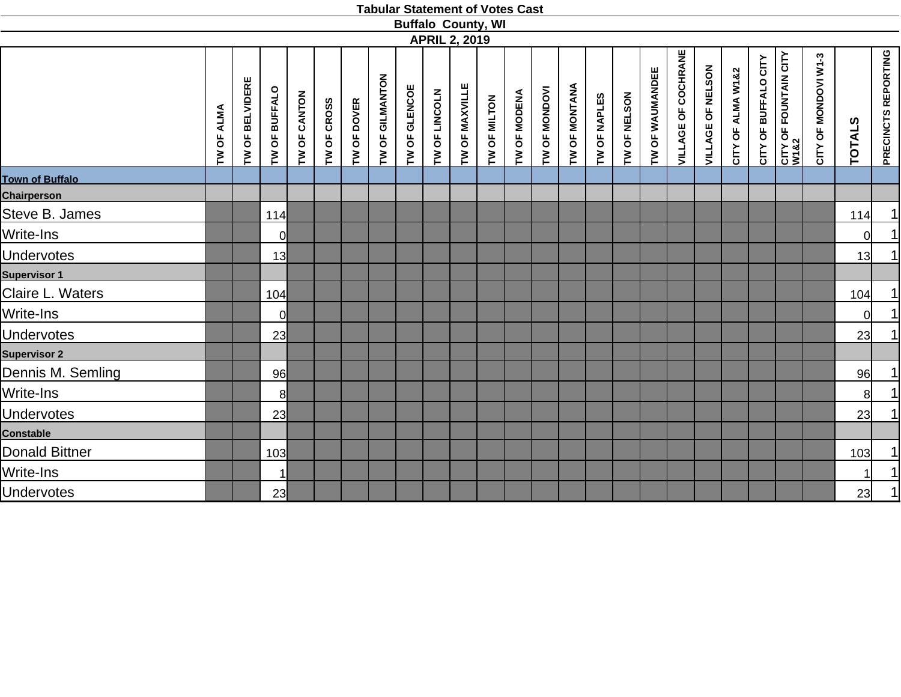|                        |                   |                        |                      |              |             |                    |                 | <b>Buffalo County, WI</b> |               |                      |              |              |               |                      |              |              |                 |                            |                   |                   |                      |                                       |                      |               |                                          |
|------------------------|-------------------|------------------------|----------------------|--------------|-------------|--------------------|-----------------|---------------------------|---------------|----------------------|--------------|--------------|---------------|----------------------|--------------|--------------|-----------------|----------------------------|-------------------|-------------------|----------------------|---------------------------------------|----------------------|---------------|------------------------------------------|
|                        |                   |                        |                      |              |             |                    |                 |                           |               | <b>APRIL 2, 2019</b> |              |              |               |                      |              |              |                 |                            |                   |                   |                      |                                       |                      |               |                                          |
|                        | <b>TW OF ALMA</b> | <b>TW OF BELVIDERE</b> | <b>TW OF BUFFALO</b> | TW OF CANTON | TW OF CROSS | <b>TW OF DOVER</b> | TW OF GILMANTON | TW OF GLENCOE             | TW OF LINCOLN | TW OF MAXVILLE       | TW OF MILTON | TW OF MODENA | TW OF MONDOVI | <b>TW OF MONTANA</b> | TW OF NAPLES | TW OF NELSON | TW OF WAUMANDEE | <b>VILLAGE OF COCHRANE</b> | VILLAGE OF NELSON | CITY OF ALMA W1&2 | CITY OF BUFFALO CITY | <b>CITY OF FOUNTAIN CITY<br/>W182</b> | CITY OF MONDOVI W1-3 | <b>TOTALS</b> | PRECINCTS REPORTING                      |
| <b>Town of Buffalo</b> |                   |                        |                      |              |             |                    |                 |                           |               |                      |              |              |               |                      |              |              |                 |                            |                   |                   |                      |                                       |                      |               |                                          |
| <b>Chairperson</b>     |                   |                        |                      |              |             |                    |                 |                           |               |                      |              |              |               |                      |              |              |                 |                            |                   |                   |                      |                                       |                      |               |                                          |
| Steve B. James         |                   |                        | 114                  |              |             |                    |                 |                           |               |                      |              |              |               |                      |              |              |                 |                            |                   |                   |                      |                                       |                      | 114           | <u>1 </u>                                |
| Write-Ins              |                   |                        | 0l                   |              |             |                    |                 |                           |               |                      |              |              |               |                      |              |              |                 |                            |                   |                   |                      |                                       |                      | $\Omega$      | $\begin{array}{c} \boxed{1} \end{array}$ |
| <b>Undervotes</b>      |                   |                        | 13                   |              |             |                    |                 |                           |               |                      |              |              |               |                      |              |              |                 |                            |                   |                   |                      |                                       |                      | 13            | 1                                        |
| <b>Supervisor 1</b>    |                   |                        |                      |              |             |                    |                 |                           |               |                      |              |              |               |                      |              |              |                 |                            |                   |                   |                      |                                       |                      |               |                                          |
| Claire L. Waters       |                   |                        | 104                  |              |             |                    |                 |                           |               |                      |              |              |               |                      |              |              |                 |                            |                   |                   |                      |                                       |                      | 104           | 1                                        |
| Write-Ins              |                   |                        | <sub>0</sub>         |              |             |                    |                 |                           |               |                      |              |              |               |                      |              |              |                 |                            |                   |                   |                      |                                       |                      | $\Omega$      | $\overline{1}$                           |
| <b>Undervotes</b>      |                   |                        | 23                   |              |             |                    |                 |                           |               |                      |              |              |               |                      |              |              |                 |                            |                   |                   |                      |                                       |                      | 23            | $\overline{1}$                           |
| <b>Supervisor 2</b>    |                   |                        |                      |              |             |                    |                 |                           |               |                      |              |              |               |                      |              |              |                 |                            |                   |                   |                      |                                       |                      |               |                                          |
| Dennis M. Semling      |                   |                        | 96                   |              |             |                    |                 |                           |               |                      |              |              |               |                      |              |              |                 |                            |                   |                   |                      |                                       |                      | 96            | $\overline{1}$                           |
| Write-Ins              |                   |                        | 8 <sup>1</sup>       |              |             |                    |                 |                           |               |                      |              |              |               |                      |              |              |                 |                            |                   |                   |                      |                                       |                      | 8             | 1                                        |
| <b>Undervotes</b>      |                   |                        | 23                   |              |             |                    |                 |                           |               |                      |              |              |               |                      |              |              |                 |                            |                   |                   |                      |                                       |                      | 23            | $\overline{1}$                           |
| <b>Constable</b>       |                   |                        |                      |              |             |                    |                 |                           |               |                      |              |              |               |                      |              |              |                 |                            |                   |                   |                      |                                       |                      |               |                                          |
| Donald Bittner         |                   |                        | 103                  |              |             |                    |                 |                           |               |                      |              |              |               |                      |              |              |                 |                            |                   |                   |                      |                                       |                      | 103           |                                          |
| Write-Ins              |                   |                        | $\mathbf{1}$         |              |             |                    |                 |                           |               |                      |              |              |               |                      |              |              |                 |                            |                   |                   |                      |                                       |                      |               | $\frac{1}{1}$                            |
| <b>Undervotes</b>      |                   |                        | 23                   |              |             |                    |                 |                           |               |                      |              |              |               |                      |              |              |                 |                            |                   |                   |                      |                                       |                      | 23            | 1                                        |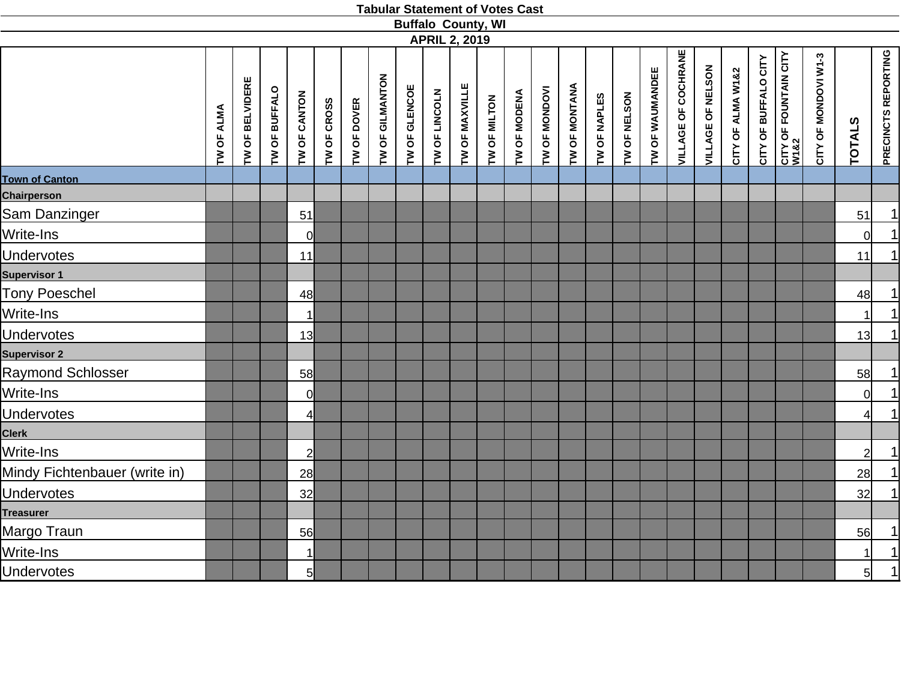|                               |            |                 |               |                |             |             |                 | <b>Buffalo County, WI</b> |               |                      |              |                     |               |               |              |              |                 |                            |                   |                   |                      |                               |                      |                |                            |
|-------------------------------|------------|-----------------|---------------|----------------|-------------|-------------|-----------------|---------------------------|---------------|----------------------|--------------|---------------------|---------------|---------------|--------------|--------------|-----------------|----------------------------|-------------------|-------------------|----------------------|-------------------------------|----------------------|----------------|----------------------------|
|                               |            |                 |               |                |             |             |                 |                           |               | <b>APRIL 2, 2019</b> |              |                     |               |               |              |              |                 |                            |                   |                   |                      |                               |                      |                |                            |
|                               | TW OF ALMA | TW OF BELVIDERE | TW OF BUFFALO | TW OF CANTON   | TW OF CROSS | TW OF DOVER | TW OF GILMANTON | TW OF GLENCOE             | TW OF LINCOLN | TW OF MAXVILLE       | TW OF MILTON | <b>TW OF MODENA</b> | TW OF MONDOVI | TW OF MONTANA | TW OF NAPLES | TW OF NELSON | TW OF WAUMANDEE | <b>VILLAGE OF COCHRANE</b> | VILLAGE OF NELSON | CITY OF ALMA W1&2 | CITY OF BUFFALO CITY | CITY OF FOUNTAIN CITY<br>W1&2 | CITY OF MONDOVI W1-3 | <b>TOTALS</b>  | <b>PRECINCTS REPORTING</b> |
| <b>Town of Canton</b>         |            |                 |               |                |             |             |                 |                           |               |                      |              |                     |               |               |              |              |                 |                            |                   |                   |                      |                               |                      |                |                            |
| <b>Chairperson</b>            |            |                 |               |                |             |             |                 |                           |               |                      |              |                     |               |               |              |              |                 |                            |                   |                   |                      |                               |                      |                |                            |
| Sam Danzinger                 |            |                 |               | 51             |             |             |                 |                           |               |                      |              |                     |               |               |              |              |                 |                            |                   |                   |                      |                               |                      | 51             | $\frac{1}{1}$              |
| Write-Ins                     |            |                 |               | $\overline{0}$ |             |             |                 |                           |               |                      |              |                     |               |               |              |              |                 |                            |                   |                   |                      |                               |                      | $\Omega$       |                            |
| <b>Undervotes</b>             |            |                 |               | 11             |             |             |                 |                           |               |                      |              |                     |               |               |              |              |                 |                            |                   |                   |                      |                               |                      | 11             | $\overline{1}$             |
| <b>Supervisor 1</b>           |            |                 |               |                |             |             |                 |                           |               |                      |              |                     |               |               |              |              |                 |                            |                   |                   |                      |                               |                      |                |                            |
| <b>Tony Poeschel</b>          |            |                 |               | 48             |             |             |                 |                           |               |                      |              |                     |               |               |              |              |                 |                            |                   |                   |                      |                               |                      | 48             | <u>1 </u>                  |
| Write-Ins                     |            |                 |               | 1              |             |             |                 |                           |               |                      |              |                     |               |               |              |              |                 |                            |                   |                   |                      |                               |                      | 11             | $\frac{1}{1}$              |
| <b>Undervotes</b>             |            |                 |               | 13             |             |             |                 |                           |               |                      |              |                     |               |               |              |              |                 |                            |                   |                   |                      |                               |                      | 13             |                            |
| <b>Supervisor 2</b>           |            |                 |               |                |             |             |                 |                           |               |                      |              |                     |               |               |              |              |                 |                            |                   |                   |                      |                               |                      |                |                            |
| Raymond Schlosser             |            |                 |               | 58             |             |             |                 |                           |               |                      |              |                     |               |               |              |              |                 |                            |                   |                   |                      |                               |                      | 58             |                            |
| Write-Ins                     |            |                 |               | $\overline{0}$ |             |             |                 |                           |               |                      |              |                     |               |               |              |              |                 |                            |                   |                   |                      |                               |                      | $\Omega$       | $\frac{1}{1}$              |
| <b>Undervotes</b>             |            |                 |               | $\overline{4}$ |             |             |                 |                           |               |                      |              |                     |               |               |              |              |                 |                            |                   |                   |                      |                               |                      | $\overline{4}$ |                            |
| <b>Clerk</b>                  |            |                 |               |                |             |             |                 |                           |               |                      |              |                     |               |               |              |              |                 |                            |                   |                   |                      |                               |                      |                |                            |
| Write-Ins                     |            |                 |               | $\overline{2}$ |             |             |                 |                           |               |                      |              |                     |               |               |              |              |                 |                            |                   |                   |                      |                               |                      | $\overline{2}$ | $\frac{1}{1}$              |
| Mindy Fichtenbauer (write in) |            |                 |               | 28             |             |             |                 |                           |               |                      |              |                     |               |               |              |              |                 |                            |                   |                   |                      |                               |                      | 28             |                            |
| <b>Undervotes</b>             |            |                 |               | 32             |             |             |                 |                           |               |                      |              |                     |               |               |              |              |                 |                            |                   |                   |                      |                               |                      | 32             | 1                          |
| <b>Treasurer</b>              |            |                 |               |                |             |             |                 |                           |               |                      |              |                     |               |               |              |              |                 |                            |                   |                   |                      |                               |                      |                |                            |
| Margo Traun                   |            |                 |               | 56             |             |             |                 |                           |               |                      |              |                     |               |               |              |              |                 |                            |                   |                   |                      |                               |                      | 56             |                            |
| Write-Ins                     |            |                 |               |                |             |             |                 |                           |               |                      |              |                     |               |               |              |              |                 |                            |                   |                   |                      |                               |                      |                | $\frac{1}{1}$              |
| <b>Undervotes</b>             |            |                 |               | 5 <sup>1</sup> |             |             |                 |                           |               |                      |              |                     |               |               |              |              |                 |                            |                   |                   |                      |                               |                      | 5 <sup>1</sup> |                            |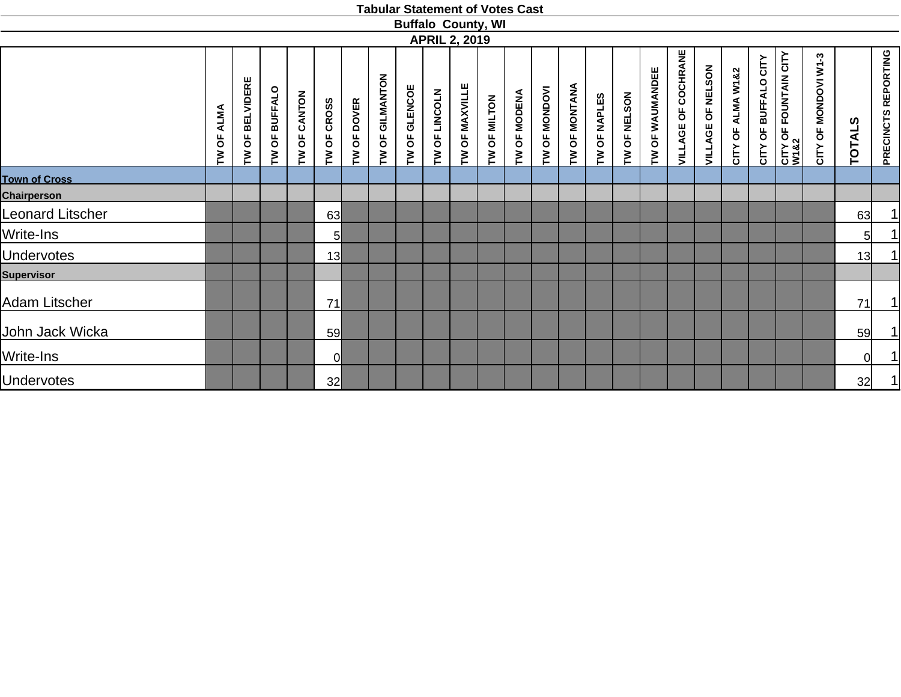|                         |                       |                 |                                            |                  |                       |                    |                                                          |                                            |                      | <b>Buffalo County, WI</b> |                                                              |              |                      |               |              |              |                        |                                                |                             |                      |                      |                                           |                      |               |                     |
|-------------------------|-----------------------|-----------------|--------------------------------------------|------------------|-----------------------|--------------------|----------------------------------------------------------|--------------------------------------------|----------------------|---------------------------|--------------------------------------------------------------|--------------|----------------------|---------------|--------------|--------------|------------------------|------------------------------------------------|-----------------------------|----------------------|----------------------|-------------------------------------------|----------------------|---------------|---------------------|
|                         |                       |                 |                                            |                  |                       |                    |                                                          |                                            |                      | <b>APRIL 2, 2019</b>      |                                                              |              |                      |               |              |              |                        |                                                |                             |                      |                      |                                           |                      |               |                     |
|                         | <b>ALMA</b><br>Ъ<br>ξ | TW OF BELVIDERE | <b>BUFFALO</b><br>$\overline{\sigma}$<br>ξ | CANTON<br>Ъ<br>M | <b>CROSS</b><br>TW OF | <b>TW OF DOVER</b> | GILMANTON<br>$\overline{\mathsf{o}}$<br>$\sum_{i=1}^{n}$ | <b>GLENCOE</b><br>$\overline{\sigma}$<br>Σ | <b>TW OF LINCOLN</b> | OF MAXVILLE<br>$\geq$     | <b>MILTON</b><br>$\overline{\mathsf{O}}$<br>$\sum_{i=1}^{n}$ | TW OF MODENA | <b>TW OF MONDOVI</b> | TW OF MONTANA | TW OF NAPLES | TW OF NELSON | <b>TW OF WAUMANDEE</b> | COCHRANE<br>$\overline{\mathsf{b}}$<br>VILLAGE | OF NELSON<br><b>VILLAGE</b> | ALMA W1&2<br>CITY OF | CITY OF BUFFALO CITY | <b>CITY OF FOUNTAIN CITY<br/>W1&amp;2</b> | CITY OF MONDOVI W1-3 | <b>TOTALS</b> | PRECINCTS REPORTING |
| <b>Town of Cross</b>    |                       |                 |                                            |                  |                       |                    |                                                          |                                            |                      |                           |                                                              |              |                      |               |              |              |                        |                                                |                             |                      |                      |                                           |                      |               |                     |
| <b>Chairperson</b>      |                       |                 |                                            |                  |                       |                    |                                                          |                                            |                      |                           |                                                              |              |                      |               |              |              |                        |                                                |                             |                      |                      |                                           |                      |               |                     |
| <b>Leonard Litscher</b> |                       |                 |                                            |                  | 63                    |                    |                                                          |                                            |                      |                           |                                                              |              |                      |               |              |              |                        |                                                |                             |                      |                      |                                           |                      | 63            |                     |
| Write-Ins               |                       |                 |                                            |                  | $5\overline{)}$       |                    |                                                          |                                            |                      |                           |                                                              |              |                      |               |              |              |                        |                                                |                             |                      |                      |                                           |                      | 5             |                     |
| <b>Undervotes</b>       |                       |                 |                                            |                  | 13                    |                    |                                                          |                                            |                      |                           |                                                              |              |                      |               |              |              |                        |                                                |                             |                      |                      |                                           |                      | 13            | $\mathbf 1$         |
| <b>Supervisor</b>       |                       |                 |                                            |                  |                       |                    |                                                          |                                            |                      |                           |                                                              |              |                      |               |              |              |                        |                                                |                             |                      |                      |                                           |                      |               |                     |
| <b>Adam Litscher</b>    |                       |                 |                                            |                  | 71                    |                    |                                                          |                                            |                      |                           |                                                              |              |                      |               |              |              |                        |                                                |                             |                      |                      |                                           |                      | 71            | 1                   |
| John Jack Wicka         |                       |                 |                                            |                  | 59                    |                    |                                                          |                                            |                      |                           |                                                              |              |                      |               |              |              |                        |                                                |                             |                      |                      |                                           |                      | 59            |                     |
| Write-Ins               |                       |                 |                                            |                  |                       |                    |                                                          |                                            |                      |                           |                                                              |              |                      |               |              |              |                        |                                                |                             |                      |                      |                                           |                      | 0l            |                     |
| <b>Undervotes</b>       |                       |                 |                                            |                  | 32                    |                    |                                                          |                                            |                      |                           |                                                              |              |                      |               |              |              |                        |                                                |                             |                      |                      |                                           |                      | 32            | 1                   |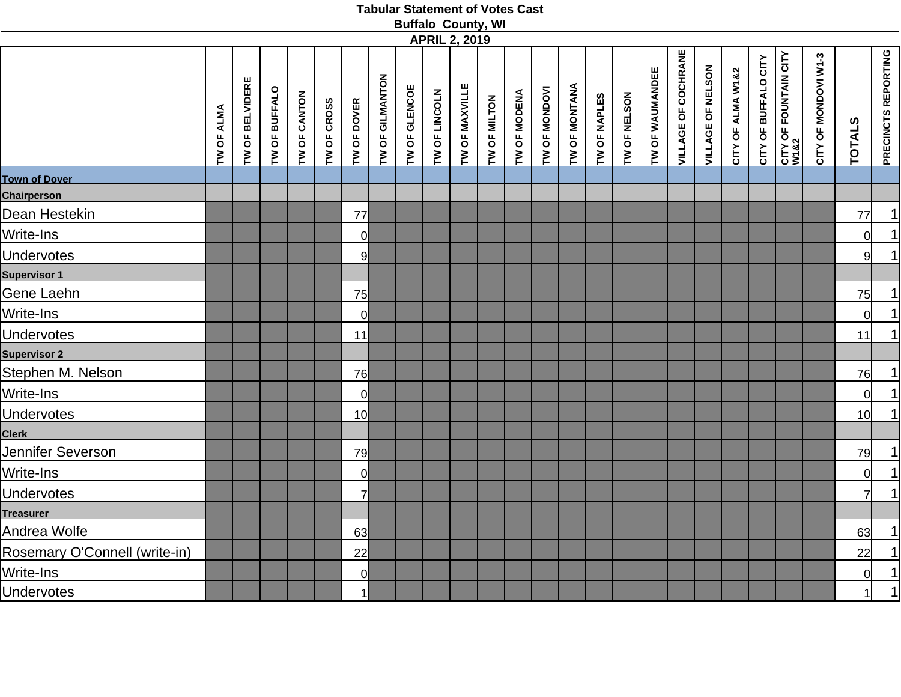|                               |            |                        |               |                     |             |                    |                 |               | <b>APRIL 2, 2019</b> |                | <b>Buffalo County, WI</b> |                     |               |               |              |              |                 |                            |                   |                   |                      |                               |                      |                 |                            |
|-------------------------------|------------|------------------------|---------------|---------------------|-------------|--------------------|-----------------|---------------|----------------------|----------------|---------------------------|---------------------|---------------|---------------|--------------|--------------|-----------------|----------------------------|-------------------|-------------------|----------------------|-------------------------------|----------------------|-----------------|----------------------------|
|                               | TW OF ALMA | <b>TW OF BELVIDERE</b> | TW OF BUFFALO | <b>TW OF CANTON</b> | TW OF CROSS | <b>TW OF DOVER</b> | TW OF GILMANTON | TW OF GLENCOE | TW OF LINCOLN        | TW OF MAXVILLE | TW OF MILTON              | <b>TW OF MODENA</b> | TW OF MONDOVI | TW OF MONTANA | TW OF NAPLES | TW OF NELSON | TW OF WAUMANDEE | <b>VILLAGE OF COCHRANE</b> | VILLAGE OF NELSON | CITY OF ALMA W1&2 | CITY OF BUFFALO CITY | CITY OF FOUNTAIN CITY<br>W1&2 | CITY OF MONDOVI W1-3 | <b>TOTALS</b>   | <b>PRECINCTS REPORTING</b> |
| <b>Town of Dover</b>          |            |                        |               |                     |             |                    |                 |               |                      |                |                           |                     |               |               |              |              |                 |                            |                   |                   |                      |                               |                      |                 |                            |
| Chairperson                   |            |                        |               |                     |             |                    |                 |               |                      |                |                           |                     |               |               |              |              |                 |                            |                   |                   |                      |                               |                      |                 |                            |
| Dean Hestekin                 |            |                        |               |                     |             | 77                 |                 |               |                      |                |                           |                     |               |               |              |              |                 |                            |                   |                   |                      |                               |                      | 77              | $\frac{1}{1}$              |
| Write-Ins                     |            |                        |               |                     |             | <sup>0</sup>       |                 |               |                      |                |                           |                     |               |               |              |              |                 |                            |                   |                   |                      |                               |                      | $\Omega$        |                            |
| <b>Undervotes</b>             |            |                        |               |                     |             | 9                  |                 |               |                      |                |                           |                     |               |               |              |              |                 |                            |                   |                   |                      |                               |                      | 9 <sup>1</sup>  | $\overline{1}$             |
| <b>Supervisor 1</b>           |            |                        |               |                     |             |                    |                 |               |                      |                |                           |                     |               |               |              |              |                 |                            |                   |                   |                      |                               |                      |                 |                            |
| Gene Laehn                    |            |                        |               |                     |             | 75                 |                 |               |                      |                |                           |                     |               |               |              |              |                 |                            |                   |                   |                      |                               |                      | 75              |                            |
| Write-Ins                     |            |                        |               |                     |             | <sup>0</sup>       |                 |               |                      |                |                           |                     |               |               |              |              |                 |                            |                   |                   |                      |                               |                      | <sup>ol</sup>   | $\frac{1}{1}$              |
| <b>Undervotes</b>             |            |                        |               |                     |             | 11                 |                 |               |                      |                |                           |                     |               |               |              |              |                 |                            |                   |                   |                      |                               |                      | 11              |                            |
| <b>Supervisor 2</b>           |            |                        |               |                     |             |                    |                 |               |                      |                |                           |                     |               |               |              |              |                 |                            |                   |                   |                      |                               |                      |                 |                            |
| Stephen M. Nelson             |            |                        |               |                     |             | 76                 |                 |               |                      |                |                           |                     |               |               |              |              |                 |                            |                   |                   |                      |                               |                      | 76              |                            |
| Write-Ins                     |            |                        |               |                     |             | $\overline{0}$     |                 |               |                      |                |                           |                     |               |               |              |              |                 |                            |                   |                   |                      |                               |                      | 0l              | $\frac{1}{1}$              |
| <b>Undervotes</b>             |            |                        |               |                     |             | 10 <sup>1</sup>    |                 |               |                      |                |                           |                     |               |               |              |              |                 |                            |                   |                   |                      |                               |                      | 10 <sup>1</sup> |                            |
| <b>Clerk</b>                  |            |                        |               |                     |             |                    |                 |               |                      |                |                           |                     |               |               |              |              |                 |                            |                   |                   |                      |                               |                      |                 |                            |
| Jennifer Severson             |            |                        |               |                     |             | 79                 |                 |               |                      |                |                           |                     |               |               |              |              |                 |                            |                   |                   |                      |                               |                      | 79              | $\overline{1}$             |
| Write-Ins                     |            |                        |               |                     |             | $\overline{0}$     |                 |               |                      |                |                           |                     |               |               |              |              |                 |                            |                   |                   |                      |                               |                      | 0l              | $\frac{1}{1}$              |
| <b>Undervotes</b>             |            |                        |               |                     |             | $\overline{7}$     |                 |               |                      |                |                           |                     |               |               |              |              |                 |                            |                   |                   |                      |                               |                      | 71              |                            |
| <b>Treasurer</b>              |            |                        |               |                     |             |                    |                 |               |                      |                |                           |                     |               |               |              |              |                 |                            |                   |                   |                      |                               |                      |                 |                            |
| Andrea Wolfe                  |            |                        |               |                     |             | 63                 |                 |               |                      |                |                           |                     |               |               |              |              |                 |                            |                   |                   |                      |                               |                      | 63              | $\frac{1}{1}$              |
| Rosemary O'Connell (write-in) |            |                        |               |                     |             | 22                 |                 |               |                      |                |                           |                     |               |               |              |              |                 |                            |                   |                   |                      |                               |                      | 22              |                            |
| Write-Ins                     |            |                        |               |                     |             | $\overline{0}$     |                 |               |                      |                |                           |                     |               |               |              |              |                 |                            |                   |                   |                      |                               |                      | 0l              | $\frac{1}{1}$              |
| <b>Undervotes</b>             |            |                        |               |                     |             | 1                  |                 |               |                      |                |                           |                     |               |               |              |              |                 |                            |                   |                   |                      |                               |                      | $\mathbf{1}$    |                            |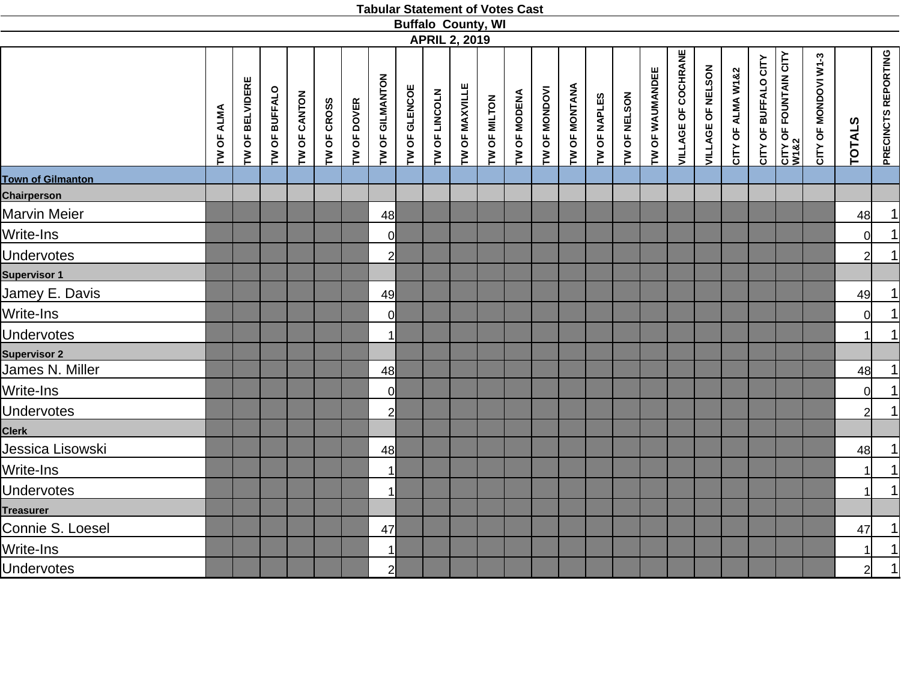|                          |            |                 |               |              |             |             |                 |               |               | <b>Buffalo County, WI</b><br><b>APRIL 2, 2019</b> |              |                     |               |               |              |              |                 |                            |                   |                   |                      |                               |                      |                |                            |
|--------------------------|------------|-----------------|---------------|--------------|-------------|-------------|-----------------|---------------|---------------|---------------------------------------------------|--------------|---------------------|---------------|---------------|--------------|--------------|-----------------|----------------------------|-------------------|-------------------|----------------------|-------------------------------|----------------------|----------------|----------------------------|
|                          | TW OF ALMA | TW OF BELVIDERE | TW OF BUFFALO | TW OF CANTON | TW OF CROSS | TW OF DOVER | TW OF GILMANTON | TW OF GLENCOE | TW OF LINCOLN | TW OF MAXVILLE                                    | TW OF MILTON | <b>TW OF MODENA</b> | TW OF MONDOVI | TW OF MONTANA | TW OF NAPLES | TW OF NELSON | TW OF WAUMANDEE | <b>VILLAGE OF COCHRANE</b> | VILLAGE OF NELSON | CITY OF ALMA W1&2 | CITY OF BUFFALO CITY | CITY OF FOUNTAIN CITY<br>W1&2 | CITY OF MONDOVI W1-3 | <b>TOTALS</b>  | <b>PRECINCTS REPORTING</b> |
| <b>Town of Gilmanton</b> |            |                 |               |              |             |             |                 |               |               |                                                   |              |                     |               |               |              |              |                 |                            |                   |                   |                      |                               |                      |                |                            |
| Chairperson              |            |                 |               |              |             |             |                 |               |               |                                                   |              |                     |               |               |              |              |                 |                            |                   |                   |                      |                               |                      |                |                            |
| <b>Marvin Meier</b>      |            |                 |               |              |             |             | 48              |               |               |                                                   |              |                     |               |               |              |              |                 |                            |                   |                   |                      |                               |                      | 48             | $\overline{1}$             |
| Write-Ins                |            |                 |               |              |             |             | $\overline{0}$  |               |               |                                                   |              |                     |               |               |              |              |                 |                            |                   |                   |                      |                               |                      | 0l             | $\frac{1}{1}$              |
| <b>Undervotes</b>        |            |                 |               |              |             |             | $\overline{2}$  |               |               |                                                   |              |                     |               |               |              |              |                 |                            |                   |                   |                      |                               |                      | $\mathcal{D}$  |                            |
| <b>Supervisor 1</b>      |            |                 |               |              |             |             |                 |               |               |                                                   |              |                     |               |               |              |              |                 |                            |                   |                   |                      |                               |                      |                |                            |
| Jamey E. Davis           |            |                 |               |              |             |             | 49              |               |               |                                                   |              |                     |               |               |              |              |                 |                            |                   |                   |                      |                               |                      | 49             | $\overline{1}$             |
| Write-Ins                |            |                 |               |              |             |             | $\overline{0}$  |               |               |                                                   |              |                     |               |               |              |              |                 |                            |                   |                   |                      |                               |                      | $\Omega$       | $\frac{1}{1}$              |
| <b>Undervotes</b>        |            |                 |               |              |             |             | $\mathbf{1}$    |               |               |                                                   |              |                     |               |               |              |              |                 |                            |                   |                   |                      |                               |                      |                |                            |
| <b>Supervisor 2</b>      |            |                 |               |              |             |             |                 |               |               |                                                   |              |                     |               |               |              |              |                 |                            |                   |                   |                      |                               |                      |                |                            |
| James N. Miller          |            |                 |               |              |             |             | 48              |               |               |                                                   |              |                     |               |               |              |              |                 |                            |                   |                   |                      |                               |                      | 48             |                            |
| Write-Ins                |            |                 |               |              |             |             | $\overline{0}$  |               |               |                                                   |              |                     |               |               |              |              |                 |                            |                   |                   |                      |                               |                      | <sub>0</sub>   | $\frac{1}{1}$              |
| <b>Undervotes</b>        |            |                 |               |              |             |             | $\overline{2}$  |               |               |                                                   |              |                     |               |               |              |              |                 |                            |                   |                   |                      |                               |                      | $\overline{2}$ |                            |
| <b>Clerk</b>             |            |                 |               |              |             |             |                 |               |               |                                                   |              |                     |               |               |              |              |                 |                            |                   |                   |                      |                               |                      |                |                            |
| Jessica Lisowski         |            |                 |               |              |             |             | 48              |               |               |                                                   |              |                     |               |               |              |              |                 |                            |                   |                   |                      |                               |                      | 48             | 1                          |
| Write-Ins                |            |                 |               |              |             |             | $\mathbf{1}$    |               |               |                                                   |              |                     |               |               |              |              |                 |                            |                   |                   |                      |                               |                      |                | $\frac{1}{1}$              |
| <b>Undervotes</b>        |            |                 |               |              |             |             | $\mathbf{1}$    |               |               |                                                   |              |                     |               |               |              |              |                 |                            |                   |                   |                      |                               |                      |                |                            |
| <b>Treasurer</b>         |            |                 |               |              |             |             |                 |               |               |                                                   |              |                     |               |               |              |              |                 |                            |                   |                   |                      |                               |                      |                |                            |
| Connie S. Loesel         |            |                 |               |              |             |             | 47              |               |               |                                                   |              |                     |               |               |              |              |                 |                            |                   |                   |                      |                               |                      | 47             |                            |
| Write-Ins                |            |                 |               |              |             |             | $\mathbf{1}$    |               |               |                                                   |              |                     |               |               |              |              |                 |                            |                   |                   |                      |                               |                      |                | $\frac{1}{1}$              |
| <b>Undervotes</b>        |            |                 |               |              |             |             | $\overline{2}$  |               |               |                                                   |              |                     |               |               |              |              |                 |                            |                   |                   |                      |                               |                      | $\overline{2}$ |                            |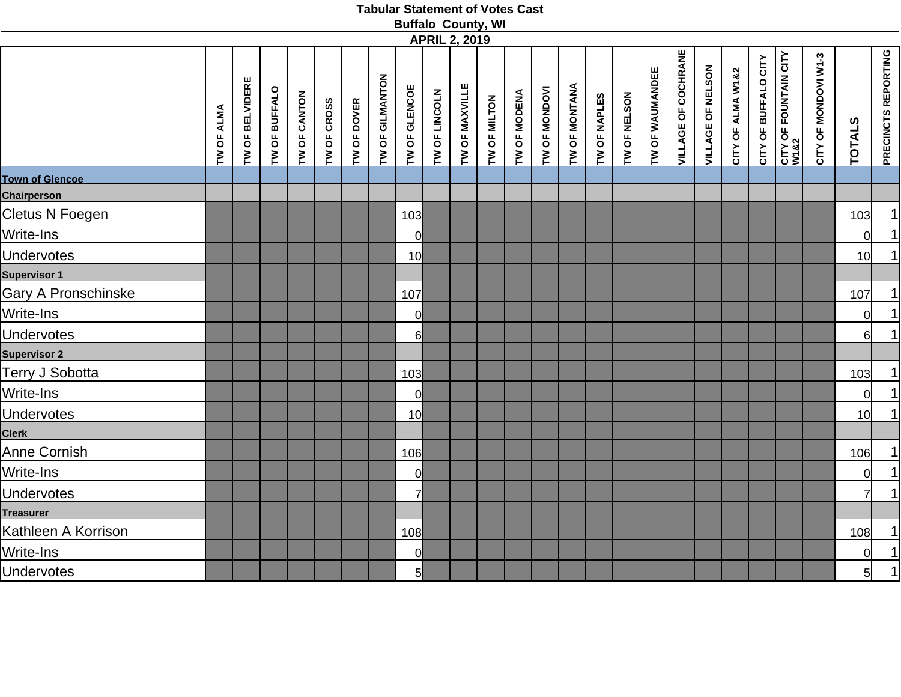|                        |            |                 |               |                     |             |             |                 | <b>Buffalo County, WI</b> |               |                      |              |              |               |               |              |              |                 |                            |                   |                   |                      |                               |                      |                 |                            |
|------------------------|------------|-----------------|---------------|---------------------|-------------|-------------|-----------------|---------------------------|---------------|----------------------|--------------|--------------|---------------|---------------|--------------|--------------|-----------------|----------------------------|-------------------|-------------------|----------------------|-------------------------------|----------------------|-----------------|----------------------------|
|                        |            |                 |               |                     |             |             |                 |                           |               | <b>APRIL 2, 2019</b> |              |              |               |               |              |              |                 |                            |                   |                   |                      |                               |                      |                 |                            |
|                        | TW OF ALMA | TW OF BELVIDERE | TW OF BUFFALO | <b>TW OF CANTON</b> | TW OF CROSS | TW OF DOVER | TW OF GILMANTON | TW OF GLENCOE             | TW OF LINCOLN | TW OF MAXVILLE       | TW OF MILTON | TW OF MODENA | TW OF MONDOVI | TW OF MONTANA | TW OF NAPLES | TW OF NELSON | TW OF WAUMANDEE | <b>VILLAGE OF COCHRANE</b> | VILLAGE OF NELSON | CITY OF ALMA W1&2 | CITY OF BUFFALO CITY | CITY OF FOUNTAIN CITY<br>W1&2 | CITY OF MONDOVI W1-3 | <b>TOTALS</b>   | <b>PRECINCTS REPORTING</b> |
| <b>Town of Glencoe</b> |            |                 |               |                     |             |             |                 |                           |               |                      |              |              |               |               |              |              |                 |                            |                   |                   |                      |                               |                      |                 |                            |
| <b>Chairperson</b>     |            |                 |               |                     |             |             |                 |                           |               |                      |              |              |               |               |              |              |                 |                            |                   |                   |                      |                               |                      |                 |                            |
| Cletus N Foegen        |            |                 |               |                     |             |             |                 | 103                       |               |                      |              |              |               |               |              |              |                 |                            |                   |                   |                      |                               |                      | 103             | 1                          |
| Write-Ins              |            |                 |               |                     |             |             |                 | 0                         |               |                      |              |              |               |               |              |              |                 |                            |                   |                   |                      |                               |                      | $\Omega$        | $\overline{1}$             |
| <b>Undervotes</b>      |            |                 |               |                     |             |             |                 | 10 <sup>1</sup>           |               |                      |              |              |               |               |              |              |                 |                            |                   |                   |                      |                               |                      | 10              | $\overline{1}$             |
| <b>Supervisor 1</b>    |            |                 |               |                     |             |             |                 |                           |               |                      |              |              |               |               |              |              |                 |                            |                   |                   |                      |                               |                      |                 |                            |
| Gary A Pronschinske    |            |                 |               |                     |             |             |                 | 107                       |               |                      |              |              |               |               |              |              |                 |                            |                   |                   |                      |                               |                      | 107             | $\overline{1}$             |
| Write-Ins              |            |                 |               |                     |             |             |                 | $\overline{0}$            |               |                      |              |              |               |               |              |              |                 |                            |                   |                   |                      |                               |                      | $\Omega$        | $\frac{1}{1}$              |
| <b>Undervotes</b>      |            |                 |               |                     |             |             |                 | $6 \mid$                  |               |                      |              |              |               |               |              |              |                 |                            |                   |                   |                      |                               |                      | $6 \mid$        |                            |
| <b>Supervisor 2</b>    |            |                 |               |                     |             |             |                 |                           |               |                      |              |              |               |               |              |              |                 |                            |                   |                   |                      |                               |                      |                 |                            |
| Terry J Sobotta        |            |                 |               |                     |             |             |                 | 103                       |               |                      |              |              |               |               |              |              |                 |                            |                   |                   |                      |                               |                      | 103             |                            |
| Write-Ins              |            |                 |               |                     |             |             |                 | <sup>o</sup>              |               |                      |              |              |               |               |              |              |                 |                            |                   |                   |                      |                               |                      | $\overline{0}$  | $\frac{1}{1}$              |
| <b>Undervotes</b>      |            |                 |               |                     |             |             |                 | 10 <sup>l</sup>           |               |                      |              |              |               |               |              |              |                 |                            |                   |                   |                      |                               |                      | 10 <sub>l</sub> | $\overline{1}$             |
| <b>Clerk</b>           |            |                 |               |                     |             |             |                 |                           |               |                      |              |              |               |               |              |              |                 |                            |                   |                   |                      |                               |                      |                 |                            |
| Anne Cornish           |            |                 |               |                     |             |             |                 | 106                       |               |                      |              |              |               |               |              |              |                 |                            |                   |                   |                      |                               |                      | 106             | <u>1 </u>                  |
| Write-Ins              |            |                 |               |                     |             |             |                 | 0                         |               |                      |              |              |               |               |              |              |                 |                            |                   |                   |                      |                               |                      | $\Omega$        | $\overline{1}$             |
| <b>Undervotes</b>      |            |                 |               |                     |             |             |                 | $\overline{7}$            |               |                      |              |              |               |               |              |              |                 |                            |                   |                   |                      |                               |                      | 7               | 1                          |
| <b>Treasurer</b>       |            |                 |               |                     |             |             |                 |                           |               |                      |              |              |               |               |              |              |                 |                            |                   |                   |                      |                               |                      |                 |                            |
| Kathleen A Korrison    |            |                 |               |                     |             |             |                 | 108                       |               |                      |              |              |               |               |              |              |                 |                            |                   |                   |                      |                               |                      | 108             |                            |
| Write-Ins              |            |                 |               |                     |             |             |                 | $\overline{0}$            |               |                      |              |              |               |               |              |              |                 |                            |                   |                   |                      |                               |                      | $\overline{0}$  | $\frac{1}{1}$              |
| <b>Undervotes</b>      |            |                 |               |                     |             |             |                 | $5 \mid$                  |               |                      |              |              |               |               |              |              |                 |                            |                   |                   |                      |                               |                      | 5 <sup>1</sup>  |                            |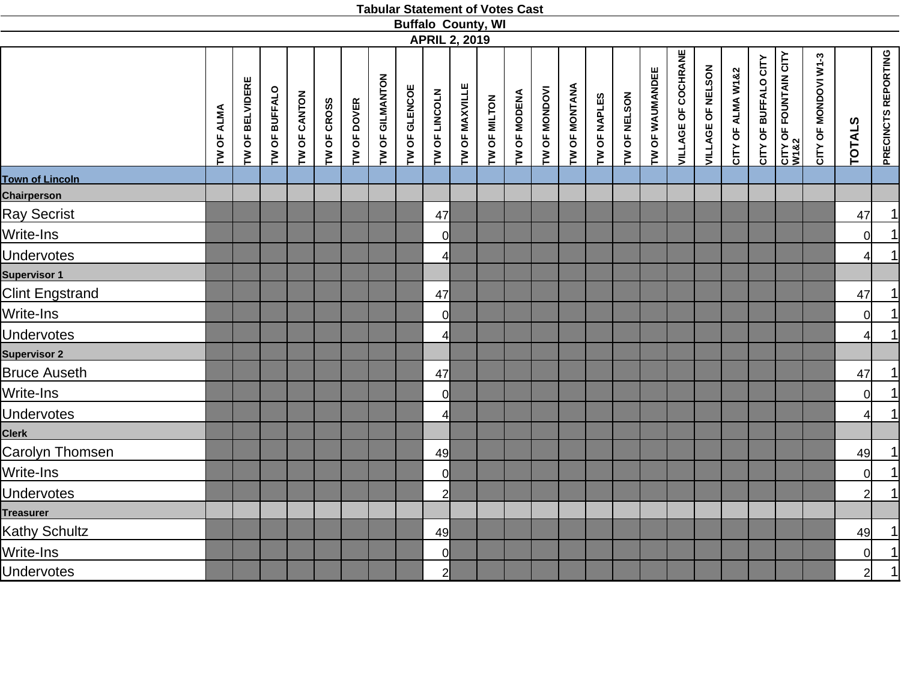|                        |            |                 |               |              |             |             |                 | <b>Buffalo County, WI</b> |                |                      |              |              |               |               |              |              |                 |                            |                   |                   |                      |                               |                      |                |                            |
|------------------------|------------|-----------------|---------------|--------------|-------------|-------------|-----------------|---------------------------|----------------|----------------------|--------------|--------------|---------------|---------------|--------------|--------------|-----------------|----------------------------|-------------------|-------------------|----------------------|-------------------------------|----------------------|----------------|----------------------------|
|                        |            |                 |               |              |             |             |                 |                           |                | <b>APRIL 2, 2019</b> |              |              |               |               |              |              |                 |                            |                   |                   |                      |                               |                      |                |                            |
|                        | TW OF ALMA | TW OF BELVIDERE | TW OF BUFFALO | TW OF CANTON | TW OF CROSS | TW OF DOVER | TW OF GILMANTON | TW OF GLENCOE             | TW OF LINCOLN  | TW OF MAXVILLE       | TW OF MILTON | TW OF MODENA | TW OF MONDOVI | TW OF MONTANA | TW OF NAPLES | TW OF NELSON | TW OF WAUMANDEE | <b>VILLAGE OF COCHRANE</b> | VILLAGE OF NELSON | CITY OF ALMA W1&2 | CITY OF BUFFALO CITY | CITY OF FOUNTAIN CITY<br>W1&2 | CITY OF MONDOVI W1-3 | <b>TOTALS</b>  | <b>PRECINCTS REPORTING</b> |
| <b>Town of Lincoln</b> |            |                 |               |              |             |             |                 |                           |                |                      |              |              |               |               |              |              |                 |                            |                   |                   |                      |                               |                      |                |                            |
| <b>Chairperson</b>     |            |                 |               |              |             |             |                 |                           |                |                      |              |              |               |               |              |              |                 |                            |                   |                   |                      |                               |                      |                |                            |
| <b>Ray Secrist</b>     |            |                 |               |              |             |             |                 |                           | 47             |                      |              |              |               |               |              |              |                 |                            |                   |                   |                      |                               |                      | 47             | $\overline{1}$             |
| Write-Ins              |            |                 |               |              |             |             |                 |                           | <sup>0</sup>   |                      |              |              |               |               |              |              |                 |                            |                   |                   |                      |                               |                      | $\Omega$       | $\frac{1}{1}$              |
| <b>Undervotes</b>      |            |                 |               |              |             |             |                 |                           | 4              |                      |              |              |               |               |              |              |                 |                            |                   |                   |                      |                               |                      |                |                            |
| <b>Supervisor 1</b>    |            |                 |               |              |             |             |                 |                           |                |                      |              |              |               |               |              |              |                 |                            |                   |                   |                      |                               |                      |                |                            |
| <b>Clint Engstrand</b> |            |                 |               |              |             |             |                 |                           | 47             |                      |              |              |               |               |              |              |                 |                            |                   |                   |                      |                               |                      | 47             | $\overline{1}$             |
| Write-Ins              |            |                 |               |              |             |             |                 |                           | $\Omega$       |                      |              |              |               |               |              |              |                 |                            |                   |                   |                      |                               |                      | $\Omega$       | $\frac{1}{1}$              |
| <b>Undervotes</b>      |            |                 |               |              |             |             |                 |                           | 4              |                      |              |              |               |               |              |              |                 |                            |                   |                   |                      |                               |                      | $\overline{4}$ |                            |
| <b>Supervisor 2</b>    |            |                 |               |              |             |             |                 |                           |                |                      |              |              |               |               |              |              |                 |                            |                   |                   |                      |                               |                      |                |                            |
| <b>Bruce Auseth</b>    |            |                 |               |              |             |             |                 |                           | 47             |                      |              |              |               |               |              |              |                 |                            |                   |                   |                      |                               |                      | 47             |                            |
| Write-Ins              |            |                 |               |              |             |             |                 |                           | $\Omega$       |                      |              |              |               |               |              |              |                 |                            |                   |                   |                      |                               |                      | $\Omega$       | $\frac{1}{1}$              |
| <b>Undervotes</b>      |            |                 |               |              |             |             |                 |                           | 4              |                      |              |              |               |               |              |              |                 |                            |                   |                   |                      |                               |                      | $\overline{4}$ |                            |
| <b>Clerk</b>           |            |                 |               |              |             |             |                 |                           |                |                      |              |              |               |               |              |              |                 |                            |                   |                   |                      |                               |                      |                |                            |
| Carolyn Thomsen        |            |                 |               |              |             |             |                 |                           | 49             |                      |              |              |               |               |              |              |                 |                            |                   |                   |                      |                               |                      | 49             |                            |
| Write-Ins              |            |                 |               |              |             |             |                 |                           | $\overline{0}$ |                      |              |              |               |               |              |              |                 |                            |                   |                   |                      |                               |                      | $\Omega$       | $\frac{1}{1}$              |
| <b>Undervotes</b>      |            |                 |               |              |             |             |                 |                           | $\overline{2}$ |                      |              |              |               |               |              |              |                 |                            |                   |                   |                      |                               |                      | $\overline{2}$ | $\overline{1}$             |
| <b>Treasurer</b>       |            |                 |               |              |             |             |                 |                           |                |                      |              |              |               |               |              |              |                 |                            |                   |                   |                      |                               |                      |                |                            |
| <b>Kathy Schultz</b>   |            |                 |               |              |             |             |                 |                           | 49             |                      |              |              |               |               |              |              |                 |                            |                   |                   |                      |                               |                      | 49             |                            |
| Write-Ins              |            |                 |               |              |             |             |                 |                           | $\Omega$       |                      |              |              |               |               |              |              |                 |                            |                   |                   |                      |                               |                      | $\overline{0}$ | $\frac{1}{1}$              |
| <b>Undervotes</b>      |            |                 |               |              |             |             |                 |                           | $\overline{2}$ |                      |              |              |               |               |              |              |                 |                            |                   |                   |                      |                               |                      | $\overline{2}$ |                            |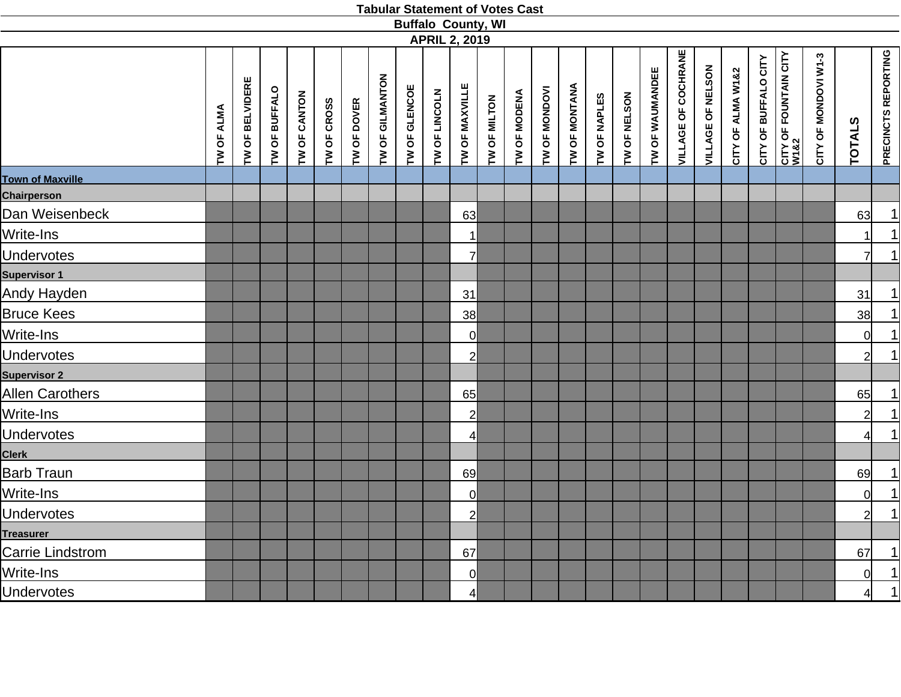|                         |            |                        |               |              |             |                    |                 |               | <b>Buffalo County, WI</b><br><b>APRIL 2, 2019</b> |                |              |              |               |                      |              |              |                 |                            |                   |                   |                      |                                       |                      |                |                            |
|-------------------------|------------|------------------------|---------------|--------------|-------------|--------------------|-----------------|---------------|---------------------------------------------------|----------------|--------------|--------------|---------------|----------------------|--------------|--------------|-----------------|----------------------------|-------------------|-------------------|----------------------|---------------------------------------|----------------------|----------------|----------------------------|
|                         | TW OF ALMA | <b>TW OF BELVIDERE</b> | TW OF BUFFALO | TW OF CANTON | TW OF CROSS | <b>TW OF DOVER</b> | TW OF GILMANTON | TW OF GLENCOE | TW OF LINCOLN                                     | TW OF MAXVILLE | TW OF MILTON | TW OF MODENA | TW OF MONDOVI | <b>TW OF MONTANA</b> | TW OF NAPLES | TW OF NELSON | TW OF WAUMANDEE | <b>VILLAGE OF COCHRANE</b> | VILLAGE OF NELSON | CITY OF ALMA W1&2 | CITY OF BUFFALO CITY | <b>CITY OF FOUNTAIN CITY<br/>W182</b> | CITY OF MONDOVI W1-3 | <b>TOTALS</b>  | <b>PRECINCTS REPORTING</b> |
| <b>Town of Maxville</b> |            |                        |               |              |             |                    |                 |               |                                                   |                |              |              |               |                      |              |              |                 |                            |                   |                   |                      |                                       |                      |                |                            |
| Chairperson             |            |                        |               |              |             |                    |                 |               |                                                   |                |              |              |               |                      |              |              |                 |                            |                   |                   |                      |                                       |                      |                |                            |
| Dan Weisenbeck          |            |                        |               |              |             |                    |                 |               |                                                   | 63             |              |              |               |                      |              |              |                 |                            |                   |                   |                      |                                       |                      | 63             | 1                          |
| Write-Ins               |            |                        |               |              |             |                    |                 |               |                                                   | 1              |              |              |               |                      |              |              |                 |                            |                   |                   |                      |                                       |                      |                | $\overline{1}$             |
| <b>Undervotes</b>       |            |                        |               |              |             |                    |                 |               |                                                   | 7              |              |              |               |                      |              |              |                 |                            |                   |                   |                      |                                       |                      | 7              | $\overline{1}$             |
| <b>Supervisor 1</b>     |            |                        |               |              |             |                    |                 |               |                                                   |                |              |              |               |                      |              |              |                 |                            |                   |                   |                      |                                       |                      |                |                            |
| Andy Hayden             |            |                        |               |              |             |                    |                 |               |                                                   | 31             |              |              |               |                      |              |              |                 |                            |                   |                   |                      |                                       |                      | 31             |                            |
| <b>Bruce Kees</b>       |            |                        |               |              |             |                    |                 |               |                                                   | 38             |              |              |               |                      |              |              |                 |                            |                   |                   |                      |                                       |                      | 38             | $\frac{1}{\sqrt{1}}$       |
| Write-Ins               |            |                        |               |              |             |                    |                 |               |                                                   | 0l             |              |              |               |                      |              |              |                 |                            |                   |                   |                      |                                       |                      | $\Omega$       |                            |
| <b>Undervotes</b>       |            |                        |               |              |             |                    |                 |               |                                                   | 21             |              |              |               |                      |              |              |                 |                            |                   |                   |                      |                                       |                      |                |                            |
| <b>Supervisor 2</b>     |            |                        |               |              |             |                    |                 |               |                                                   |                |              |              |               |                      |              |              |                 |                            |                   |                   |                      |                                       |                      |                |                            |
| <b>Allen Carothers</b>  |            |                        |               |              |             |                    |                 |               |                                                   | 65             |              |              |               |                      |              |              |                 |                            |                   |                   |                      |                                       |                      | 65             |                            |
| Write-Ins               |            |                        |               |              |             |                    |                 |               |                                                   | 21             |              |              |               |                      |              |              |                 |                            |                   |                   |                      |                                       |                      | $\overline{2}$ | $\frac{1}{1}$              |
| <b>Undervotes</b>       |            |                        |               |              |             |                    |                 |               |                                                   | 41             |              |              |               |                      |              |              |                 |                            |                   |                   |                      |                                       |                      |                | $\overline{1}$             |
| <b>Clerk</b>            |            |                        |               |              |             |                    |                 |               |                                                   |                |              |              |               |                      |              |              |                 |                            |                   |                   |                      |                                       |                      |                |                            |
| <b>Barb Traun</b>       |            |                        |               |              |             |                    |                 |               |                                                   | 69             |              |              |               |                      |              |              |                 |                            |                   |                   |                      |                                       |                      | 69             |                            |
| Write-Ins               |            |                        |               |              |             |                    |                 |               |                                                   | Οl             |              |              |               |                      |              |              |                 |                            |                   |                   |                      |                                       |                      | 0l             | $\frac{1}{1}$              |
| <b>Undervotes</b>       |            |                        |               |              |             |                    |                 |               |                                                   | 21             |              |              |               |                      |              |              |                 |                            |                   |                   |                      |                                       |                      | $\overline{2}$ |                            |
| <b>Treasurer</b>        |            |                        |               |              |             |                    |                 |               |                                                   |                |              |              |               |                      |              |              |                 |                            |                   |                   |                      |                                       |                      |                |                            |
| Carrie Lindstrom        |            |                        |               |              |             |                    |                 |               |                                                   | 67             |              |              |               |                      |              |              |                 |                            |                   |                   |                      |                                       |                      | 67             | $\overline{1}$             |
| Write-Ins               |            |                        |               |              |             |                    |                 |               |                                                   | 0              |              |              |               |                      |              |              |                 |                            |                   |                   |                      |                                       |                      | 0l             | $\frac{1}{1}$              |
| <b>Undervotes</b>       |            |                        |               |              |             |                    |                 |               |                                                   | 4              |              |              |               |                      |              |              |                 |                            |                   |                   |                      |                                       |                      | $4\vert$       |                            |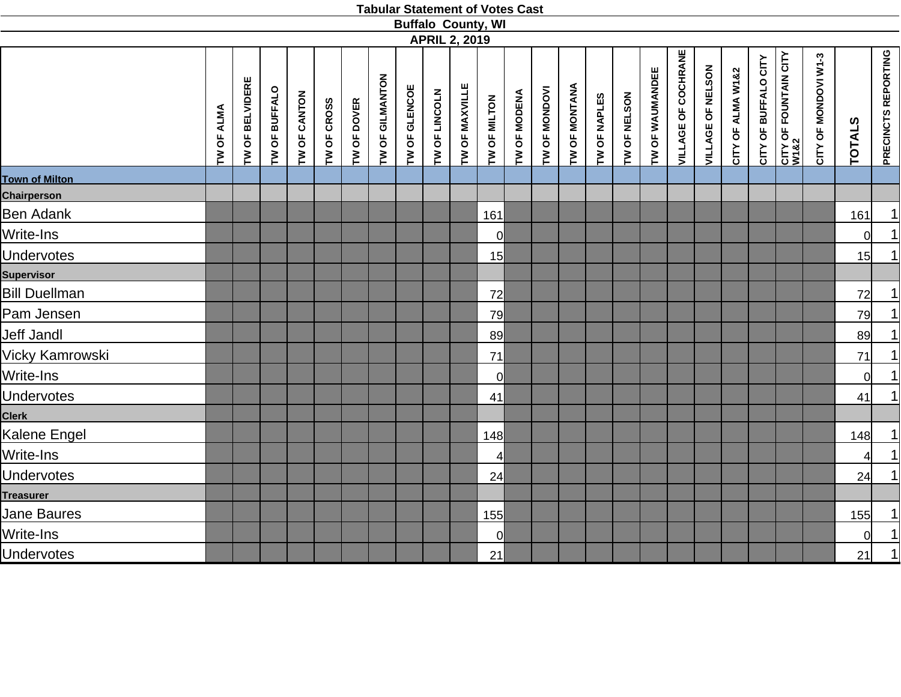|                                      |            |                 |               |              |             |             |                 |               |               | <b>APRIL 2, 2019</b> | <b>Buffalo County, WI</b> |              |               |               |              |              |                 |                            |                   |                   |                      |                               |                      |               |                            |
|--------------------------------------|------------|-----------------|---------------|--------------|-------------|-------------|-----------------|---------------|---------------|----------------------|---------------------------|--------------|---------------|---------------|--------------|--------------|-----------------|----------------------------|-------------------|-------------------|----------------------|-------------------------------|----------------------|---------------|----------------------------|
|                                      | TW OF ALMA | TW OF BELVIDERE | TW OF BUFFALO | TW OF CANTON | TW OF CROSS | TW OF DOVER | TW OF GILMANTON | TW OF GLENCOE | TW OF LINCOLN | TW OF MAXVILLE       | TW OF MILTON              | TW OF MODENA | TW OF MONDOVI | TW OF MONTANA | TW OF NAPLES | TW OF NELSON | TW OF WAUMANDEE | <b>VILLAGE OF COCHRANE</b> | VILLAGE OF NELSON | CITY OF ALMA W1&2 | CITY OF BUFFALO CITY | CITY OF FOUNTAIN CITY<br>W1&2 | CITY OF MONDOVI W1-3 | <b>TOTALS</b> | <b>PRECINCTS REPORTING</b> |
| <b>Town of Milton</b><br>Chairperson |            |                 |               |              |             |             |                 |               |               |                      |                           |              |               |               |              |              |                 |                            |                   |                   |                      |                               |                      |               |                            |
| <b>Ben Adank</b>                     |            |                 |               |              |             |             |                 |               |               |                      | 161                       |              |               |               |              |              |                 |                            |                   |                   |                      |                               |                      | 161           | <u>1 </u>                  |
| Write-Ins                            |            |                 |               |              |             |             |                 |               |               |                      | <sup>o</sup>              |              |               |               |              |              |                 |                            |                   |                   |                      |                               |                      | 0l            | $\overline{1}$             |
| <b>Undervotes</b>                    |            |                 |               |              |             |             |                 |               |               |                      | 15                        |              |               |               |              |              |                 |                            |                   |                   |                      |                               |                      | 15            | $\overline{1}$             |
| <b>Supervisor</b>                    |            |                 |               |              |             |             |                 |               |               |                      |                           |              |               |               |              |              |                 |                            |                   |                   |                      |                               |                      |               |                            |
| <b>Bill Duellman</b>                 |            |                 |               |              |             |             |                 |               |               |                      | 72                        |              |               |               |              |              |                 |                            |                   |                   |                      |                               |                      | 72            | 1                          |
| Pam Jensen                           |            |                 |               |              |             |             |                 |               |               |                      | 79                        |              |               |               |              |              |                 |                            |                   |                   |                      |                               |                      | 79            | $\overline{1}$             |
| <b>Jeff Jandl</b>                    |            |                 |               |              |             |             |                 |               |               |                      | 89                        |              |               |               |              |              |                 |                            |                   |                   |                      |                               |                      | 89            |                            |
| Vicky Kamrowski                      |            |                 |               |              |             |             |                 |               |               |                      | 71                        |              |               |               |              |              |                 |                            |                   |                   |                      |                               |                      | 71            | $\frac{1}{\vert}$          |
| Write-Ins                            |            |                 |               |              |             |             |                 |               |               |                      | $\overline{O}$            |              |               |               |              |              |                 |                            |                   |                   |                      |                               |                      | <sub>0</sub>  |                            |
| <b>Undervotes</b>                    |            |                 |               |              |             |             |                 |               |               |                      | 41                        |              |               |               |              |              |                 |                            |                   |                   |                      |                               |                      | 41            | $\overline{1}$             |
| <b>Clerk</b>                         |            |                 |               |              |             |             |                 |               |               |                      |                           |              |               |               |              |              |                 |                            |                   |                   |                      |                               |                      |               |                            |
| Kalene Engel                         |            |                 |               |              |             |             |                 |               |               |                      | 148                       |              |               |               |              |              |                 |                            |                   |                   |                      |                               |                      | 148           | <u>게</u>                   |
| Write-Ins                            |            |                 |               |              |             |             |                 |               |               |                      | 4                         |              |               |               |              |              |                 |                            |                   |                   |                      |                               |                      | 4             | $\overline{1}$             |
| <b>Undervotes</b>                    |            |                 |               |              |             |             |                 |               |               |                      | 24                        |              |               |               |              |              |                 |                            |                   |                   |                      |                               |                      | 24            | 1                          |
| <b>Treasurer</b>                     |            |                 |               |              |             |             |                 |               |               |                      |                           |              |               |               |              |              |                 |                            |                   |                   |                      |                               |                      |               |                            |
| Jane Baures                          |            |                 |               |              |             |             |                 |               |               |                      | 155                       |              |               |               |              |              |                 |                            |                   |                   |                      |                               |                      | 155           |                            |
| Write-Ins                            |            |                 |               |              |             |             |                 |               |               |                      | $\overline{O}$            |              |               |               |              |              |                 |                            |                   |                   |                      |                               |                      | $\Omega$      | $\frac{1}{1}$              |
| <b>Undervotes</b>                    |            |                 |               |              |             |             |                 |               |               |                      | 21                        |              |               |               |              |              |                 |                            |                   |                   |                      |                               |                      | 21            | $\overline{1}$             |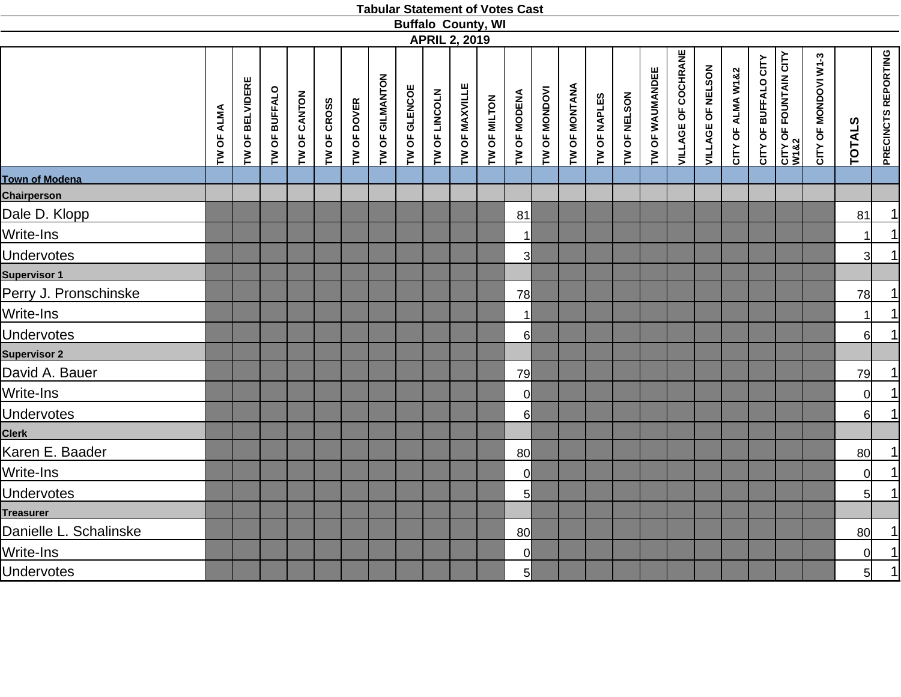|                        |            |                 |               |              |             |             |                 | <b>Buffalo County, WI</b> |                      |                |              |                 |               |               |              |              |                 |                            |                   |                   |                      |                               |                      |                |                            |
|------------------------|------------|-----------------|---------------|--------------|-------------|-------------|-----------------|---------------------------|----------------------|----------------|--------------|-----------------|---------------|---------------|--------------|--------------|-----------------|----------------------------|-------------------|-------------------|----------------------|-------------------------------|----------------------|----------------|----------------------------|
|                        |            |                 |               |              |             |             |                 |                           | <b>APRIL 2, 2019</b> |                |              |                 |               |               |              |              |                 |                            |                   |                   |                      |                               |                      |                |                            |
|                        | TW OF ALMA | TW OF BELVIDERE | TW OF BUFFALO | TW OF CANTON | TW OF CROSS | TW OF DOVER | TW OF GILMANTON | TW OF GLENCOE             | TW OF LINCOLN        | TW OF MAXVILLE | TW OF MILTON | TW OF MODENA    | TW OF MONDOVI | TW OF MONTANA | TW OF NAPLES | TW OF NELSON | TW OF WAUMANDEE | <b>VILLAGE OF COCHRANE</b> | VILLAGE OF NELSON | CITY OF ALMA W1&2 | CITY OF BUFFALO CITY | CITY OF FOUNTAIN CITY<br>W1&2 | CITY OF MONDOVI W1-3 | <b>TOTALS</b>  | <b>PRECINCTS REPORTING</b> |
| <b>Town of Modena</b>  |            |                 |               |              |             |             |                 |                           |                      |                |              |                 |               |               |              |              |                 |                            |                   |                   |                      |                               |                      |                |                            |
| <b>Chairperson</b>     |            |                 |               |              |             |             |                 |                           |                      |                |              |                 |               |               |              |              |                 |                            |                   |                   |                      |                               |                      |                |                            |
| Dale D. Klopp          |            |                 |               |              |             |             |                 |                           |                      |                |              | 81              |               |               |              |              |                 |                            |                   |                   |                      |                               |                      | 81             |                            |
| Write-Ins              |            |                 |               |              |             |             |                 |                           |                      |                |              | $\mathbf{1}$    |               |               |              |              |                 |                            |                   |                   |                      |                               |                      |                | $\frac{1}{1}$              |
| <b>Undervotes</b>      |            |                 |               |              |             |             |                 |                           |                      |                |              | 3               |               |               |              |              |                 |                            |                   |                   |                      |                               |                      | 3              |                            |
| <b>Supervisor 1</b>    |            |                 |               |              |             |             |                 |                           |                      |                |              |                 |               |               |              |              |                 |                            |                   |                   |                      |                               |                      |                |                            |
| Perry J. Pronschinske  |            |                 |               |              |             |             |                 |                           |                      |                |              | 78              |               |               |              |              |                 |                            |                   |                   |                      |                               |                      | 78             | $\overline{1}$             |
| Write-Ins              |            |                 |               |              |             |             |                 |                           |                      |                |              | 1               |               |               |              |              |                 |                            |                   |                   |                      |                               |                      | 11             | $\frac{1}{1}$              |
| <b>Undervotes</b>      |            |                 |               |              |             |             |                 |                           |                      |                |              | $6 \mid$        |               |               |              |              |                 |                            |                   |                   |                      |                               |                      | $6 \mid$       |                            |
| <b>Supervisor 2</b>    |            |                 |               |              |             |             |                 |                           |                      |                |              |                 |               |               |              |              |                 |                            |                   |                   |                      |                               |                      |                |                            |
| David A. Bauer         |            |                 |               |              |             |             |                 |                           |                      |                |              | 79              |               |               |              |              |                 |                            |                   |                   |                      |                               |                      | 79             |                            |
| Write-Ins              |            |                 |               |              |             |             |                 |                           |                      |                |              | $\Omega$        |               |               |              |              |                 |                            |                   |                   |                      |                               |                      | $\Omega$       | $\frac{1}{1}$              |
| <b>Undervotes</b>      |            |                 |               |              |             |             |                 |                           |                      |                |              | 6               |               |               |              |              |                 |                            |                   |                   |                      |                               |                      | $6 \mid$       |                            |
| <b>Clerk</b>           |            |                 |               |              |             |             |                 |                           |                      |                |              |                 |               |               |              |              |                 |                            |                   |                   |                      |                               |                      |                |                            |
| Karen E. Baader        |            |                 |               |              |             |             |                 |                           |                      |                |              | 80              |               |               |              |              |                 |                            |                   |                   |                      |                               |                      | 80             |                            |
| Write-Ins              |            |                 |               |              |             |             |                 |                           |                      |                |              | $\overline{0}$  |               |               |              |              |                 |                            |                   |                   |                      |                               |                      | $\Omega$       | $\frac{1}{1}$              |
| <b>Undervotes</b>      |            |                 |               |              |             |             |                 |                           |                      |                |              | 5               |               |               |              |              |                 |                            |                   |                   |                      |                               |                      | 5 <sup>1</sup> |                            |
| <b>Treasurer</b>       |            |                 |               |              |             |             |                 |                           |                      |                |              |                 |               |               |              |              |                 |                            |                   |                   |                      |                               |                      |                |                            |
| Danielle L. Schalinske |            |                 |               |              |             |             |                 |                           |                      |                |              | 80              |               |               |              |              |                 |                            |                   |                   |                      |                               |                      | 80             |                            |
| Write-Ins              |            |                 |               |              |             |             |                 |                           |                      |                |              | $\Omega$        |               |               |              |              |                 |                            |                   |                   |                      |                               |                      | $\overline{0}$ | $\frac{1}{1}$              |
| <b>Undervotes</b>      |            |                 |               |              |             |             |                 |                           |                      |                |              | $5\overline{)}$ |               |               |              |              |                 |                            |                   |                   |                      |                               |                      | 5 <sup>1</sup> |                            |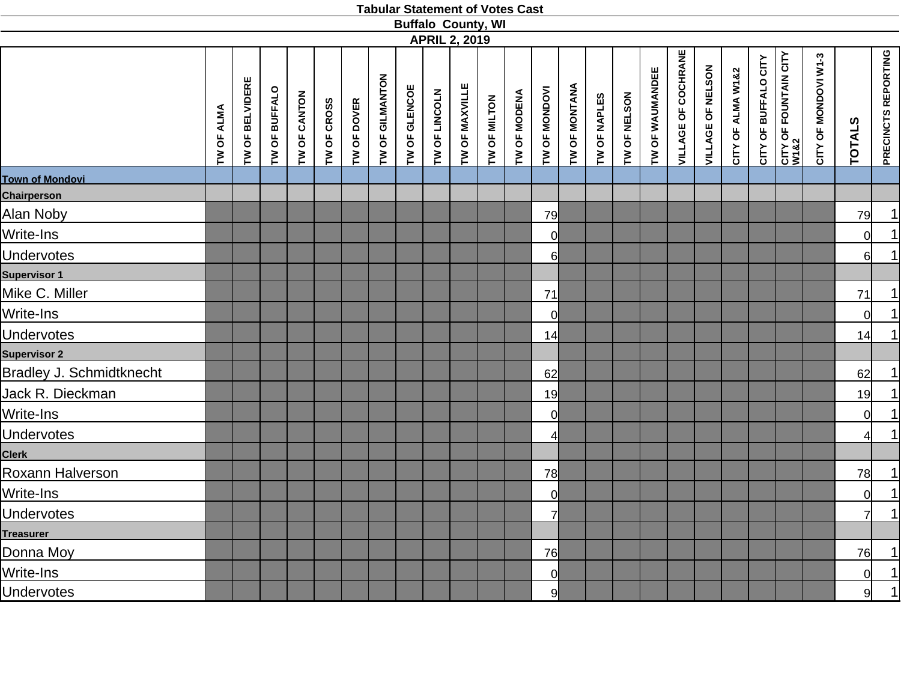|                                 |            |                        |               |              |             |                    |                 |               |               | <b>Buffalo County, WI</b><br><b>APRIL 2, 2019</b> |              |              |                |               |              |              |                 |                            |                   |                   |                      |                               |                      |               |                            |
|---------------------------------|------------|------------------------|---------------|--------------|-------------|--------------------|-----------------|---------------|---------------|---------------------------------------------------|--------------|--------------|----------------|---------------|--------------|--------------|-----------------|----------------------------|-------------------|-------------------|----------------------|-------------------------------|----------------------|---------------|----------------------------|
|                                 | TW OF ALMA | <b>TW OF BELVIDERE</b> | TW OF BUFFALO | TW OF CANTON | TW OF CROSS | <b>TW OF DOVER</b> | TW OF GILMANTON | TW OF GLENCOE | TW OF LINCOLN | TW OF MAXVILLE                                    | TW OF MILTON | TW OF MODENA | TW OF MONDOVI  | TW OF MONTANA | TW OF NAPLES | TW OF NELSON | TW OF WAUMANDEE | <b>VILLAGE OF COCHRANE</b> | VILLAGE OF NELSON | CITY OF ALMA W1&2 | CITY OF BUFFALO CITY | CITY OF FOUNTAIN CITY<br>W1&2 | CITY OF MONDOVI W1-3 | <b>TOTALS</b> | <b>PRECINCTS REPORTING</b> |
|                                 |            |                        |               |              |             |                    |                 |               |               |                                                   |              |              |                |               |              |              |                 |                            |                   |                   |                      |                               |                      |               |                            |
| <b>Town of Mondovi</b>          |            |                        |               |              |             |                    |                 |               |               |                                                   |              |              |                |               |              |              |                 |                            |                   |                   |                      |                               |                      |               |                            |
| Chairperson                     |            |                        |               |              |             |                    |                 |               |               |                                                   |              |              |                |               |              |              |                 |                            |                   |                   |                      |                               |                      |               |                            |
| Alan Noby                       |            |                        |               |              |             |                    |                 |               |               |                                                   |              |              | 79             |               |              |              |                 |                            |                   |                   |                      |                               |                      | 79            | $\frac{1}{1}$              |
| Write-Ins                       |            |                        |               |              |             |                    |                 |               |               |                                                   |              |              | 0l             |               |              |              |                 |                            |                   |                   |                      |                               |                      | 0l            |                            |
| <b>Undervotes</b>               |            |                        |               |              |             |                    |                 |               |               |                                                   |              |              | $6 \mid$       |               |              |              |                 |                            |                   |                   |                      |                               |                      | $6 \mid$      | $\overline{1}$             |
| <b>Supervisor 1</b>             |            |                        |               |              |             |                    |                 |               |               |                                                   |              |              |                |               |              |              |                 |                            |                   |                   |                      |                               |                      |               |                            |
| Mike C. Miller                  |            |                        |               |              |             |                    |                 |               |               |                                                   |              |              | 71             |               |              |              |                 |                            |                   |                   |                      |                               |                      | 71            |                            |
| Write-Ins                       |            |                        |               |              |             |                    |                 |               |               |                                                   |              |              | $\Omega$       |               |              |              |                 |                            |                   |                   |                      |                               |                      | <sup>ol</sup> | $\frac{1}{1}$              |
| <b>Undervotes</b>               |            |                        |               |              |             |                    |                 |               |               |                                                   |              |              | 14             |               |              |              |                 |                            |                   |                   |                      |                               |                      | 14            |                            |
| <b>Supervisor 2</b>             |            |                        |               |              |             |                    |                 |               |               |                                                   |              |              |                |               |              |              |                 |                            |                   |                   |                      |                               |                      |               |                            |
| <b>Bradley J. Schmidtknecht</b> |            |                        |               |              |             |                    |                 |               |               |                                                   |              |              | 62             |               |              |              |                 |                            |                   |                   |                      |                               |                      | 62            |                            |
| Jack R. Dieckman                |            |                        |               |              |             |                    |                 |               |               |                                                   |              |              | 19             |               |              |              |                 |                            |                   |                   |                      |                               |                      | 19            | $\frac{1}{1}$              |
| Write-Ins                       |            |                        |               |              |             |                    |                 |               |               |                                                   |              |              | 0l             |               |              |              |                 |                            |                   |                   |                      |                               |                      | <sub>0</sub>  |                            |
| <b>Undervotes</b>               |            |                        |               |              |             |                    |                 |               |               |                                                   |              |              | 41             |               |              |              |                 |                            |                   |                   |                      |                               |                      |               | $\overline{1}$             |
| <b>Clerk</b>                    |            |                        |               |              |             |                    |                 |               |               |                                                   |              |              |                |               |              |              |                 |                            |                   |                   |                      |                               |                      |               |                            |
| Roxann Halverson                |            |                        |               |              |             |                    |                 |               |               |                                                   |              |              | 78             |               |              |              |                 |                            |                   |                   |                      |                               |                      | 78            |                            |
| Write-Ins                       |            |                        |               |              |             |                    |                 |               |               |                                                   |              |              | $\Omega$       |               |              |              |                 |                            |                   |                   |                      |                               |                      | <sub>0</sub>  | $\frac{1}{1}$              |
| <b>Undervotes</b>               |            |                        |               |              |             |                    |                 |               |               |                                                   |              |              | 7              |               |              |              |                 |                            |                   |                   |                      |                               |                      | 7             |                            |
| <b>Treasurer</b>                |            |                        |               |              |             |                    |                 |               |               |                                                   |              |              |                |               |              |              |                 |                            |                   |                   |                      |                               |                      |               |                            |
| Donna Moy                       |            |                        |               |              |             |                    |                 |               |               |                                                   |              |              | 76             |               |              |              |                 |                            |                   |                   |                      |                               |                      | 76            | $\overline{1}$             |
| Write-Ins                       |            |                        |               |              |             |                    |                 |               |               |                                                   |              |              | $\overline{0}$ |               |              |              |                 |                            |                   |                   |                      |                               |                      | 0l            | $\frac{1}{1}$              |
| <b>Undervotes</b>               |            |                        |               |              |             |                    |                 |               |               |                                                   |              |              | 9              |               |              |              |                 |                            |                   |                   |                      |                               |                      | 9             |                            |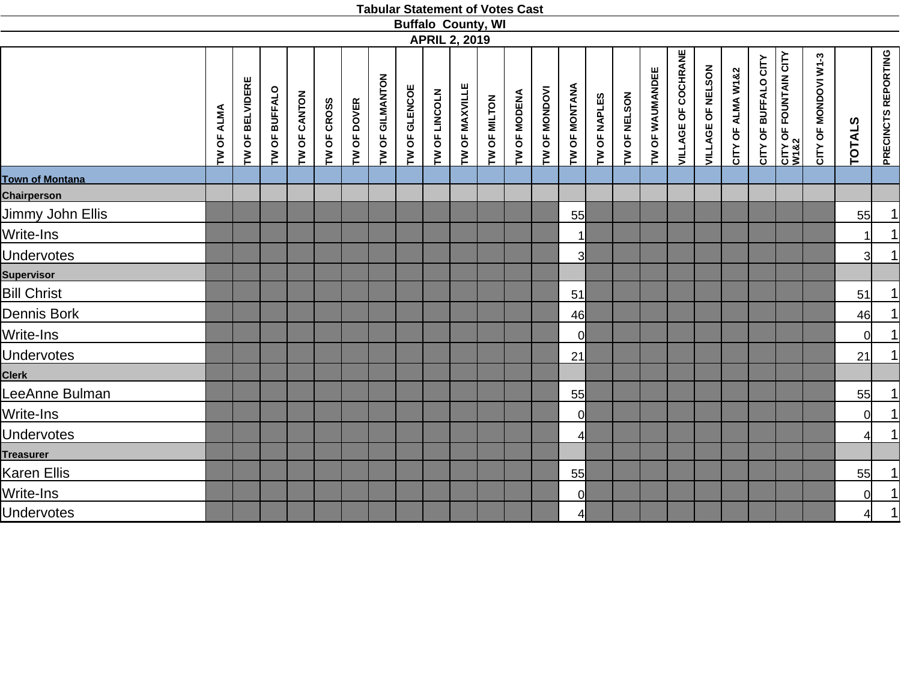|                        |                   |                 |               |              |             |             |                 | <b>Buffalo County, WI</b> |               |                      |              |              |               |                         |              |              |                 |                            |                   |                   |                      |                               |                      |                |                            |
|------------------------|-------------------|-----------------|---------------|--------------|-------------|-------------|-----------------|---------------------------|---------------|----------------------|--------------|--------------|---------------|-------------------------|--------------|--------------|-----------------|----------------------------|-------------------|-------------------|----------------------|-------------------------------|----------------------|----------------|----------------------------|
|                        |                   |                 |               |              |             |             |                 |                           |               | <b>APRIL 2, 2019</b> |              |              |               |                         |              |              |                 |                            |                   |                   |                      |                               |                      |                |                            |
|                        | <b>TW OF ALMA</b> | TW OF BELVIDERE | TW OF BUFFALO | TW OF CANTON | TW OF CROSS | TW OF DOVER | TW OF GILMANTON | TW OF GLENCOE             | TW OF LINCOLN | TW OF MAXVILLE       | TW OF MILTON | TW OF MODENA | TW OF MONDOVI | TW OF MONTANA           | TW OF NAPLES | TW OF NELSON | TW OF WAUMANDEE | <b>VILLAGE OF COCHRANE</b> | VILLAGE OF NELSON | CITY OF ALMA W1&2 | CITY OF BUFFALO CITY | CITY OF FOUNTAIN CITY<br>W1&2 | CITY OF MONDOVI W1-3 | <b>TOTALS</b>  | <b>PRECINCTS REPORTING</b> |
| <b>Town of Montana</b> |                   |                 |               |              |             |             |                 |                           |               |                      |              |              |               |                         |              |              |                 |                            |                   |                   |                      |                               |                      |                |                            |
| <b>Chairperson</b>     |                   |                 |               |              |             |             |                 |                           |               |                      |              |              |               |                         |              |              |                 |                            |                   |                   |                      |                               |                      |                |                            |
| Jimmy John Ellis       |                   |                 |               |              |             |             |                 |                           |               |                      |              |              |               | 55                      |              |              |                 |                            |                   |                   |                      |                               |                      | 55             |                            |
| Write-Ins              |                   |                 |               |              |             |             |                 |                           |               |                      |              |              |               | $\mathbf{1}$            |              |              |                 |                            |                   |                   |                      |                               |                      |                | $\frac{1}{1}$              |
| <b>Undervotes</b>      |                   |                 |               |              |             |             |                 |                           |               |                      |              |              |               | $\overline{\mathsf{3}}$ |              |              |                 |                            |                   |                   |                      |                               |                      | 31             | 1                          |
| <b>Supervisor</b>      |                   |                 |               |              |             |             |                 |                           |               |                      |              |              |               |                         |              |              |                 |                            |                   |                   |                      |                               |                      |                |                            |
| <b>Bill Christ</b>     |                   |                 |               |              |             |             |                 |                           |               |                      |              |              |               | 51                      |              |              |                 |                            |                   |                   |                      |                               |                      | 51             | $\overline{1}$             |
| Dennis Bork            |                   |                 |               |              |             |             |                 |                           |               |                      |              |              |               | 46                      |              |              |                 |                            |                   |                   |                      |                               |                      | 46             | $\frac{1}{1}$              |
| Write-Ins              |                   |                 |               |              |             |             |                 |                           |               |                      |              |              |               | <sub>0</sub>            |              |              |                 |                            |                   |                   |                      |                               |                      | 0l             |                            |
| <b>Undervotes</b>      |                   |                 |               |              |             |             |                 |                           |               |                      |              |              |               | 21                      |              |              |                 |                            |                   |                   |                      |                               |                      | 21             | $\overline{1}$             |
| Clerk                  |                   |                 |               |              |             |             |                 |                           |               |                      |              |              |               |                         |              |              |                 |                            |                   |                   |                      |                               |                      |                |                            |
| LeeAnne Bulman         |                   |                 |               |              |             |             |                 |                           |               |                      |              |              |               | 55                      |              |              |                 |                            |                   |                   |                      |                               |                      | 55             | 1                          |
| Write-Ins              |                   |                 |               |              |             |             |                 |                           |               |                      |              |              |               | <sub>0</sub>            |              |              |                 |                            |                   |                   |                      |                               |                      | $\cap$         | $\overline{1}$             |
| <b>Undervotes</b>      |                   |                 |               |              |             |             |                 |                           |               |                      |              |              |               | $\frac{4}{3}$           |              |              |                 |                            |                   |                   |                      |                               |                      | $\overline{4}$ | $\overline{1}$             |
| <b>Treasurer</b>       |                   |                 |               |              |             |             |                 |                           |               |                      |              |              |               |                         |              |              |                 |                            |                   |                   |                      |                               |                      |                |                            |
| <b>Karen Ellis</b>     |                   |                 |               |              |             |             |                 |                           |               |                      |              |              |               | 55                      |              |              |                 |                            |                   |                   |                      |                               |                      | 55             | $\frac{1}{\sqrt{2}}$       |
| Write-Ins              |                   |                 |               |              |             |             |                 |                           |               |                      |              |              |               | <sub>0</sub>            |              |              |                 |                            |                   |                   |                      |                               |                      | $\Omega$       | $\frac{1}{1}$              |
| <b>Undervotes</b>      |                   |                 |               |              |             |             |                 |                           |               |                      |              |              |               | 4                       |              |              |                 |                            |                   |                   |                      |                               |                      |                |                            |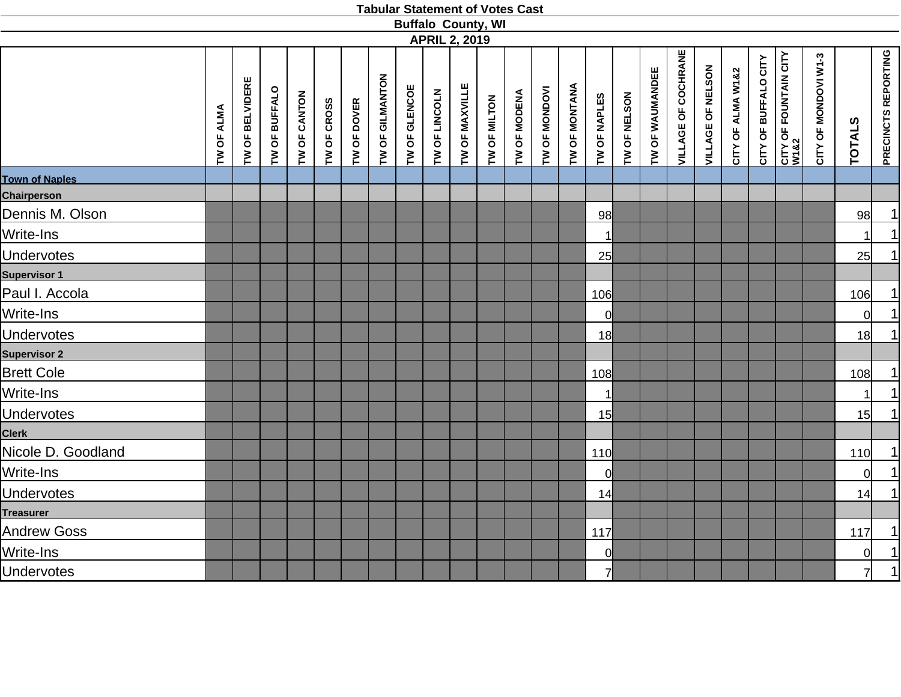|                       |            |                 |               |              |             |             |                 | <b>Buffalo County, WI</b> |               |                      |              |              |               |               |                |              |                 |                            |                   |                   |                      |                               |                      |                |                            |
|-----------------------|------------|-----------------|---------------|--------------|-------------|-------------|-----------------|---------------------------|---------------|----------------------|--------------|--------------|---------------|---------------|----------------|--------------|-----------------|----------------------------|-------------------|-------------------|----------------------|-------------------------------|----------------------|----------------|----------------------------|
|                       |            |                 |               |              |             |             |                 |                           |               | <b>APRIL 2, 2019</b> |              |              |               |               |                |              |                 |                            |                   |                   |                      |                               |                      |                |                            |
|                       | TW OF ALMA | TW OF BELVIDERE | TW OF BUFFALO | TW OF CANTON | TW OF CROSS | TW OF DOVER | TW OF GILMANTON | TW OF GLENCOE             | TW OF LINCOLN | TW OF MAXVILLE       | TW OF MILTON | TW OF MODENA | TW OF MONDOVI | TW OF MONTANA | TW OF NAPLES   | TW OF NELSON | TW OF WAUMANDEE | <b>VILLAGE OF COCHRANE</b> | VILLAGE OF NELSON | CITY OF ALMA W1&2 | CITY OF BUFFALO CITY | CITY OF FOUNTAIN CITY<br>W1&2 | CITY OF MONDOVI W1-3 | <b>TOTALS</b>  | <b>PRECINCTS REPORTING</b> |
| <b>Town of Naples</b> |            |                 |               |              |             |             |                 |                           |               |                      |              |              |               |               |                |              |                 |                            |                   |                   |                      |                               |                      |                |                            |
| <b>Chairperson</b>    |            |                 |               |              |             |             |                 |                           |               |                      |              |              |               |               |                |              |                 |                            |                   |                   |                      |                               |                      |                |                            |
| Dennis M. Olson       |            |                 |               |              |             |             |                 |                           |               |                      |              |              |               |               | 98             |              |                 |                            |                   |                   |                      |                               |                      | 98             | 1                          |
| Write-Ins             |            |                 |               |              |             |             |                 |                           |               |                      |              |              |               |               | $\mathbf{1}$   |              |                 |                            |                   |                   |                      |                               |                      |                | $\overline{1}$             |
| <b>Undervotes</b>     |            |                 |               |              |             |             |                 |                           |               |                      |              |              |               |               | 25             |              |                 |                            |                   |                   |                      |                               |                      | 25             | 1                          |
| <b>Supervisor 1</b>   |            |                 |               |              |             |             |                 |                           |               |                      |              |              |               |               |                |              |                 |                            |                   |                   |                      |                               |                      |                |                            |
| Paul I. Accola        |            |                 |               |              |             |             |                 |                           |               |                      |              |              |               |               | 106            |              |                 |                            |                   |                   |                      |                               |                      | 106            | 1                          |
| Write-Ins             |            |                 |               |              |             |             |                 |                           |               |                      |              |              |               |               | $\overline{0}$ |              |                 |                            |                   |                   |                      |                               |                      | $\Omega$       | <u>1</u>                   |
| <b>Undervotes</b>     |            |                 |               |              |             |             |                 |                           |               |                      |              |              |               |               | 18             |              |                 |                            |                   |                   |                      |                               |                      | 18             | $\overline{1}$             |
| <b>Supervisor 2</b>   |            |                 |               |              |             |             |                 |                           |               |                      |              |              |               |               |                |              |                 |                            |                   |                   |                      |                               |                      |                |                            |
| <b>Brett Cole</b>     |            |                 |               |              |             |             |                 |                           |               |                      |              |              |               |               | 108            |              |                 |                            |                   |                   |                      |                               |                      | 108            | 1                          |
| Write-Ins             |            |                 |               |              |             |             |                 |                           |               |                      |              |              |               |               | $\mathbf{1}$   |              |                 |                            |                   |                   |                      |                               |                      | $\mathbf{1}$   | $\overline{1}$             |
| <b>Undervotes</b>     |            |                 |               |              |             |             |                 |                           |               |                      |              |              |               |               | 15             |              |                 |                            |                   |                   |                      |                               |                      | 15             | $\overline{1}$             |
| <b>Clerk</b>          |            |                 |               |              |             |             |                 |                           |               |                      |              |              |               |               |                |              |                 |                            |                   |                   |                      |                               |                      |                |                            |
| Nicole D. Goodland    |            |                 |               |              |             |             |                 |                           |               |                      |              |              |               |               | 110            |              |                 |                            |                   |                   |                      |                               |                      | 110            | 1                          |
| Write-Ins             |            |                 |               |              |             |             |                 |                           |               |                      |              |              |               |               | 0              |              |                 |                            |                   |                   |                      |                               |                      | $\Omega$       | 1                          |
| <b>Undervotes</b>     |            |                 |               |              |             |             |                 |                           |               |                      |              |              |               |               | 14             |              |                 |                            |                   |                   |                      |                               |                      | 14             | 1                          |
| <b>Treasurer</b>      |            |                 |               |              |             |             |                 |                           |               |                      |              |              |               |               |                |              |                 |                            |                   |                   |                      |                               |                      |                |                            |
| <b>Andrew Goss</b>    |            |                 |               |              |             |             |                 |                           |               |                      |              |              |               |               | 117            |              |                 |                            |                   |                   |                      |                               |                      | 117            |                            |
| Write-Ins             |            |                 |               |              |             |             |                 |                           |               |                      |              |              |               |               | $\mathbf{0}$   |              |                 |                            |                   |                   |                      |                               |                      | $\overline{0}$ | $\frac{1}{1}$              |
| <b>Undervotes</b>     |            |                 |               |              |             |             |                 |                           |               |                      |              |              |               |               | $\overline{7}$ |              |                 |                            |                   |                   |                      |                               |                      | 7              |                            |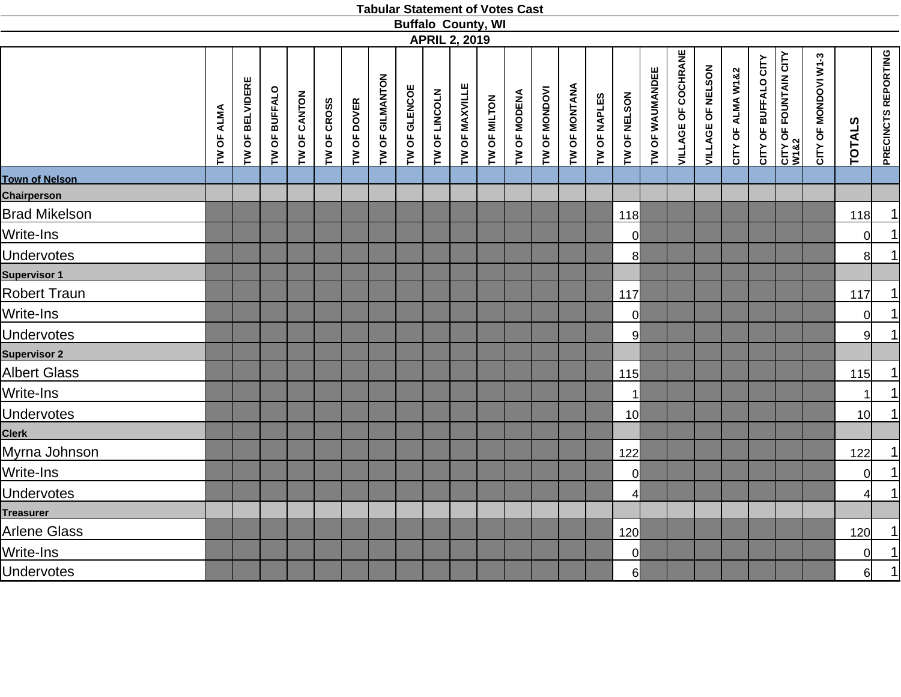|                       |            |                 |               |                     |             |             |                 | <b>Buffalo County, WI</b> |               |                      |              |              |               |               |              |                 |                 |                            |                   |                   |                      |                               |                      |                 |                            |
|-----------------------|------------|-----------------|---------------|---------------------|-------------|-------------|-----------------|---------------------------|---------------|----------------------|--------------|--------------|---------------|---------------|--------------|-----------------|-----------------|----------------------------|-------------------|-------------------|----------------------|-------------------------------|----------------------|-----------------|----------------------------|
|                       |            |                 |               |                     |             |             |                 |                           |               | <b>APRIL 2, 2019</b> |              |              |               |               |              |                 |                 |                            |                   |                   |                      |                               |                      |                 |                            |
|                       | TW OF ALMA | TW OF BELVIDERE | TW OF BUFFALO | <b>TW OF CANTON</b> | TW OF CROSS | TW OF DOVER | TW OF GILMANTON | TW OF GLENCOE             | TW OF LINCOLN | TW OF MAXVILLE       | TW OF MILTON | TW OF MODENA | TW OF MONDOVI | TW OF MONTANA | TW OF NAPLES | TW OF NELSON    | TW OF WAUMANDEE | <b>VILLAGE OF COCHRANE</b> | VILLAGE OF NELSON | CITY OF ALMA W1&2 | CITY OF BUFFALO CITY | CITY OF FOUNTAIN CITY<br>W1&2 | CITY OF MONDOVI W1-3 | <b>TOTALS</b>   | <b>PRECINCTS REPORTING</b> |
| <b>Town of Nelson</b> |            |                 |               |                     |             |             |                 |                           |               |                      |              |              |               |               |              |                 |                 |                            |                   |                   |                      |                               |                      |                 |                            |
| <b>Chairperson</b>    |            |                 |               |                     |             |             |                 |                           |               |                      |              |              |               |               |              |                 |                 |                            |                   |                   |                      |                               |                      |                 |                            |
| <b>Brad Mikelson</b>  |            |                 |               |                     |             |             |                 |                           |               |                      |              |              |               |               |              | 118             |                 |                            |                   |                   |                      |                               |                      | 118             | 1                          |
| Write-Ins             |            |                 |               |                     |             |             |                 |                           |               |                      |              |              |               |               |              | 0               |                 |                            |                   |                   |                      |                               |                      | $\Omega$        | $\overline{1}$             |
| <b>Undervotes</b>     |            |                 |               |                     |             |             |                 |                           |               |                      |              |              |               |               |              | 8               |                 |                            |                   |                   |                      |                               |                      | 8               | $\overline{1}$             |
| <b>Supervisor 1</b>   |            |                 |               |                     |             |             |                 |                           |               |                      |              |              |               |               |              |                 |                 |                            |                   |                   |                      |                               |                      |                 |                            |
| <b>Robert Traun</b>   |            |                 |               |                     |             |             |                 |                           |               |                      |              |              |               |               |              | 117             |                 |                            |                   |                   |                      |                               |                      | $117$           | $\overline{1}$             |
| Write-Ins             |            |                 |               |                     |             |             |                 |                           |               |                      |              |              |               |               |              | $\overline{0}$  |                 |                            |                   |                   |                      |                               |                      | $\Omega$        | $\frac{1}{1}$              |
| <b>Undervotes</b>     |            |                 |               |                     |             |             |                 |                           |               |                      |              |              |               |               |              | 9               |                 |                            |                   |                   |                      |                               |                      | $\overline{9}$  |                            |
| <b>Supervisor 2</b>   |            |                 |               |                     |             |             |                 |                           |               |                      |              |              |               |               |              |                 |                 |                            |                   |                   |                      |                               |                      |                 |                            |
| <b>Albert Glass</b>   |            |                 |               |                     |             |             |                 |                           |               |                      |              |              |               |               |              | 115             |                 |                            |                   |                   |                      |                               |                      | 115             | 1                          |
| Write-Ins             |            |                 |               |                     |             |             |                 |                           |               |                      |              |              |               |               |              | $\mathbf 1$     |                 |                            |                   |                   |                      |                               |                      | $\mathbf{1}$    | $\overline{1}$             |
| <b>Undervotes</b>     |            |                 |               |                     |             |             |                 |                           |               |                      |              |              |               |               |              | 10 <sup>1</sup> |                 |                            |                   |                   |                      |                               |                      | 10 <sub>l</sub> | $\overline{1}$             |
| <b>Clerk</b>          |            |                 |               |                     |             |             |                 |                           |               |                      |              |              |               |               |              |                 |                 |                            |                   |                   |                      |                               |                      |                 |                            |
| Myrna Johnson         |            |                 |               |                     |             |             |                 |                           |               |                      |              |              |               |               |              | 122             |                 |                            |                   |                   |                      |                               |                      | 122             | <u>1 </u>                  |
| Write-Ins             |            |                 |               |                     |             |             |                 |                           |               |                      |              |              |               |               |              | <sup>ol</sup>   |                 |                            |                   |                   |                      |                               |                      | $\Omega$        | $\overline{1}$             |
| <b>Undervotes</b>     |            |                 |               |                     |             |             |                 |                           |               |                      |              |              |               |               |              | $\overline{4}$  |                 |                            |                   |                   |                      |                               |                      | $\overline{4}$  | 1                          |
| <b>Treasurer</b>      |            |                 |               |                     |             |             |                 |                           |               |                      |              |              |               |               |              |                 |                 |                            |                   |                   |                      |                               |                      |                 |                            |
| <b>Arlene Glass</b>   |            |                 |               |                     |             |             |                 |                           |               |                      |              |              |               |               |              | 120             |                 |                            |                   |                   |                      |                               |                      | 120             |                            |
| Write-Ins             |            |                 |               |                     |             |             |                 |                           |               |                      |              |              |               |               |              | $\overline{0}$  |                 |                            |                   |                   |                      |                               |                      | $\overline{0}$  | $\frac{1}{1}$              |
| <b>Undervotes</b>     |            |                 |               |                     |             |             |                 |                           |               |                      |              |              |               |               |              | 6               |                 |                            |                   |                   |                      |                               |                      | $6 \mid$        |                            |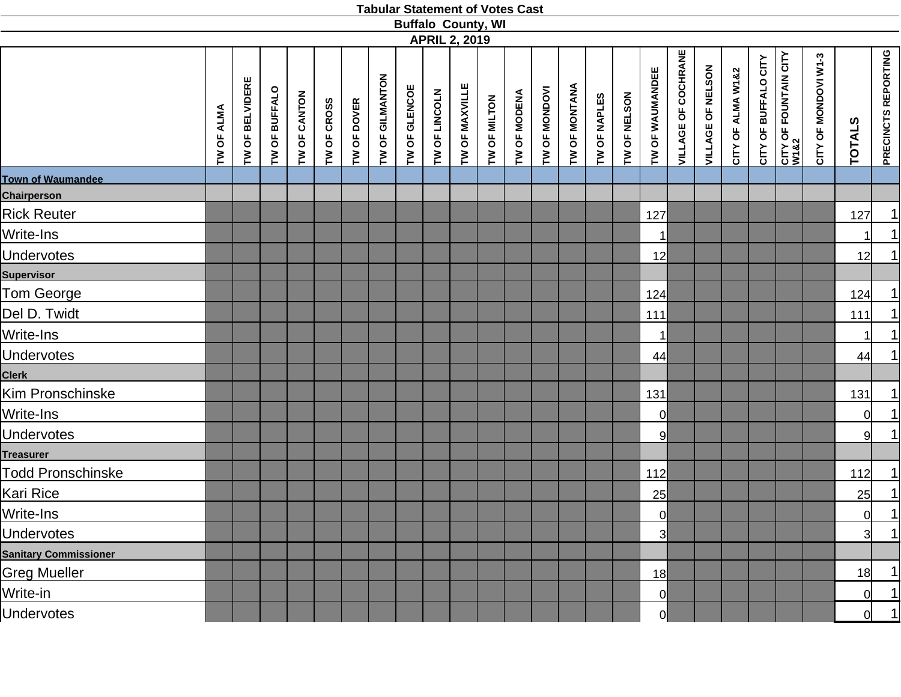|                              |            |                 |               |              |             |                    |                 |               | <b>APRIL 2, 2019</b> |                | <b>Buffalo County, WI</b> |              |               |               |              |              |                 |                            |                   |                   |                      |                                           |                      |                |                                          |
|------------------------------|------------|-----------------|---------------|--------------|-------------|--------------------|-----------------|---------------|----------------------|----------------|---------------------------|--------------|---------------|---------------|--------------|--------------|-----------------|----------------------------|-------------------|-------------------|----------------------|-------------------------------------------|----------------------|----------------|------------------------------------------|
|                              | TW OF ALMA | TW OF BELVIDERE | TW OF BUFFALO | TW OF CANTON | TW OF CROSS | <b>TW OF DOVER</b> | TW OF GILMANTON | TW OF GLENCOE | TW OF LINCOLN        | TW OF MAXVILLE | TW OF MILTON              | TW OF MODENA | TW OF MONDOVI | TW OF MONTANA | TW OF NAPLES | TW OF NELSON | TW OF WAUMANDEE | <b>VILLAGE OF COCHRANE</b> | VILLAGE OF NELSON | CITY OF ALMA W1&2 | CITY OF BUFFALO CITY | <b>CITY OF FOUNTAIN CITY<br/>W1&amp;2</b> | CITY OF MONDOVI W1-3 | <b>TOTALS</b>  | <b>PRECINCTS REPORTING</b>               |
| <b>Town of Waumandee</b>     |            |                 |               |              |             |                    |                 |               |                      |                |                           |              |               |               |              |              |                 |                            |                   |                   |                      |                                           |                      |                |                                          |
| <b>Chairperson</b>           |            |                 |               |              |             |                    |                 |               |                      |                |                           |              |               |               |              |              |                 |                            |                   |                   |                      |                                           |                      |                |                                          |
| <b>Rick Reuter</b>           |            |                 |               |              |             |                    |                 |               |                      |                |                           |              |               |               |              |              | 127             |                            |                   |                   |                      |                                           |                      | 127            | <u>1 </u>                                |
| Write-Ins                    |            |                 |               |              |             |                    |                 |               |                      |                |                           |              |               |               |              |              | $\vert$ 1       |                            |                   |                   |                      |                                           |                      |                | 1                                        |
| <b>Undervotes</b>            |            |                 |               |              |             |                    |                 |               |                      |                |                           |              |               |               |              |              | 12              |                            |                   |                   |                      |                                           |                      | 12             | 1                                        |
| <b>Supervisor</b>            |            |                 |               |              |             |                    |                 |               |                      |                |                           |              |               |               |              |              |                 |                            |                   |                   |                      |                                           |                      |                |                                          |
| Tom George                   |            |                 |               |              |             |                    |                 |               |                      |                |                           |              |               |               |              |              | 124             |                            |                   |                   |                      |                                           |                      | 124            | 1                                        |
| Del D. Twidt                 |            |                 |               |              |             |                    |                 |               |                      |                |                           |              |               |               |              |              | 111             |                            |                   |                   |                      |                                           |                      | 111            | $\overline{1}$                           |
| Write-Ins                    |            |                 |               |              |             |                    |                 |               |                      |                |                           |              |               |               |              |              | 1               |                            |                   |                   |                      |                                           |                      | 11             | $\begin{array}{c} \boxed{1} \end{array}$ |
| <b>Undervotes</b>            |            |                 |               |              |             |                    |                 |               |                      |                |                           |              |               |               |              |              | 44              |                            |                   |                   |                      |                                           |                      | 44             | $\overline{1}$                           |
| <b>Clerk</b>                 |            |                 |               |              |             |                    |                 |               |                      |                |                           |              |               |               |              |              |                 |                            |                   |                   |                      |                                           |                      |                |                                          |
| Kim Pronschinske             |            |                 |               |              |             |                    |                 |               |                      |                |                           |              |               |               |              |              | 131             |                            |                   |                   |                      |                                           |                      | 131            | $\overline{1}$                           |
| Write-Ins                    |            |                 |               |              |             |                    |                 |               |                      |                |                           |              |               |               |              |              | 0l              |                            |                   |                   |                      |                                           |                      | 0l             | $\overline{1}$                           |
| <b>Undervotes</b>            |            |                 |               |              |             |                    |                 |               |                      |                |                           |              |               |               |              |              | 9               |                            |                   |                   |                      |                                           |                      | 9 <sup>1</sup> | 1                                        |
| <b>Treasurer</b>             |            |                 |               |              |             |                    |                 |               |                      |                |                           |              |               |               |              |              |                 |                            |                   |                   |                      |                                           |                      |                |                                          |
| Todd Pronschinske            |            |                 |               |              |             |                    |                 |               |                      |                |                           |              |               |               |              |              | 112             |                            |                   |                   |                      |                                           |                      | 112            |                                          |
| Kari Rice                    |            |                 |               |              |             |                    |                 |               |                      |                |                           |              |               |               |              |              | 25              |                            |                   |                   |                      |                                           |                      | 25             | $\frac{1}{1}$                            |
| Write-Ins                    |            |                 |               |              |             |                    |                 |               |                      |                |                           |              |               |               |              |              | 0l              |                            |                   |                   |                      |                                           |                      | <sup>0</sup>   |                                          |
| <b>Undervotes</b>            |            |                 |               |              |             |                    |                 |               |                      |                |                           |              |               |               |              |              | 3               |                            |                   |                   |                      |                                           |                      | 31             | $\overline{1}$                           |
| <b>Sanitary Commissioner</b> |            |                 |               |              |             |                    |                 |               |                      |                |                           |              |               |               |              |              |                 |                            |                   |                   |                      |                                           |                      |                |                                          |
| <b>Greg Mueller</b>          |            |                 |               |              |             |                    |                 |               |                      |                |                           |              |               |               |              |              | 18              |                            |                   |                   |                      |                                           |                      | 18             | 1                                        |
| Write-in                     |            |                 |               |              |             |                    |                 |               |                      |                |                           |              |               |               |              |              | 0               |                            |                   |                   |                      |                                           |                      | $\Omega$       | 1                                        |
| <b>Undervotes</b>            |            |                 |               |              |             |                    |                 |               |                      |                |                           |              |               |               |              |              | $\overline{0}$  |                            |                   |                   |                      |                                           |                      | <sub>0</sub>   | 1                                        |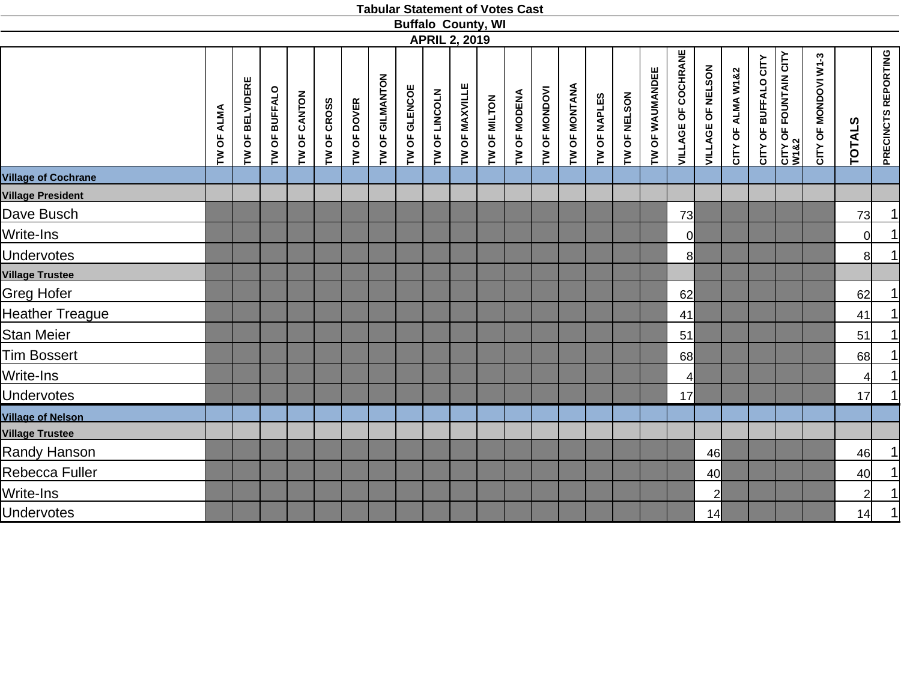|                                        |                   |                 |               |              |             |                    |                 | <b>Buffalo County, WI</b> |               | <b>APRIL 2, 2019</b> |              |              |               |               |              |              |                 |                            |                   |                   |                      |                               |                      |                |                            |
|----------------------------------------|-------------------|-----------------|---------------|--------------|-------------|--------------------|-----------------|---------------------------|---------------|----------------------|--------------|--------------|---------------|---------------|--------------|--------------|-----------------|----------------------------|-------------------|-------------------|----------------------|-------------------------------|----------------------|----------------|----------------------------|
|                                        | <b>TW OF ALMA</b> | TW OF BELVIDERE | TW OF BUFFALO | TW OF CANTON | TW OF CROSS | <b>TW OF DOVER</b> | TW OF GILMANTON | TW OF GLENCOE             | TW OF LINCOLN | TW OF MAXVILLE       | TW OF MILTON | TW OF MODENA | TW OF MONDOVI | TW OF MONTANA | TW OF NAPLES | TW OF NELSON | TW OF WAUMANDEE | <b>VILLAGE OF COCHRANE</b> | VILLAGE OF NELSON | CITY OF ALMA W1&2 | CITY OF BUFFALO CITY | CITY OF FOUNTAIN CITY<br>W1&2 | CITY OF MONDOVI W1-3 | <b>TOTALS</b>  | <b>PRECINCTS REPORTING</b> |
| <b>Village of Cochrane</b>             |                   |                 |               |              |             |                    |                 |                           |               |                      |              |              |               |               |              |              |                 |                            |                   |                   |                      |                               |                      |                |                            |
| <b>Village President</b><br>Dave Busch |                   |                 |               |              |             |                    |                 |                           |               |                      |              |              |               |               |              |              |                 |                            |                   |                   |                      |                               |                      | 73             | 1                          |
|                                        |                   |                 |               |              |             |                    |                 |                           |               |                      |              |              |               |               |              |              |                 | 73                         |                   |                   |                      |                               |                      |                |                            |
| Write-Ins                              |                   |                 |               |              |             |                    |                 |                           |               |                      |              |              |               |               |              |              |                 | $\overline{0}$             |                   |                   |                      |                               |                      | $\overline{0}$ | $\frac{1}{1}$              |
| <b>Undervotes</b>                      |                   |                 |               |              |             |                    |                 |                           |               |                      |              |              |               |               |              |              |                 | 8                          |                   |                   |                      |                               |                      | 8              |                            |
| <b>Village Trustee</b>                 |                   |                 |               |              |             |                    |                 |                           |               |                      |              |              |               |               |              |              |                 |                            |                   |                   |                      |                               |                      |                |                            |
| <b>Greg Hofer</b>                      |                   |                 |               |              |             |                    |                 |                           |               |                      |              |              |               |               |              |              |                 | 62                         |                   |                   |                      |                               |                      | 62             | 1                          |
| <b>Heather Treague</b>                 |                   |                 |               |              |             |                    |                 |                           |               |                      |              |              |               |               |              |              |                 | 41                         |                   |                   |                      |                               |                      | 41             | $\frac{1}{1}$              |
| <b>Stan Meier</b>                      |                   |                 |               |              |             |                    |                 |                           |               |                      |              |              |               |               |              |              |                 | 51                         |                   |                   |                      |                               |                      | 51             |                            |
| Tim Bossert                            |                   |                 |               |              |             |                    |                 |                           |               |                      |              |              |               |               |              |              |                 | 68                         |                   |                   |                      |                               |                      | 68             | $\frac{1}{\vert 1 \vert}$  |
| Write-Ins                              |                   |                 |               |              |             |                    |                 |                           |               |                      |              |              |               |               |              |              |                 | $\overline{4}$             |                   |                   |                      |                               |                      | $\overline{4}$ |                            |
| <b>Undervotes</b>                      |                   |                 |               |              |             |                    |                 |                           |               |                      |              |              |               |               |              |              |                 | 17                         |                   |                   |                      |                               |                      | 17             |                            |
| <b>Village of Nelson</b>               |                   |                 |               |              |             |                    |                 |                           |               |                      |              |              |               |               |              |              |                 |                            |                   |                   |                      |                               |                      |                |                            |
| <b>Village Trustee</b>                 |                   |                 |               |              |             |                    |                 |                           |               |                      |              |              |               |               |              |              |                 |                            |                   |                   |                      |                               |                      |                |                            |
| <b>Randy Hanson</b>                    |                   |                 |               |              |             |                    |                 |                           |               |                      |              |              |               |               |              |              |                 |                            | 46                |                   |                      |                               |                      | 46             | 1                          |
| Rebecca Fuller                         |                   |                 |               |              |             |                    |                 |                           |               |                      |              |              |               |               |              |              |                 |                            | 40                |                   |                      |                               |                      | 40             | $\overline{1}$             |
| Write-Ins                              |                   |                 |               |              |             |                    |                 |                           |               |                      |              |              |               |               |              |              |                 |                            | $\overline{2}$    |                   |                      |                               |                      | 2              | $\overline{\mathbf{1}}$    |
| <b>Undervotes</b>                      |                   |                 |               |              |             |                    |                 |                           |               |                      |              |              |               |               |              |              |                 |                            | 14                |                   |                      |                               |                      | 14             | $\overline{1}$             |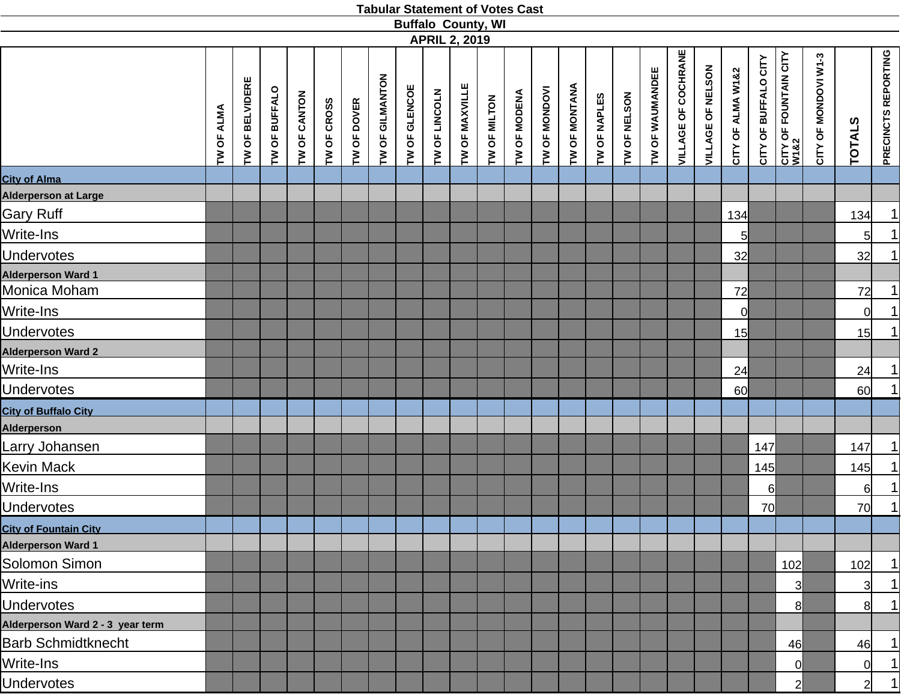|                                  |            |                 |               |              |             |             |                 | <b>Buffalo County, WI</b> | <b>APRIL 2, 2019</b> |                |              |              |               |               |              |              |                        |                            |                   |                   |                      |                               |                      |                |                     |
|----------------------------------|------------|-----------------|---------------|--------------|-------------|-------------|-----------------|---------------------------|----------------------|----------------|--------------|--------------|---------------|---------------|--------------|--------------|------------------------|----------------------------|-------------------|-------------------|----------------------|-------------------------------|----------------------|----------------|---------------------|
|                                  | TW OF ALMA | TW OF BELVIDERE | TW OF BUFFALO | TW OF CANTON | TW OF CROSS | TW OF DOVER | TW OF GILMANTON | TW OF GLENCOE             | TW OF LINCOLN        | TW OF MAXVILLE | TW OF MILTON | TW OF MODENA | TW OF MONDOVI | TW OF MONTANA | TW OF NAPLES | TW OF NELSON | <b>TW OF WAUMANDEE</b> | <b>VILLAGE OF COCHRANE</b> | VILLAGE OF NELSON | CITY OF ALMA W1&2 | CITY OF BUFFALO CITY | CITY OF FOUNTAIN CITY<br>W1&2 | CITY OF MONDOVI W1-3 | <b>TOTALS</b>  | PRECINCTS REPORTING |
| <b>City of Alma</b>              |            |                 |               |              |             |             |                 |                           |                      |                |              |              |               |               |              |              |                        |                            |                   |                   |                      |                               |                      |                |                     |
| Alderperson at Large             |            |                 |               |              |             |             |                 |                           |                      |                |              |              |               |               |              |              |                        |                            |                   |                   |                      |                               |                      |                |                     |
| <b>Gary Ruff</b>                 |            |                 |               |              |             |             |                 |                           |                      |                |              |              |               |               |              |              |                        |                            |                   | 134               |                      |                               |                      | 134            | 1                   |
| Write-Ins                        |            |                 |               |              |             |             |                 |                           |                      |                |              |              |               |               |              |              |                        |                            |                   | 5 <sub>l</sub>    |                      |                               |                      | 5              | 1                   |
| <b>Undervotes</b>                |            |                 |               |              |             |             |                 |                           |                      |                |              |              |               |               |              |              |                        |                            |                   | 32                |                      |                               |                      | 32             | 1                   |
| <b>Alderperson Ward 1</b>        |            |                 |               |              |             |             |                 |                           |                      |                |              |              |               |               |              |              |                        |                            |                   |                   |                      |                               |                      |                |                     |
| Monica Moham                     |            |                 |               |              |             |             |                 |                           |                      |                |              |              |               |               |              |              |                        |                            |                   | 72                |                      |                               |                      | 72             | 1                   |
| Write-Ins                        |            |                 |               |              |             |             |                 |                           |                      |                |              |              |               |               |              |              |                        |                            |                   | $\overline{0}$    |                      |                               |                      | $\overline{0}$ | 1                   |
| <b>Undervotes</b>                |            |                 |               |              |             |             |                 |                           |                      |                |              |              |               |               |              |              |                        |                            |                   | 15                |                      |                               |                      | 15             | 1                   |
| <b>Alderperson Ward 2</b>        |            |                 |               |              |             |             |                 |                           |                      |                |              |              |               |               |              |              |                        |                            |                   |                   |                      |                               |                      |                |                     |
| Write-Ins                        |            |                 |               |              |             |             |                 |                           |                      |                |              |              |               |               |              |              |                        |                            |                   | 24                |                      |                               |                      | 24             | 1                   |
| <b>Undervotes</b>                |            |                 |               |              |             |             |                 |                           |                      |                |              |              |               |               |              |              |                        |                            |                   | 60                |                      |                               |                      | 60             | 1                   |
| <b>City of Buffalo City</b>      |            |                 |               |              |             |             |                 |                           |                      |                |              |              |               |               |              |              |                        |                            |                   |                   |                      |                               |                      |                |                     |
| <b>Alderperson</b>               |            |                 |               |              |             |             |                 |                           |                      |                |              |              |               |               |              |              |                        |                            |                   |                   |                      |                               |                      |                |                     |
| Larry Johansen                   |            |                 |               |              |             |             |                 |                           |                      |                |              |              |               |               |              |              |                        |                            |                   |                   | 147                  |                               |                      | 147            | 1                   |
| <b>Kevin Mack</b>                |            |                 |               |              |             |             |                 |                           |                      |                |              |              |               |               |              |              |                        |                            |                   |                   | 145                  |                               |                      | 145            | 1                   |
| Write-Ins                        |            |                 |               |              |             |             |                 |                           |                      |                |              |              |               |               |              |              |                        |                            |                   |                   | 6l                   |                               |                      | 6              | 1                   |
| <b>Undervotes</b>                |            |                 |               |              |             |             |                 |                           |                      |                |              |              |               |               |              |              |                        |                            |                   |                   | 70                   |                               |                      | 70             | 1                   |
| <b>City of Fountain City</b>     |            |                 |               |              |             |             |                 |                           |                      |                |              |              |               |               |              |              |                        |                            |                   |                   |                      |                               |                      |                |                     |
| <b>Alderperson Ward 1</b>        |            |                 |               |              |             |             |                 |                           |                      |                |              |              |               |               |              |              |                        |                            |                   |                   |                      |                               |                      |                |                     |
| Solomon Simon                    |            |                 |               |              |             |             |                 |                           |                      |                |              |              |               |               |              |              |                        |                            |                   |                   |                      | 102                           |                      | 102            | 1                   |
| Write-ins                        |            |                 |               |              |             |             |                 |                           |                      |                |              |              |               |               |              |              |                        |                            |                   |                   |                      | 3                             |                      | $\overline{3}$ | 1                   |
| <b>Undervotes</b>                |            |                 |               |              |             |             |                 |                           |                      |                |              |              |               |               |              |              |                        |                            |                   |                   |                      | 8                             |                      | 8              | 1                   |
| Alderperson Ward 2 - 3 year term |            |                 |               |              |             |             |                 |                           |                      |                |              |              |               |               |              |              |                        |                            |                   |                   |                      |                               |                      |                |                     |
| <b>Barb Schmidtknecht</b>        |            |                 |               |              |             |             |                 |                           |                      |                |              |              |               |               |              |              |                        |                            |                   |                   |                      | 46                            |                      | 46             | 11                  |
| Write-Ins                        |            |                 |               |              |             |             |                 |                           |                      |                |              |              |               |               |              |              |                        |                            |                   |                   |                      | 01                            |                      | $\overline{0}$ | 1                   |
| <b>Undervotes</b>                |            |                 |               |              |             |             |                 |                           |                      |                |              |              |               |               |              |              |                        |                            |                   |                   |                      | $\mathbf{z}$                  |                      | $\overline{2}$ | 1                   |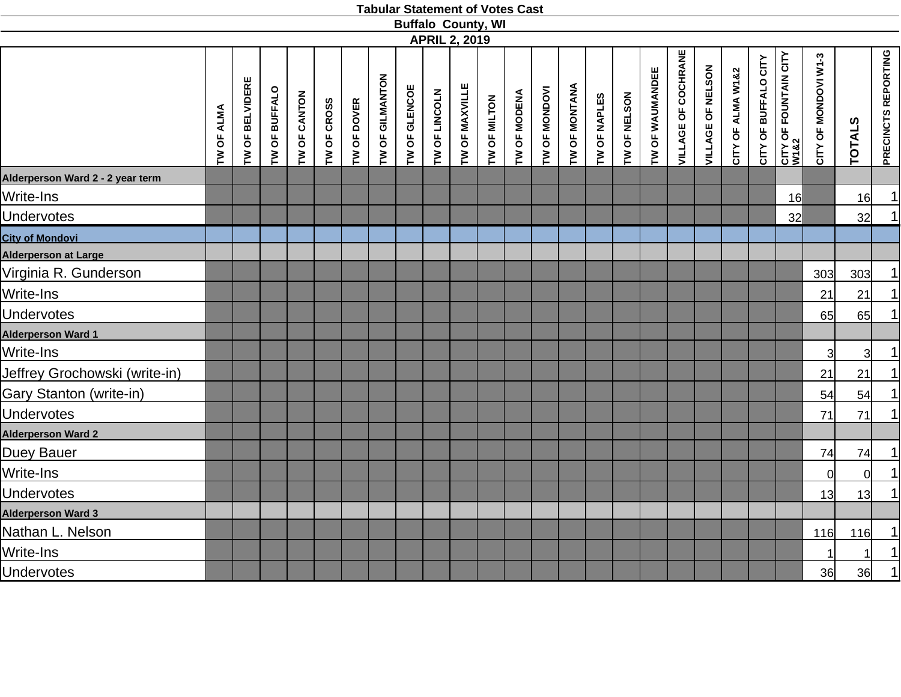|                                  |            |                                   |               |              |             |             |                 |               |               |                      | <b>Buffalo County, WI</b> |              |               |               |              |              |                 |                            |                   |                   |                      |                               |                      |                |                     |
|----------------------------------|------------|-----------------------------------|---------------|--------------|-------------|-------------|-----------------|---------------|---------------|----------------------|---------------------------|--------------|---------------|---------------|--------------|--------------|-----------------|----------------------------|-------------------|-------------------|----------------------|-------------------------------|----------------------|----------------|---------------------|
|                                  |            |                                   |               |              |             |             |                 |               |               | <b>APRIL 2, 2019</b> |                           |              |               |               |              |              |                 |                            |                   |                   |                      |                               |                      |                |                     |
|                                  | TW OF ALMA | OF BELVIDERE<br>$\mathsf{\Sigma}$ | TW OF BUFFALO | TW OF CANTON | TW OF CROSS | TW OF DOVER | TW OF GILMANTON | TW OF GLENCOE | TW OF LINCOLN | TW OF MAXVILLE       | TW OF MILTON              | TW OF MODENA | TW OF MONDOVI | TW OF MONTANA | TW OF NAPLES | TW OF NELSON | TW OF WAUMANDEE | <b>VILLAGE OF COCHRANE</b> | VILLAGE OF NELSON | CITY OF ALMA W1&2 | CITY OF BUFFALO CITY | CITY OF FOUNTAIN CITY<br>W1&2 | CITY OF MONDOVI W1-3 | <b>TOTALS</b>  | PRECINCTS REPORTING |
| Alderperson Ward 2 - 2 year term |            |                                   |               |              |             |             |                 |               |               |                      |                           |              |               |               |              |              |                 |                            |                   |                   |                      |                               |                      |                |                     |
| Write-Ins                        |            |                                   |               |              |             |             |                 |               |               |                      |                           |              |               |               |              |              |                 |                            |                   |                   |                      | 16                            |                      | 16             | $\vert$             |
| <b>Undervotes</b>                |            |                                   |               |              |             |             |                 |               |               |                      |                           |              |               |               |              |              |                 |                            |                   |                   |                      | 32                            |                      | 32             | $\vert$             |
| <b>City of Mondovi</b>           |            |                                   |               |              |             |             |                 |               |               |                      |                           |              |               |               |              |              |                 |                            |                   |                   |                      |                               |                      |                |                     |
| Alderperson at Large             |            |                                   |               |              |             |             |                 |               |               |                      |                           |              |               |               |              |              |                 |                            |                   |                   |                      |                               |                      |                |                     |
| Virginia R. Gunderson            |            |                                   |               |              |             |             |                 |               |               |                      |                           |              |               |               |              |              |                 |                            |                   |                   |                      |                               | 303                  | 303            | $\vert$             |
| Write-Ins                        |            |                                   |               |              |             |             |                 |               |               |                      |                           |              |               |               |              |              |                 |                            |                   |                   |                      |                               | 21                   | 21             | $\vert$             |
| <b>Undervotes</b>                |            |                                   |               |              |             |             |                 |               |               |                      |                           |              |               |               |              |              |                 |                            |                   |                   |                      |                               | 65                   | 65             | $\vert$             |
| <b>Alderperson Ward 1</b>        |            |                                   |               |              |             |             |                 |               |               |                      |                           |              |               |               |              |              |                 |                            |                   |                   |                      |                               |                      |                |                     |
| Write-Ins                        |            |                                   |               |              |             |             |                 |               |               |                      |                           |              |               |               |              |              |                 |                            |                   |                   |                      |                               | $\overline{3}$       | 3 <sup>1</sup> | $\vert$             |
| Jeffrey Grochowski (write-in)    |            |                                   |               |              |             |             |                 |               |               |                      |                           |              |               |               |              |              |                 |                            |                   |                   |                      |                               | 21                   | 21             | $\vert$             |
| Gary Stanton (write-in)          |            |                                   |               |              |             |             |                 |               |               |                      |                           |              |               |               |              |              |                 |                            |                   |                   |                      |                               | 54                   | 54             | $\vert$ 1           |
| <b>Undervotes</b>                |            |                                   |               |              |             |             |                 |               |               |                      |                           |              |               |               |              |              |                 |                            |                   |                   |                      |                               | 71                   | 71             | $\vert$             |
| <b>Alderperson Ward 2</b>        |            |                                   |               |              |             |             |                 |               |               |                      |                           |              |               |               |              |              |                 |                            |                   |                   |                      |                               |                      |                |                     |
| Duey Bauer                       |            |                                   |               |              |             |             |                 |               |               |                      |                           |              |               |               |              |              |                 |                            |                   |                   |                      |                               | 74                   | 74             | $\vert$             |
| Write-Ins                        |            |                                   |               |              |             |             |                 |               |               |                      |                           |              |               |               |              |              |                 |                            |                   |                   |                      |                               | $\Omega$             | <sub>0</sub>   | $\vert$             |
| <b>Undervotes</b>                |            |                                   |               |              |             |             |                 |               |               |                      |                           |              |               |               |              |              |                 |                            |                   |                   |                      |                               | 13                   | 13             | $\vert$             |
| Alderperson Ward 3               |            |                                   |               |              |             |             |                 |               |               |                      |                           |              |               |               |              |              |                 |                            |                   |                   |                      |                               |                      |                |                     |
| Nathan L. Nelson                 |            |                                   |               |              |             |             |                 |               |               |                      |                           |              |               |               |              |              |                 |                            |                   |                   |                      |                               | 116                  | 116            | $\vert$ 1           |
| Write-Ins                        |            |                                   |               |              |             |             |                 |               |               |                      |                           |              |               |               |              |              |                 |                            |                   |                   |                      |                               |                      | 1              | 1                   |
| <b>Undervotes</b>                |            |                                   |               |              |             |             |                 |               |               |                      |                           |              |               |               |              |              |                 |                            |                   |                   |                      |                               | 36                   | 36             | $\vert$             |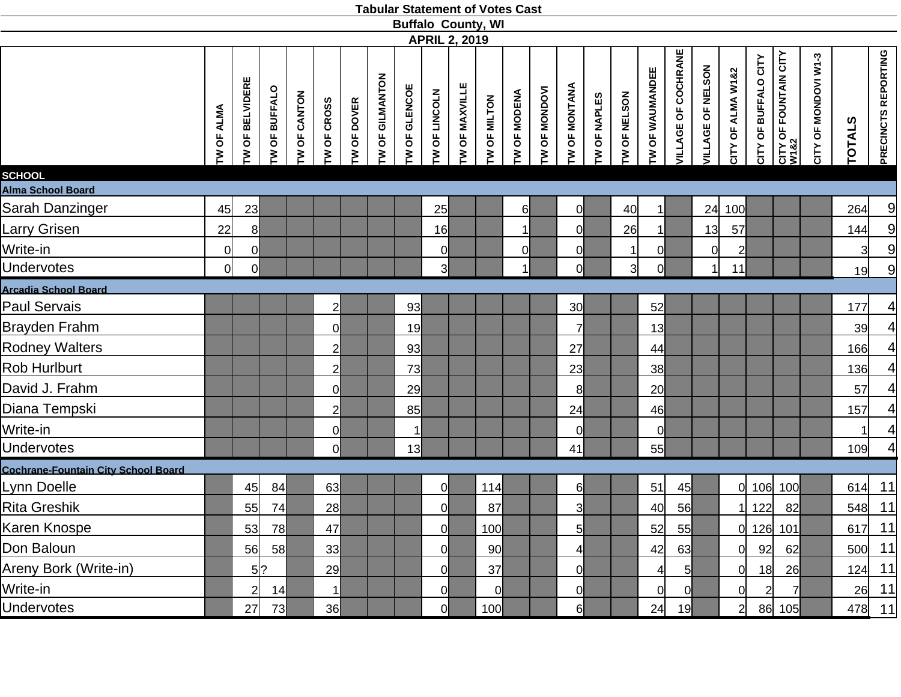|                                            |                |                   |                 |                |                |             |                 |               |                      |                | <b>Buffalo County, WI</b> |              |               |                |              |              |                        |                            |                   |                   |                      |                                           |                      |                |                     |
|--------------------------------------------|----------------|-------------------|-----------------|----------------|----------------|-------------|-----------------|---------------|----------------------|----------------|---------------------------|--------------|---------------|----------------|--------------|--------------|------------------------|----------------------------|-------------------|-------------------|----------------------|-------------------------------------------|----------------------|----------------|---------------------|
|                                            |                |                   |                 |                |                |             |                 |               | <b>APRIL 2, 2019</b> |                |                           |              |               |                |              |              |                        |                            |                   |                   |                      |                                           |                      |                |                     |
|                                            | TW OF ALMA     | OF BELVIDERE<br>ξ | OF BUFFALO<br>ξ | OF CANTON<br>ξ | TW OF CROSS    | TW OF DOVER | TW OF GILMANTON | TW OF GLENCOE | TW OF LINCOLN        | TW OF MAXVILLE | OF MILTON<br>ξ            | TW OF MODENA | TW OF MONDOVI | TW OF MONTANA  | TW OF NAPLES | TW OF NELSON | OF WAUMANDEE<br>$\geq$ | <b>VILLAGE OF COCHRANE</b> | VILLAGE OF NELSON | CITY OF ALMA W1&2 | CITY OF BUFFALO CITY | <b>CITY OF FOUNTAIN CITY<br/>W1&amp;2</b> | CITY OF MONDOVI W1-3 | <b>TOTALS</b>  | PRECINCTS REPORTING |
| <b>SCHOOL</b>                              |                |                   |                 |                |                |             |                 |               |                      |                |                           |              |               |                |              |              |                        |                            |                   |                   |                      |                                           |                      |                |                     |
| Alma School Board                          |                |                   |                 |                |                |             |                 |               |                      |                |                           |              |               |                |              |              |                        |                            |                   |                   |                      |                                           |                      |                |                     |
| <b>Sarah Danzinger</b>                     | 45             | 23                |                 |                |                |             |                 |               | 25                   |                |                           | $6 \mid$     |               | <sub>0</sub>   |              | 40           | 11                     |                            |                   | 24 100            |                      |                                           |                      | 264            | 9                   |
| Larry Grisen                               | 22             | 8 <sup>l</sup>    |                 |                |                |             |                 |               | 16                   |                |                           | 1            |               | $\mathsf{Q}$   |              | 26           | 11                     |                            | 13                | 57                |                      |                                           |                      | 144            | $\overline{a}$      |
| Write-in                                   | $\overline{0}$ | $\overline{0}$    |                 |                |                |             |                 |               | 0                    |                |                           | 0            |               | $\mathbf{0}$   |              | 1            | 0l                     |                            | $\Omega$          | $\overline{2}$    |                      |                                           |                      | $\overline{3}$ | 9                   |
| <b>Undervotes</b>                          | $\mathbf 0$    | $\overline{0}$    |                 |                |                |             |                 |               | 3 <sup>l</sup>       |                |                           | $\vert$      |               | $\mathsf{O}$   |              | 3            | Οl                     |                            |                   | 11                |                      |                                           |                      | 19             | 9                   |
| <b>Arcadia School Board</b>                |                |                   |                 |                |                |             |                 |               |                      |                |                           |              |               |                |              |              |                        |                            |                   |                   |                      |                                           |                      |                |                     |
| Paul Servais                               |                |                   |                 |                | $\overline{2}$ |             |                 | 93            |                      |                |                           |              |               | 30             |              |              | 52                     |                            |                   |                   |                      |                                           |                      | 177            | 4                   |
| Brayden Frahm                              |                |                   |                 |                | $\Omega$       |             |                 | 19            |                      |                |                           |              |               | $\overline{7}$ |              |              | 13                     |                            |                   |                   |                      |                                           |                      | 39             | 4                   |
| <b>Rodney Walters</b>                      |                |                   |                 |                | $\overline{2}$ |             |                 | 93            |                      |                |                           |              |               | 27             |              |              | 44                     |                            |                   |                   |                      |                                           |                      | 166            | 4                   |
| <b>Rob Hurlburt</b>                        |                |                   |                 |                | $\overline{2}$ |             |                 | 73            |                      |                |                           |              |               | 23             |              |              | 38                     |                            |                   |                   |                      |                                           |                      | 136            | 4                   |
| David J. Frahm                             |                |                   |                 |                | $\Omega$       |             |                 | 29            |                      |                |                           |              |               | 8              |              |              | 20                     |                            |                   |                   |                      |                                           |                      | 57             | 4                   |
| Diana Tempski                              |                |                   |                 |                | $\overline{2}$ |             |                 | 85            |                      |                |                           |              |               | 24             |              |              | 46                     |                            |                   |                   |                      |                                           |                      | 157            | 4                   |
| Write-in                                   |                |                   |                 |                | $\Omega$       |             |                 | $\mathbf 1$   |                      |                |                           |              |               | 0              |              |              | <sup>0</sup>           |                            |                   |                   |                      |                                           |                      |                | 4                   |
| <b>Undervotes</b>                          |                |                   |                 |                | $\Omega$       |             |                 | 13            |                      |                |                           |              |               | 41             |              |              | 55                     |                            |                   |                   |                      |                                           |                      | 109            | 4                   |
| <b>Cochrane-Fountain City School Board</b> |                |                   |                 |                |                |             |                 |               |                      |                |                           |              |               |                |              |              |                        |                            |                   |                   |                      |                                           |                      |                |                     |
| Lynn Doelle                                |                | 45                | 84              |                | 63             |             |                 |               | $\overline{0}$       |                | 114                       |              |               | 6              |              |              | 51                     | 45                         |                   | <sub>0</sub>      |                      | 106 100                                   |                      | 614            | 11                  |
| <b>Rita Greshik</b>                        |                | 55                | 74              |                | 28             |             |                 |               | 0l                   |                | 87                        |              |               | 3              |              |              | 40                     | 56                         |                   |                   | 122                  | 82                                        |                      | 548            | 11                  |
| Karen Knospe                               |                | 53                | 78              |                | 47             |             |                 |               | ΩL                   |                | 100                       |              |               | 5              |              |              | 52                     | 55                         |                   |                   |                      | 0 126 101                                 |                      |                | $617$ 11            |
| Don Baloun                                 |                |                   | 56 58           |                | 33             |             |                 |               | 0l                   |                | 90                        |              |               | 4              |              |              | 42                     | 63                         |                   | $\Omega$          | 92                   | <b>62</b>                                 |                      |                | 500 11              |
| Areny Bork (Write-in)                      |                |                   | $5$ ?           |                | 29             |             |                 |               | OI                   |                | 37                        |              |               | $\mathbf{0}$   |              |              |                        | $5 \mid$                   |                   | 0                 | 18                   | 26                                        |                      |                | 124 11              |
| Write-in                                   |                |                   | $2$ 14          |                | $\mathbf 1$    |             |                 |               | 0l                   |                | 0                         |              |               | $\mathbf{0}$   |              |              | <sup>Ol</sup>          | <sup>o</sup>               |                   | $\overline{0}$    | $\overline{2}$       | 71                                        |                      |                | $26$ 11             |
| <b>Undervotes</b>                          |                | 27                | - 73            |                | 36             |             |                 |               | 0l                   |                | 100                       |              |               | $6 \mid$       |              |              | 24                     | 19                         |                   | $\overline{c}$    |                      | 86 105                                    |                      |                | 478 11              |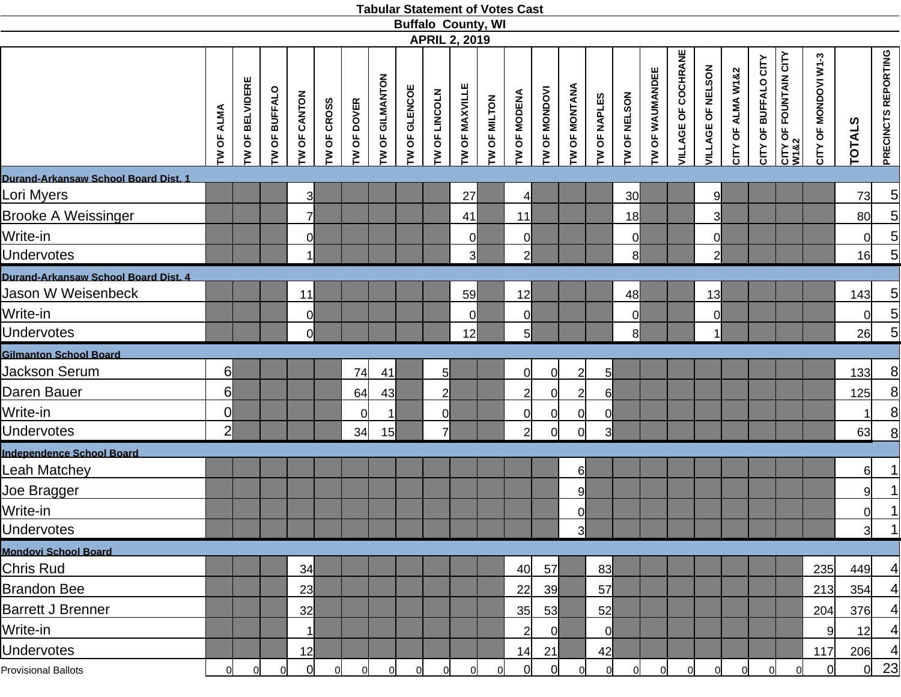|                                      |                   |                         |                 |                     |                    |                     |                 | <b>Buffalo County, WI</b> | <b>APRIL 2, 2019</b> |                |                |                     |                      |                |                |                 |                 |                            |                   |                   |                      |                                      |                      |                 |                            |
|--------------------------------------|-------------------|-------------------------|-----------------|---------------------|--------------------|---------------------|-----------------|---------------------------|----------------------|----------------|----------------|---------------------|----------------------|----------------|----------------|-----------------|-----------------|----------------------------|-------------------|-------------------|----------------------|--------------------------------------|----------------------|-----------------|----------------------------|
|                                      | <b>TW OF ALMA</b> | <b>I'W OF BELVIDERE</b> | OF BUFFALO<br>ξ | <b>TW OF CANTON</b> | <b>TW OF CROSS</b> | <b>I'W OF DOVER</b> | TW OF GILMANTON | <b>TW OF GLENCOE</b>      | TW OF LINCOLN        | TW OF MAXVILLE | TW OF MILTON   | <b>TW OF MODENA</b> | <b>TW OF MONDOVI</b> | TW OF MONTANA  | TW OF NAPLES   | TW OF NELSON    | TW OF WAUMANDEE | <b>VILLAGE OF COCHRANE</b> | VILLAGE OF NELSON | CITY OF ALMA W1&2 | CITY OF BUFFALO CITY | <b>CITY OF FOUNTAIN CITY</b><br>W1&2 | CITY OF MONDOVI W1-3 | <b>TOTALS</b>   | <b>PRECINCTS REPORTING</b> |
| Durand-Arkansaw School Board Dist. 1 |                   |                         |                 |                     |                    |                     |                 |                           |                      |                |                |                     |                      |                |                |                 |                 |                            |                   |                   |                      |                                      |                      |                 |                            |
| Lori Myers                           |                   |                         |                 | 3                   |                    |                     |                 |                           |                      | 27             |                | $\overline{4}$      |                      |                |                | 30 <sup>l</sup> |                 |                            | 9                 |                   |                      |                                      |                      | 73              | $\overline{5}$             |
| <b>Brooke A Weissinger</b>           |                   |                         |                 | $\overline{7}$      |                    |                     |                 |                           |                      | 41             |                | 11                  |                      |                |                | 18              |                 |                            | 3                 |                   |                      |                                      |                      | 80 <sup>°</sup> | $\overline{5}$             |
| Write-in                             |                   |                         |                 | 0l                  |                    |                     |                 |                           |                      | Οl             |                | 0                   |                      |                |                | $\mathbf 0$     |                 |                            | 0                 |                   |                      |                                      |                      | $\Omega$        | $\overline{5}$             |
| <b>Undervotes</b>                    |                   |                         |                 | 1                   |                    |                     |                 |                           |                      | 31             |                | $\mathbf{2}$        |                      |                |                | 8 <sup>1</sup>  |                 |                            | $\overline{2}$    |                   |                      |                                      |                      | 16              | 5                          |
| Durand-Arkansaw School Board Dist. 4 |                   |                         |                 |                     |                    |                     |                 |                           |                      |                |                |                     |                      |                |                |                 |                 |                            |                   |                   |                      |                                      |                      |                 |                            |
| Jason W Weisenbeck                   |                   |                         |                 | 11                  |                    |                     |                 |                           |                      | 59             |                | 12                  |                      |                |                | 48              |                 |                            | 13                |                   |                      |                                      |                      | 143             | $\overline{5}$             |
| Write-in                             |                   |                         |                 | $\overline{0}$      |                    |                     |                 |                           |                      | 0              |                | $\overline{0}$      |                      |                |                | 0               |                 |                            | 0                 |                   |                      |                                      |                      | $\Omega$        | $\overline{5}$             |
| <b>Undervotes</b>                    |                   |                         |                 | <sub>0</sub>        |                    |                     |                 |                           |                      | 12             |                | $5\overline{)}$     |                      |                |                | 8               |                 |                            | 11                |                   |                      |                                      |                      | 26              | 5                          |
| <b>Gilmanton School Board</b>        |                   |                         |                 |                     |                    |                     |                 |                           |                      |                |                |                     |                      |                |                |                 |                 |                            |                   |                   |                      |                                      |                      |                 |                            |
| Jackson Serum                        | 6                 |                         |                 |                     |                    | 74                  | 41              |                           | 5 <sup>1</sup>       |                |                | 0                   | 0l                   | $\overline{2}$ | 5              |                 |                 |                            |                   |                   |                      |                                      |                      | 133             | 8                          |
| Daren Bauer                          | 6                 |                         |                 |                     |                    | 64                  | 43              |                           | $\overline{2}$       |                |                | $\overline{2}$      | 0                    | $\overline{2}$ | $6 \mid$       |                 |                 |                            |                   |                   |                      |                                      |                      | 125             | 8                          |
| Write-in                             | $\overline{0}$    |                         |                 |                     |                    | 0l                  | 1               |                           | $\Omega$             |                |                | 0                   | 0                    | 0              | <sup>o</sup>   |                 |                 |                            |                   |                   |                      |                                      |                      |                 | 8                          |
| <b>Undervotes</b>                    | $\overline{2}$    |                         |                 |                     |                    | 34                  | 15              |                           | 71                   |                |                | $\overline{2}$      | 0l                   | <sub>0</sub>   | 3              |                 |                 |                            |                   |                   |                      |                                      |                      | 63              | 8                          |
| Independence School Board            |                   |                         |                 |                     |                    |                     |                 |                           |                      |                |                |                     |                      |                |                |                 |                 |                            |                   |                   |                      |                                      |                      |                 |                            |
| Leah Matchey                         |                   |                         |                 |                     |                    |                     |                 |                           |                      |                |                |                     |                      | 6              |                |                 |                 |                            |                   |                   |                      |                                      |                      | $6 \mid$        | 1                          |
| Joe Bragger                          |                   |                         |                 |                     |                    |                     |                 |                           |                      |                |                |                     |                      | 9              |                |                 |                 |                            |                   |                   |                      |                                      |                      | 9               | 1                          |
| Write-in                             |                   |                         |                 |                     |                    |                     |                 |                           |                      |                |                |                     |                      | 이              |                |                 |                 |                            |                   |                   |                      |                                      |                      | <sub>0</sub>    | 1                          |
| <b>Undervotes</b>                    |                   |                         |                 |                     |                    |                     |                 |                           |                      |                |                |                     |                      | ત્રી           |                |                 |                 |                            |                   |                   |                      |                                      |                      | 3               | 1                          |
| <b>Mondovi School Board</b>          |                   |                         |                 |                     |                    |                     |                 |                           |                      |                |                |                     |                      |                |                |                 |                 |                            |                   |                   |                      |                                      |                      |                 |                            |
| <b>Chris Rud</b>                     |                   |                         |                 | 34                  |                    |                     |                 |                           |                      |                |                | 40                  | 57                   |                | 83             |                 |                 |                            |                   |                   |                      |                                      | 235                  | 449             | 4                          |
| <b>Brandon Bee</b>                   |                   |                         |                 | 23                  |                    |                     |                 |                           |                      |                |                | 22                  | 39                   |                | 57             |                 |                 |                            |                   |                   |                      |                                      | 213                  | 354             | 4                          |
| <b>Barrett J Brenner</b>             |                   |                         |                 | 32                  |                    |                     |                 |                           |                      |                |                | 35                  | 53                   |                | 52             |                 |                 |                            |                   |                   |                      |                                      | 204                  | 376             | $\vert 4 \vert$            |
| Write-in                             |                   |                         |                 | $\vert$ 1           |                    |                     |                 |                           |                      |                |                | $\overline{2}$      | 0                    |                | <sup>o</sup>   |                 |                 |                            |                   |                   |                      |                                      | 9                    | 12              | $\overline{4}$             |
| <b>Undervotes</b>                    |                   |                         |                 | 12                  |                    |                     |                 |                           |                      |                |                | 14                  | 21                   |                | 42             |                 |                 |                            |                   |                   |                      |                                      | 117                  | 206             | $\left 4\right $           |
| <b>Provisional Ballots</b>           | $\overline{0}$    | $\overline{0}$          | $\Omega$        | $\overline{0}$      | 0                  | <sup>o</sup>        | 0               | $\overline{0}$            | 0                    | $\overline{0}$ | $\overline{0}$ | $\overline{0}$      | $\overline{0}$       | 01             | $\overline{0}$ | 0l              | 0               | $\overline{0}$             | 0l                | $\overline{0}$    |                      | 0l                                   | $\Omega$             | $\Omega$        | 23                         |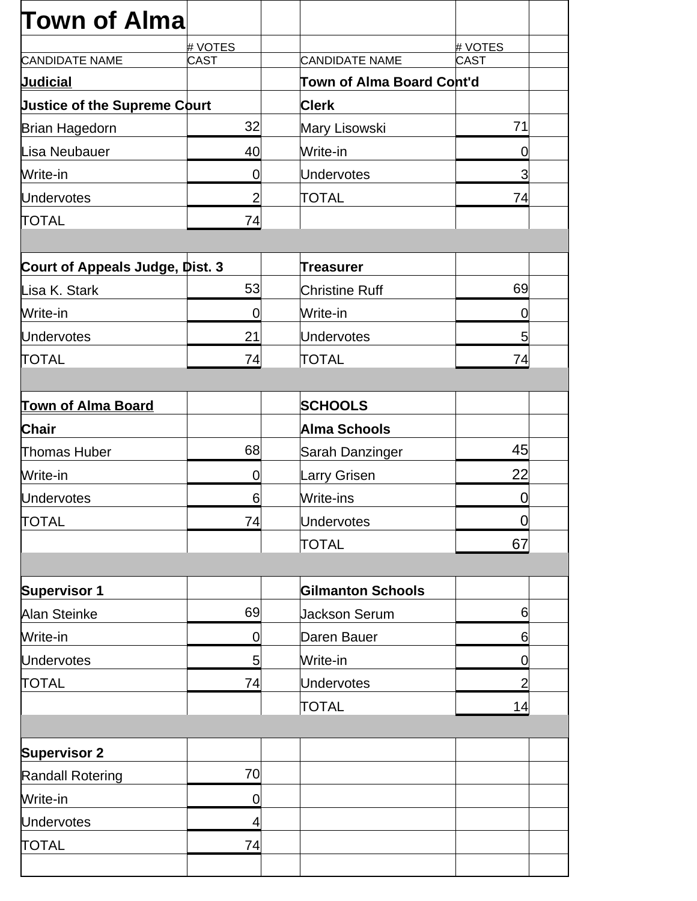| <b>Town of Alma</b>                 |                |                           |                |  |
|-------------------------------------|----------------|---------------------------|----------------|--|
|                                     | # VOTES        |                           | # VOTES        |  |
| <b>CANDIDATE NAME</b>               | <b>CAST</b>    | <b>CANDIDATE NAME</b>     | <b>CAST</b>    |  |
| <b>Judicial</b>                     |                | Town of Alma Board Cont'd |                |  |
| <b>Justice of the Supreme Court</b> |                | <b>Clerk</b>              |                |  |
| <b>Brian Hagedorn</b>               | 32             | Mary Lisowski             | 71             |  |
| Lisa Neubauer                       | 40             | Write-in                  | 0              |  |
| Write-in                            | 0              | <b>Undervotes</b>         | 3              |  |
| <b>Undervotes</b>                   | $\overline{2}$ | TOTAL                     | 74             |  |
| <b>TOTAL</b>                        | 74             |                           |                |  |
|                                     |                |                           |                |  |
| Court of Appeals Judge, Dist. 3     |                | Treasurer                 |                |  |
| Lisa K. Stark                       | 53             | <b>Christine Ruff</b>     | 69             |  |
| Write-in                            | 0              | Write-in                  | 0              |  |
| <b>Undervotes</b>                   | 21             | <b>Undervotes</b>         | 5              |  |
| <b>TOTAL</b>                        | 74             | <b>TOTAL</b>              | 74             |  |
|                                     |                |                           |                |  |
| <b>Town of Alma Board</b>           |                | <b>SCHOOLS</b>            |                |  |
| Chair                               |                | Alma Schools              |                |  |
| Thomas Huber                        | 68             | Sarah Danzinger           | 45             |  |
| Write-in                            | 0              | Larry Grisen              | 22             |  |
| <b>Undervotes</b>                   | 6              | Write-ins                 | 0              |  |
| <b>TOTAL</b>                        | 74             | <b>Undervotes</b>         | $\overline{0}$ |  |
|                                     |                | <b>TOTAL</b>              | 67             |  |
|                                     |                |                           |                |  |
| <b>Supervisor 1</b>                 |                | <b>Gilmanton Schools</b>  |                |  |
| <b>Alan Steinke</b>                 | 69             | <b>Jackson Serum</b>      | 6              |  |
| Write-in                            | 0              | Daren Bauer               | 6              |  |
| <b>Undervotes</b>                   | 5              | Write-in                  | $\overline{0}$ |  |
| <b>TOTAL</b>                        | 74             | <b>Undervotes</b>         | $\overline{2}$ |  |
|                                     |                | <b>TOTAL</b>              | 14             |  |
|                                     |                |                           |                |  |
| <b>Supervisor 2</b>                 |                |                           |                |  |
| <b>Randall Rotering</b>             | 70             |                           |                |  |
| Write-in                            | $\mathbf 0$    |                           |                |  |
| <b>Undervotes</b>                   | 4              |                           |                |  |
| <b>TOTAL</b>                        | 74             |                           |                |  |
|                                     |                |                           |                |  |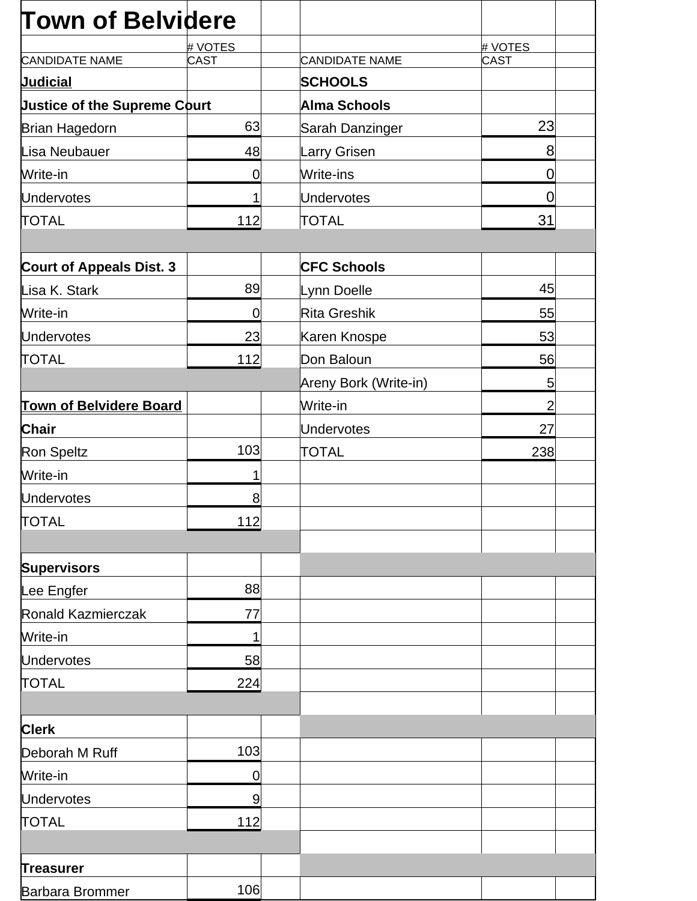| <b>Town of Belvidere</b>            |                |                       |                |
|-------------------------------------|----------------|-----------------------|----------------|
|                                     | # VOTES        |                       | # VOTES        |
| <b>CANDIDATE NAME</b>               | <b>CAST</b>    | <b>CANDIDATE NAME</b> | CAST           |
| <b>Judicial</b>                     |                | <b>SCHOOLS</b>        |                |
| <b>Justice of the Supreme Court</b> |                | Alma Schools          |                |
| Brian Hagedorn                      | 63             | Sarah Danzinger       | 23             |
| Lisa Neubauer                       | 48             | Larry Grisen          | 8              |
| Write-in                            | $\mathbf 0$    | Write-ins             | $\overline{0}$ |
| <b>Undervotes</b>                   | 1              | <b>Undervotes</b>     | $\overline{0}$ |
| <b>TOTAL</b>                        | 112            | <b>TOTAL</b>          | 31             |
| <b>Court of Appeals Dist. 3</b>     |                | <b>CFC Schools</b>    |                |
| Lisa K. Stark                       | 89             | Lynn Doelle           | 45             |
| Write-in                            | $\overline{0}$ | Rita Greshik          | 55             |
| <b>Undervotes</b>                   | 23             | Karen Knospe          | 53             |
| <b>TOTAL</b>                        | 112            | Don Baloun            | 56             |
|                                     |                | Areny Bork (Write-in) | 5              |
| <b>Town of Belvidere Board</b>      |                | Write-in              | $\overline{2}$ |
| <b>Chair</b>                        |                | <b>Undervotes</b>     | 27             |
| Ron Speltz                          | 103            | <b>TOTAL</b>          | 238            |
| Write-in                            | 1              |                       |                |
| <b>Undervotes</b>                   | 8              |                       |                |
| <b>TOTAL</b>                        | 112            |                       |                |
|                                     |                |                       |                |
| <b>Supervisors</b>                  |                |                       |                |
| Lee Engfer                          | 88             |                       |                |
| Ronald Kazmierczak                  | 77             |                       |                |
| Write-in                            | 1              |                       |                |
| <b>Undervotes</b>                   | 58             |                       |                |
| <b>TOTAL</b>                        | 224            |                       |                |
|                                     |                |                       |                |
| <b>Clerk</b>                        |                |                       |                |
| Deborah M Ruff                      | 103            |                       |                |
| Write-in                            | 0              |                       |                |
| <b>Undervotes</b>                   | 9              |                       |                |
| <b>TOTAL</b>                        | 112            |                       |                |
|                                     |                |                       |                |
| <b>Treasurer</b>                    |                |                       |                |
| Barbara Brommer                     | 106            |                       |                |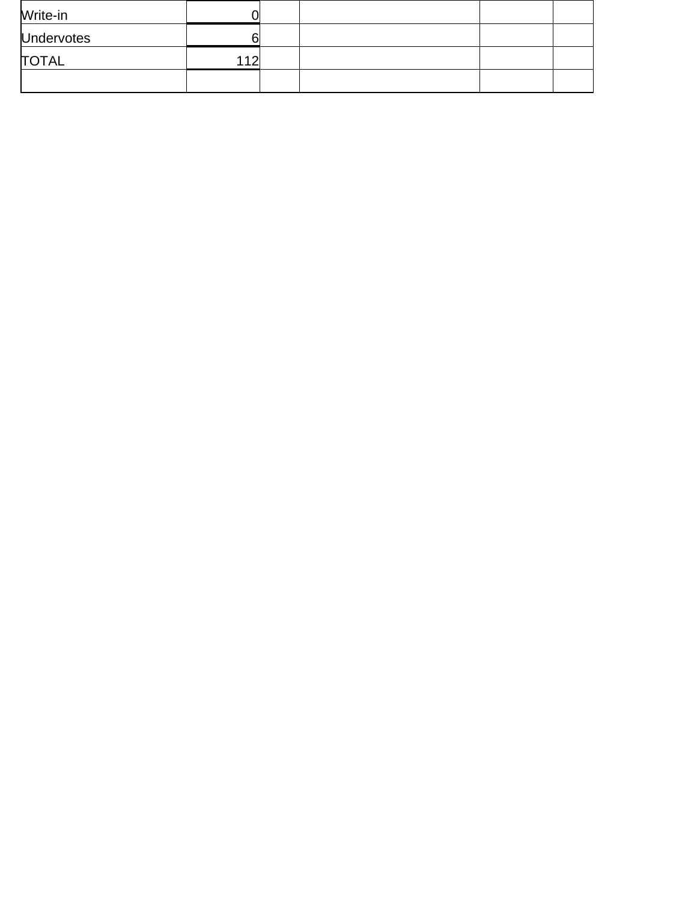| Write-in          |    |  |  |
|-------------------|----|--|--|
| <b>Undervotes</b> |    |  |  |
| <b>TOTAL</b>      | ィク |  |  |
|                   |    |  |  |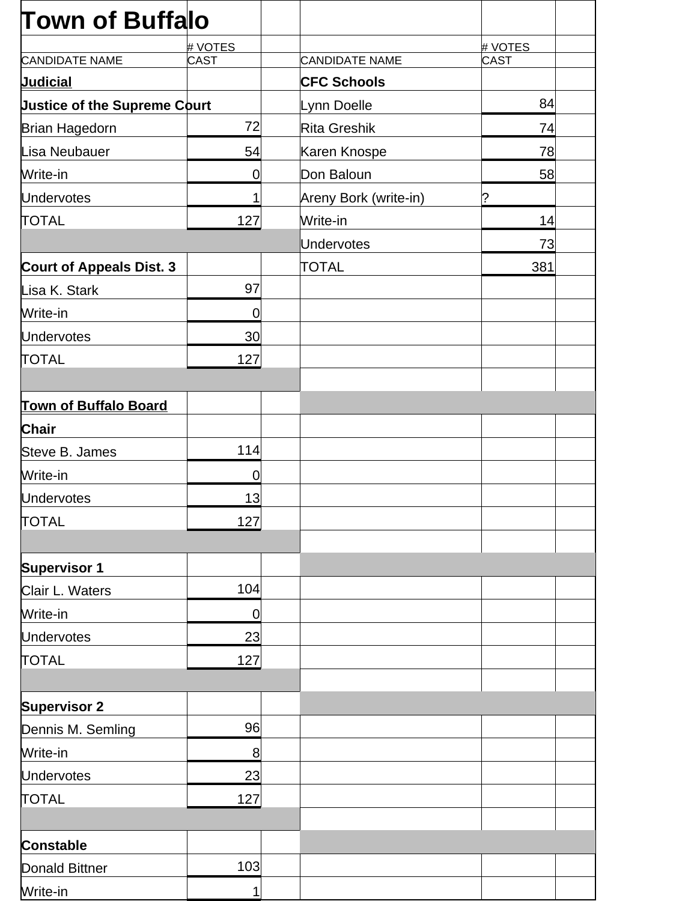| <b>Town of Buffalo</b>              |                 |                       |         |  |
|-------------------------------------|-----------------|-----------------------|---------|--|
|                                     | # VOTES         |                       | # VOTES |  |
| <b>CANDIDATE NAME</b>               | <b>CAST</b>     | <b>CANDIDATE NAME</b> | CAST    |  |
| <b>Judicial</b>                     |                 | <b>CFC Schools</b>    |         |  |
| <b>Justice of the Supreme Court</b> |                 | Lynn Doelle           | 84      |  |
| Brian Hagedorn                      | 72              | <b>Rita Greshik</b>   | 74      |  |
| Lisa Neubauer                       | 54              | Karen Knospe          | 78      |  |
| Write-in                            | 0               | Don Baloun            | 58      |  |
| <b>Undervotes</b>                   | 1               | Areny Bork (write-in) | ?       |  |
| <b>TOTAL</b>                        | 127             | Write-in              | 14      |  |
|                                     |                 | <b>Undervotes</b>     | 73      |  |
| <b>Court of Appeals Dist. 3</b>     |                 | <b>TOTAL</b>          | 381     |  |
| Lisa K. Stark                       | 97              |                       |         |  |
| Write-in                            | $\overline{0}$  |                       |         |  |
| <b>Undervotes</b>                   | 30 <sup>°</sup> |                       |         |  |
| <b>TOTAL</b>                        | 127             |                       |         |  |
|                                     |                 |                       |         |  |
| <b>Town of Buffalo Board</b>        |                 |                       |         |  |
| <b>Chair</b>                        |                 |                       |         |  |
| Steve B. James                      | 114             |                       |         |  |
| Write-in                            | $\overline{0}$  |                       |         |  |
| <b>Undervotes</b>                   | 13              |                       |         |  |
| <b>TOTAL</b>                        | 127             |                       |         |  |
|                                     |                 |                       |         |  |
| <b>Supervisor 1</b>                 |                 |                       |         |  |
| Clair L. Waters                     | 104             |                       |         |  |
| Write-in                            | $\mathbf 0$     |                       |         |  |
| <b>Undervotes</b>                   | 23              |                       |         |  |
| <b>TOTAL</b>                        | 127             |                       |         |  |
|                                     |                 |                       |         |  |
| <b>Supervisor 2</b>                 |                 |                       |         |  |
| Dennis M. Semling                   | 96              |                       |         |  |
| Write-in                            | 8               |                       |         |  |
| <b>Undervotes</b>                   | 23              |                       |         |  |
| <b>TOTAL</b>                        | 127             |                       |         |  |
|                                     |                 |                       |         |  |
| <b>Constable</b>                    |                 |                       |         |  |
| Donald Bittner                      | 103             |                       |         |  |
| Write-in                            | 1               |                       |         |  |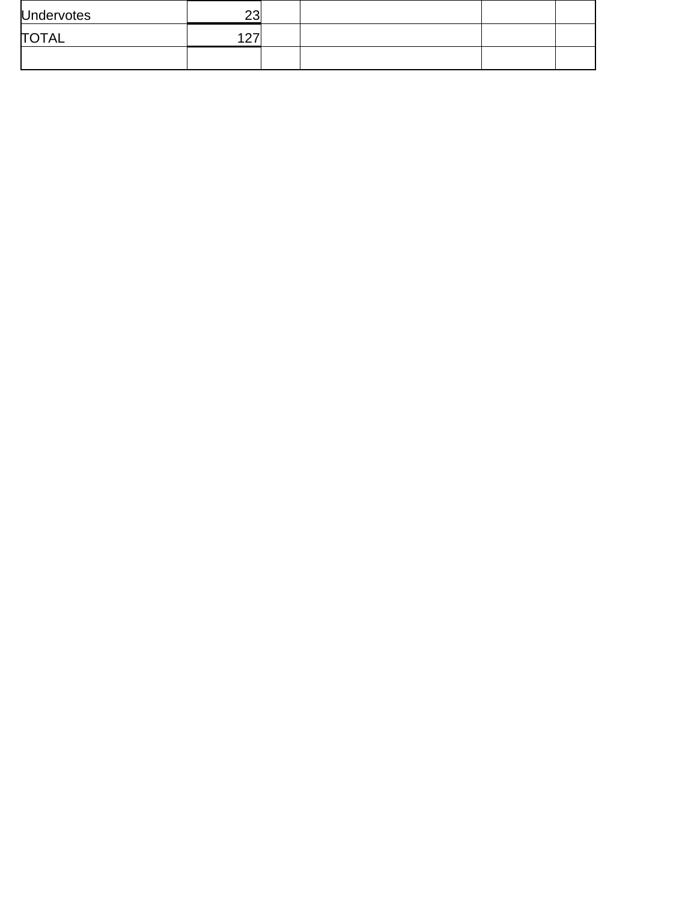| <b>Undervotes</b> | າາ<br>∠∪             |  |  |
|-------------------|----------------------|--|--|
| <b>TOTAL</b>      | $\sim$<br><u>_ 1</u> |  |  |
|                   |                      |  |  |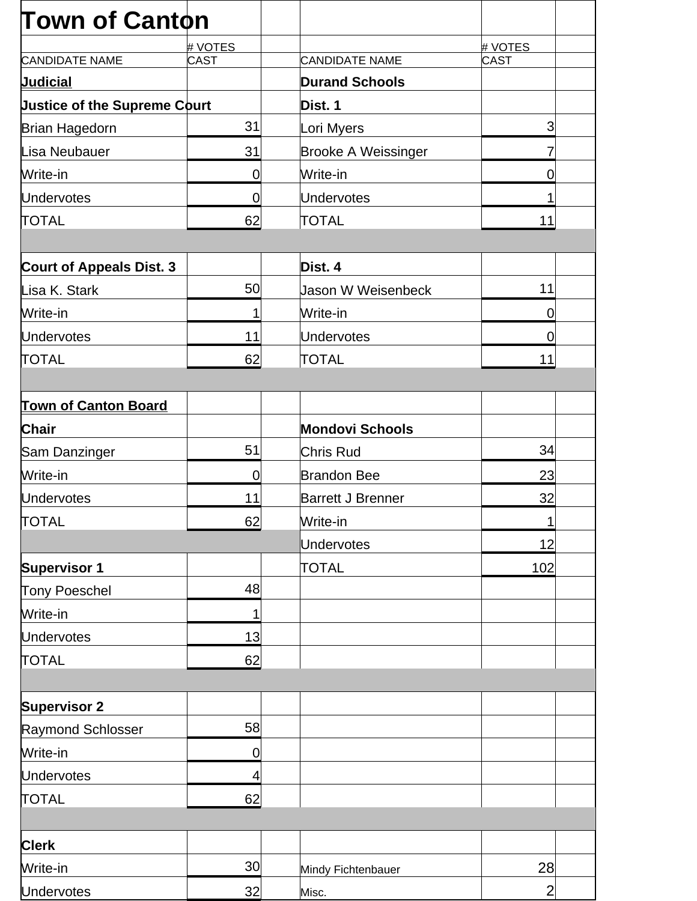| <b>Town of Canton</b>               |                |                            |                |
|-------------------------------------|----------------|----------------------------|----------------|
|                                     | # VOTES        |                            | # VOTES        |
| <b>CANDIDATE NAME</b>               | CAST           | <b>CANDIDATE NAME</b>      | <b>CAST</b>    |
| <b>Judicial</b>                     |                | <b>Durand Schools</b>      |                |
| <b>Justice of the Supreme Court</b> |                | Dist. 1                    |                |
| Brian Hagedorn                      | 31             | Lori Myers                 | 3              |
| Lisa Neubauer                       | 31             | <b>Brooke A Weissinger</b> |                |
| Write-in                            | 0              | Write-in                   | $\overline{0}$ |
| <b>Undervotes</b>                   | $\mathbf 0$    | Undervotes                 |                |
| <b>TOTAL</b>                        | 62             | <b>TOTAL</b>               | 11             |
| <b>Court of Appeals Dist. 3</b>     |                | Dist. 4                    |                |
| Lisa K. Stark                       | 50             | <b>Jason W Weisenbeck</b>  | 11             |
| Write-in                            | 1              | Write-in                   | $\overline{0}$ |
| <b>Undervotes</b>                   | 11             | Undervotes                 | 0              |
| <b>TOTAL</b>                        | 62             | <b>TOTAL</b>               | 11             |
|                                     |                |                            |                |
| <b>Town of Canton Board</b>         |                |                            |                |
| <b>Chair</b>                        |                | <b>Mondovi Schools</b>     |                |
| Sam Danzinger                       | 51             | Chris Rud                  | 34             |
| Write-in                            | $\overline{0}$ | <b>Brandon Bee</b>         | 23             |
| <b>Undervotes</b>                   | 11             | <b>Barrett J Brenner</b>   | 32             |
| <b>TOTAL</b>                        | 62             | Write-in                   | 1              |
|                                     |                | <b>Undervotes</b>          | 12             |
| <b>Supervisor 1</b>                 |                | <b>TOTAL</b>               | 102            |
| Tony Poeschel                       | 48             |                            |                |
| Write-in                            | 1              |                            |                |
| <b>Undervotes</b>                   | 13             |                            |                |
| <b>TOTAL</b>                        | 62             |                            |                |
|                                     |                |                            |                |
| <b>Supervisor 2</b>                 |                |                            |                |
| Raymond Schlosser                   | 58             |                            |                |
| Write-in                            | 0              |                            |                |
| <b>Undervotes</b>                   | 4              |                            |                |
| <b>TOTAL</b>                        | 62             |                            |                |
|                                     |                |                            |                |
| <b>Clerk</b>                        |                |                            |                |
| Write-in                            | 30             | Mindy Fichtenbauer         | 28             |
| <b>Undervotes</b>                   | 32             | Misc.                      | $\overline{2}$ |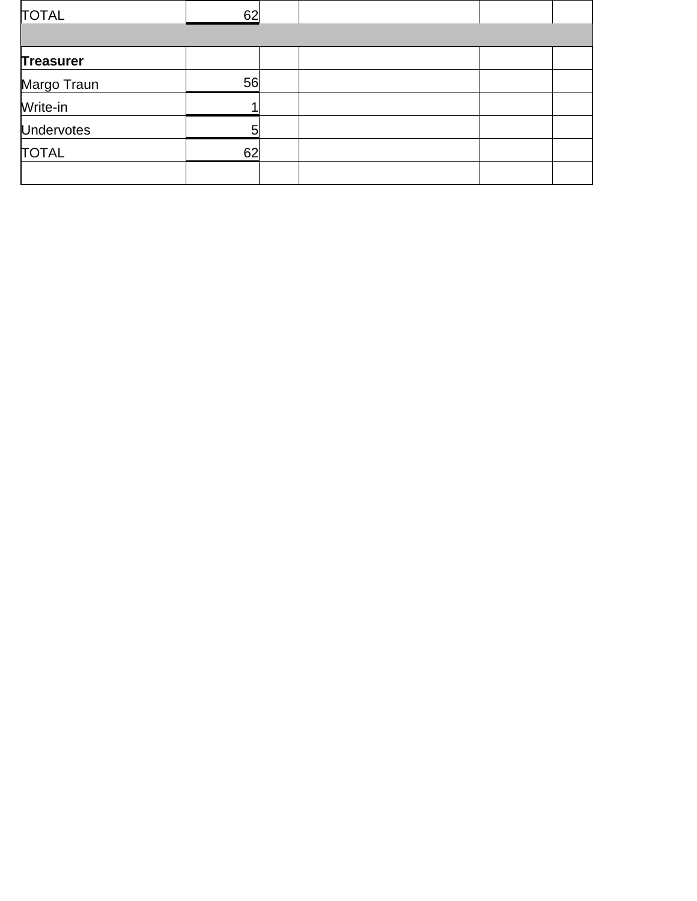| <b>TOTAL</b>      | 62 |  |  |
|-------------------|----|--|--|
|                   |    |  |  |
| <b>Treasurer</b>  |    |  |  |
| Margo Traun       | 56 |  |  |
| Write-in          |    |  |  |
| <b>Undervotes</b> | 5  |  |  |
| <b>TOTAL</b>      | 62 |  |  |
|                   |    |  |  |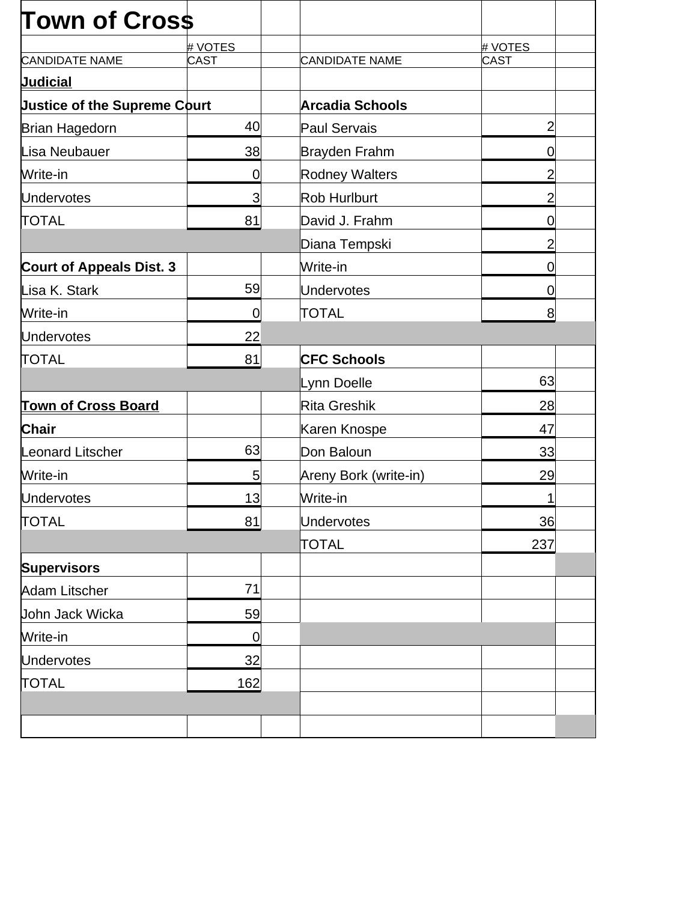| <b>Town of Cross</b>                |             |                        |                |  |
|-------------------------------------|-------------|------------------------|----------------|--|
|                                     | # VOTES     |                        | # VOTES        |  |
| <b>CANDIDATE NAME</b>               | <b>CAST</b> | <b>CANDIDATE NAME</b>  | CAST           |  |
| <b>Judicial</b>                     |             |                        |                |  |
| <b>Justice of the Supreme Court</b> |             | <b>Arcadia Schools</b> |                |  |
| Brian Hagedorn                      | 40          | Paul Servais           | $\overline{2}$ |  |
| Lisa Neubauer                       | 38          | Brayden Frahm          | $\mathbf 0$    |  |
| Write-in                            | $\mathbf 0$ | <b>Rodney Walters</b>  | $\overline{2}$ |  |
| <b>Undervotes</b>                   | 3           | <b>Rob Hurlburt</b>    | $\overline{2}$ |  |
| <b>TOTAL</b>                        | 81          | David J. Frahm         | $\mathbf 0$    |  |
|                                     |             | Diana Tempski          | $\overline{2}$ |  |
| <b>Court of Appeals Dist. 3</b>     |             | Write-in               | 0              |  |
| Lisa K. Stark                       | 59          | Undervotes             | 0              |  |
| Write-in                            | $\mathbf 0$ | <b>TOTAL</b>           | 8              |  |
| <b>Undervotes</b>                   | 22          |                        |                |  |
| <b>TOTAL</b>                        | 81          | <b>CFC Schools</b>     |                |  |
|                                     |             | Lynn Doelle            | 63             |  |
| <b>Town of Cross Board</b>          |             | Rita Greshik           | 28             |  |
| <b>Chair</b>                        |             | Karen Knospe           | 47             |  |
| <b>Leonard Litscher</b>             | 63          | Don Baloun             | 33             |  |
| Write-in                            | 5           | Areny Bork (write-in)  | 29             |  |
| <b>Undervotes</b>                   | 13          | Write-in               |                |  |
| <b>TOTAL</b>                        | 81          | <b>Undervotes</b>      | 36             |  |
|                                     |             | <b>TOTAL</b>           | 237            |  |
| <b>Supervisors</b>                  |             |                        |                |  |
| Adam Litscher                       | 71          |                        |                |  |
| John Jack Wicka                     | 59          |                        |                |  |
| Write-in                            | $\mathbf 0$ |                        |                |  |
| <b>Undervotes</b>                   | 32          |                        |                |  |
| <b>TOTAL</b>                        | 162         |                        |                |  |
|                                     |             |                        |                |  |
|                                     |             |                        |                |  |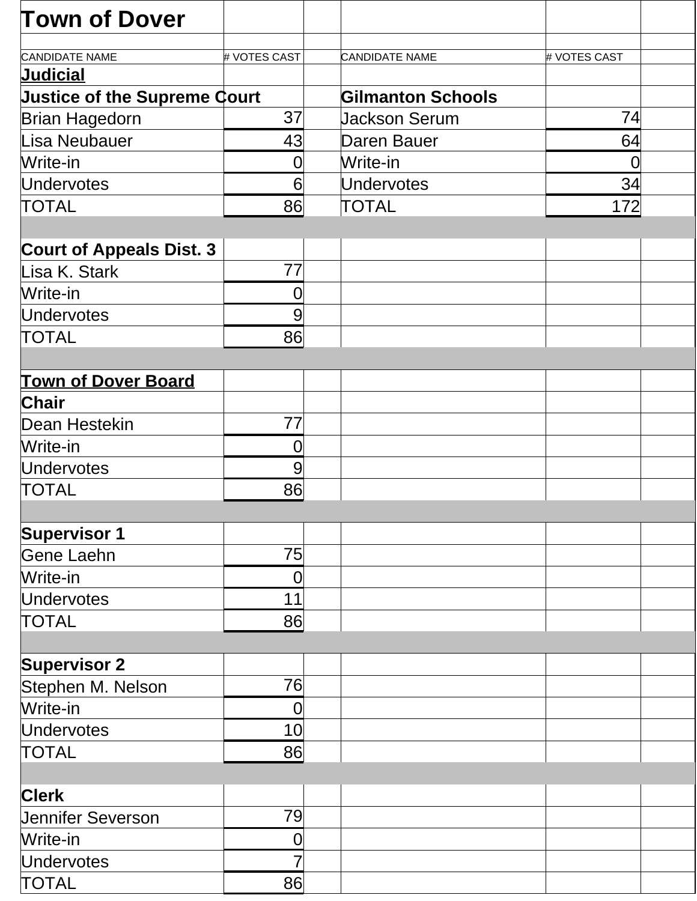| <b>Town of Dover</b>                |                |                          |                |  |
|-------------------------------------|----------------|--------------------------|----------------|--|
| <b>CANDIDATE NAME</b>               | # VOTES CAST   | <b>CANDIDATE NAME</b>    | # VOTES CAST   |  |
| <b>Judicial</b>                     |                |                          |                |  |
| <b>Justice of the Supreme Court</b> |                | <b>Gilmanton Schools</b> |                |  |
| <b>Brian Hagedorn</b>               | 37             | <b>Jackson Serum</b>     | 74             |  |
| Lisa Neubauer                       | 43             | Daren Bauer              | 64             |  |
| Write-in                            | 0              | Write-in                 | $\overline{0}$ |  |
| <b>Undervotes</b>                   | 6              | <b>Undervotes</b>        | 34             |  |
| <b>TOTAL</b>                        | 86             | <b>TOTAL</b>             | 172            |  |
|                                     |                |                          |                |  |
| <b>Court of Appeals Dist. 3</b>     |                |                          |                |  |
| Lisa K. Stark                       | 77             |                          |                |  |
| Write-in                            | 0              |                          |                |  |
| Undervotes                          | 9              |                          |                |  |
| <b>TOTAL</b>                        | 86             |                          |                |  |
|                                     |                |                          |                |  |
| <b>Town of Dover Board</b>          |                |                          |                |  |
| <b>Chair</b>                        |                |                          |                |  |
| Dean Hestekin                       | 77             |                          |                |  |
| Write-in                            | 0              |                          |                |  |
| <b>Undervotes</b>                   | 9              |                          |                |  |
| <b>TOTAL</b>                        | 86             |                          |                |  |
|                                     |                |                          |                |  |
| <b>Supervisor 1</b>                 |                |                          |                |  |
| Gene Laehn                          | 75             |                          |                |  |
| Write-in                            | 0              |                          |                |  |
| <b>Undervotes</b>                   | 11             |                          |                |  |
| <b>TOTAL</b>                        | 86             |                          |                |  |
|                                     |                |                          |                |  |
| <b>Supervisor 2</b>                 |                |                          |                |  |
| Stephen M. Nelson                   | 76             |                          |                |  |
| Write-in                            | $\overline{0}$ |                          |                |  |
| <b>Undervotes</b>                   | 10             |                          |                |  |
| <b>TOTAL</b>                        | 86             |                          |                |  |
|                                     |                |                          |                |  |
| <b>Clerk</b>                        |                |                          |                |  |
| <b>Jennifer Severson</b>            | 79             |                          |                |  |
| Write-in                            | 0              |                          |                |  |
| <b>Undervotes</b>                   |                |                          |                |  |
| <b>TOTAL</b>                        | 86             |                          |                |  |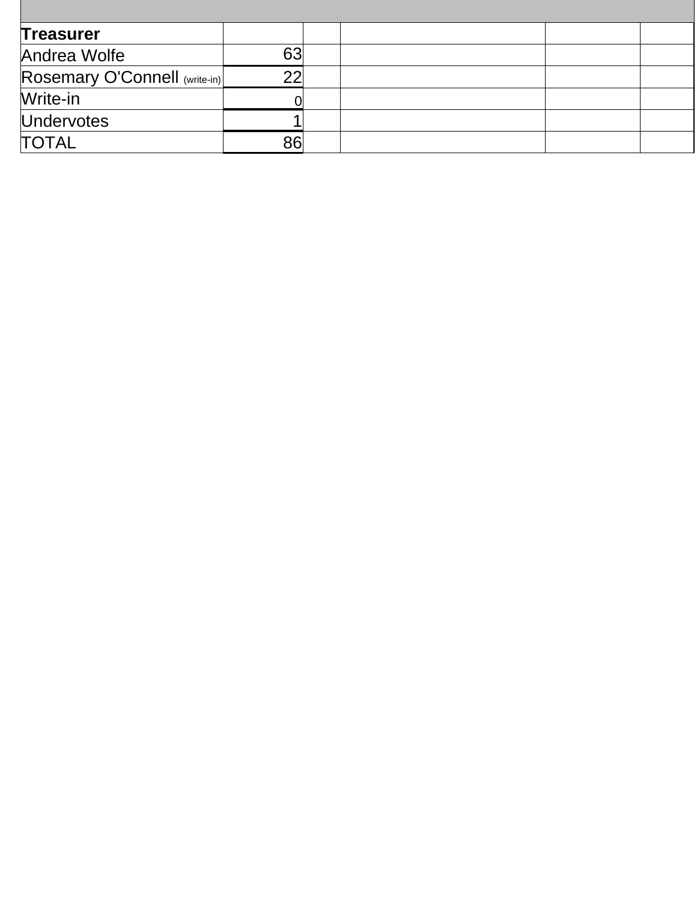| <b>Treasurer</b>              |    |  |
|-------------------------------|----|--|
| Andrea Wolfe                  | 63 |  |
| Rosemary O'Connell (write-in) | າາ |  |
| Write-in                      |    |  |
| <b>Undervotes</b>             |    |  |
| <b>TOTAL</b>                  | 86 |  |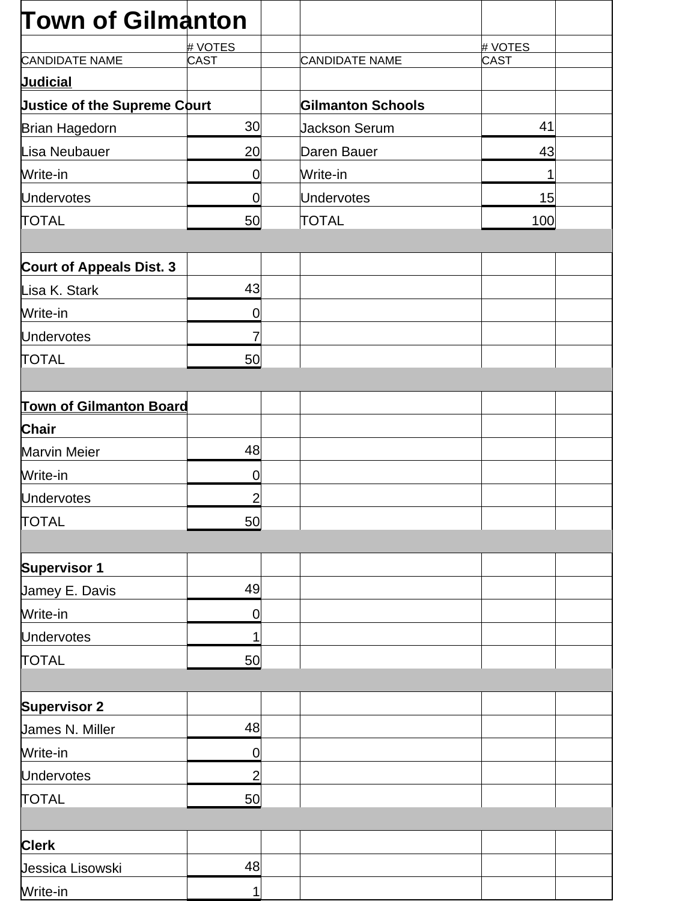| <b>Town of Gilmanton</b>            |                |                          |         |  |
|-------------------------------------|----------------|--------------------------|---------|--|
|                                     | # VOTES        |                          | # VOTES |  |
| <b>CANDIDATE NAME</b>               | <b>CAST</b>    | CANDIDATE NAME           | CAST    |  |
| <b>Judicial</b>                     |                |                          |         |  |
| <b>Justice of the Supreme Court</b> |                | <b>Gilmanton Schools</b> |         |  |
| <b>Brian Hagedorn</b>               | 30             | <b>Jackson Serum</b>     | 41      |  |
| Lisa Neubauer                       | 20             | Daren Bauer              | 43      |  |
| Write-in                            | $\mathbf 0$    | Write-in                 | 1       |  |
| <b>Undervotes</b>                   | 0              | <b>Undervotes</b>        | 15      |  |
| <b>TOTAL</b>                        | 50             | TOTAL                    | 100     |  |
| <b>Court of Appeals Dist. 3</b>     |                |                          |         |  |
| Lisa K. Stark                       | 43             |                          |         |  |
| Write-in                            | 0              |                          |         |  |
| <b>Undervotes</b>                   | 7              |                          |         |  |
| <b>TOTAL</b>                        | 50             |                          |         |  |
| <b>Town of Gilmanton Board</b>      |                |                          |         |  |
| <b>Chair</b>                        |                |                          |         |  |
| <b>Marvin Meier</b>                 | 48             |                          |         |  |
| Write-in                            | 0              |                          |         |  |
| <b>Undervotes</b>                   | $\overline{2}$ |                          |         |  |
| <b>TOTAL</b>                        | 50             |                          |         |  |
|                                     |                |                          |         |  |
| <b>Supervisor 1</b>                 |                |                          |         |  |
| Jamey E. Davis                      | 49             |                          |         |  |
| Write-in                            | 0              |                          |         |  |
| <b>Undervotes</b>                   | 1              |                          |         |  |
| <b>TOTAL</b>                        | 50             |                          |         |  |
| <b>Supervisor 2</b>                 |                |                          |         |  |
| James N. Miller                     | 48             |                          |         |  |
| Write-in                            | $\mathbf 0$    |                          |         |  |
| <b>Undervotes</b>                   | $\overline{c}$ |                          |         |  |
| <b>TOTAL</b>                        | 50             |                          |         |  |
|                                     |                |                          |         |  |
| <b>Clerk</b>                        |                |                          |         |  |
| Jessica Lisowski                    | 48             |                          |         |  |
| Write-in                            | 1              |                          |         |  |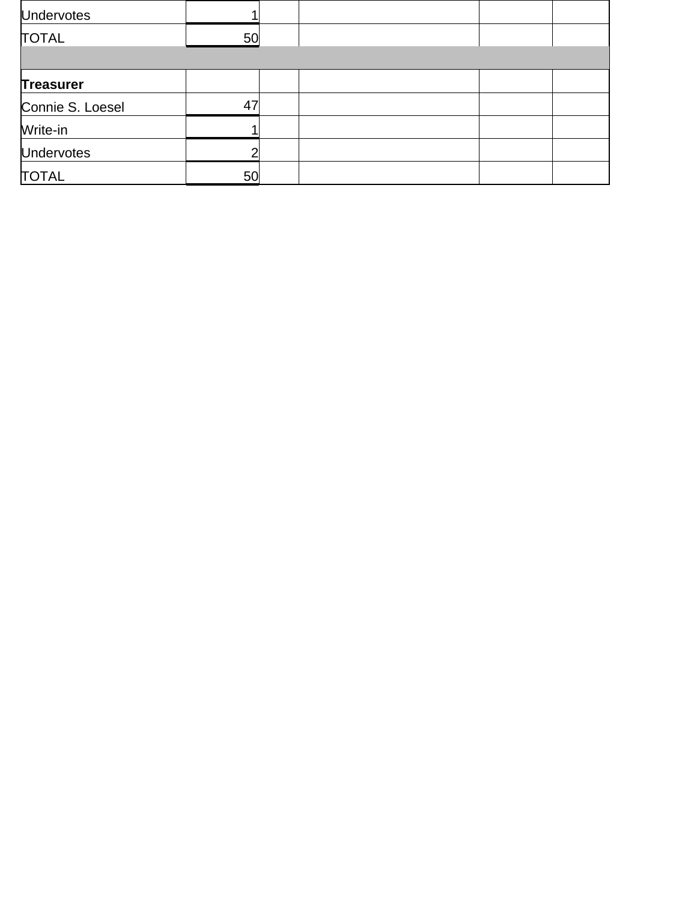| <b>Undervotes</b> |    |  |  |
|-------------------|----|--|--|
| <b>TOTAL</b>      | 50 |  |  |
|                   |    |  |  |
| <b>Treasurer</b>  |    |  |  |
| Connie S. Loesel  | 47 |  |  |
| Write-in          |    |  |  |
| <b>Undervotes</b> | ⌒  |  |  |
| <b>TOTAL</b>      | 50 |  |  |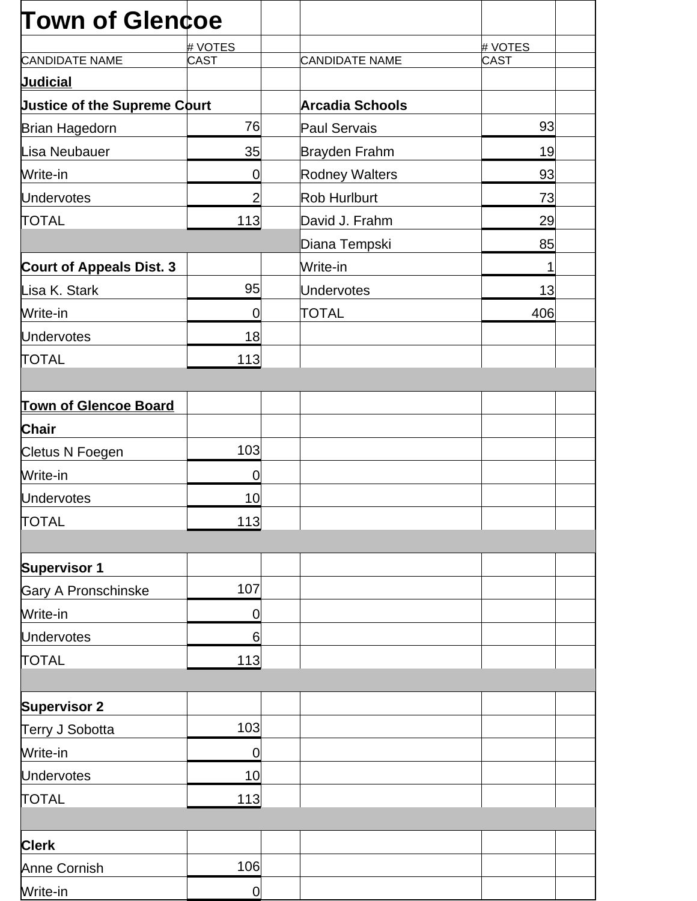| <b>Town of Glencoe</b>              |                |                        |         |
|-------------------------------------|----------------|------------------------|---------|
|                                     | # VOTES        |                        | # VOTES |
| <b>CANDIDATE NAME</b>               | <b>CAST</b>    | <b>CANDIDATE NAME</b>  | CAST    |
| <u>Judicial</u>                     |                |                        |         |
| <b>Justice of the Supreme Court</b> |                | <b>Arcadia Schools</b> |         |
| Brian Hagedorn                      | 76             | Paul Servais           | 93      |
| Lisa Neubauer                       | 35             | Brayden Frahm          | 19      |
| Write-in                            | 0              | <b>Rodney Walters</b>  | 93      |
| <b>Undervotes</b>                   | $\overline{2}$ | Rob Hurlburt           | 73      |
| <b>TOTAL</b>                        | 113            | David J. Frahm         | 29      |
|                                     |                | Diana Tempski          | 85      |
| <b>Court of Appeals Dist. 3</b>     |                | Write-in               | 1       |
| Lisa K. Stark                       | 95             | Undervotes             | 13      |
| Write-in                            | 0              | <b>TOTAL</b>           | 406     |
| <b>Undervotes</b>                   | 18             |                        |         |
| <b>TOTAL</b>                        | 113            |                        |         |
|                                     |                |                        |         |
| <b>Town of Glencoe Board</b>        |                |                        |         |
| <b>Chair</b>                        |                |                        |         |
| Cletus N Foegen                     | 103            |                        |         |
| Write-in                            | $\overline{0}$ |                        |         |
| <b>Undervotes</b>                   | 10             |                        |         |
| <b>TOTAL</b>                        | $113$          |                        |         |
|                                     |                |                        |         |
| <b>Supervisor 1</b>                 |                |                        |         |
| Gary A Pronschinske                 | 107            |                        |         |
| Write-in                            | 0              |                        |         |
| <b>Undervotes</b>                   | 6              |                        |         |
| <b>TOTAL</b>                        | 113            |                        |         |
|                                     |                |                        |         |
| <b>Supervisor 2</b>                 |                |                        |         |
| Terry J Sobotta                     | 103            |                        |         |
| Write-in                            | $\mathbf 0$    |                        |         |
| <b>Undervotes</b>                   | 10             |                        |         |
| <b>TOTAL</b>                        | 113            |                        |         |
|                                     |                |                        |         |
| <b>Clerk</b>                        |                |                        |         |
| <b>Anne Cornish</b>                 | 106            |                        |         |
| Write-in                            | $\mathbf 0$    |                        |         |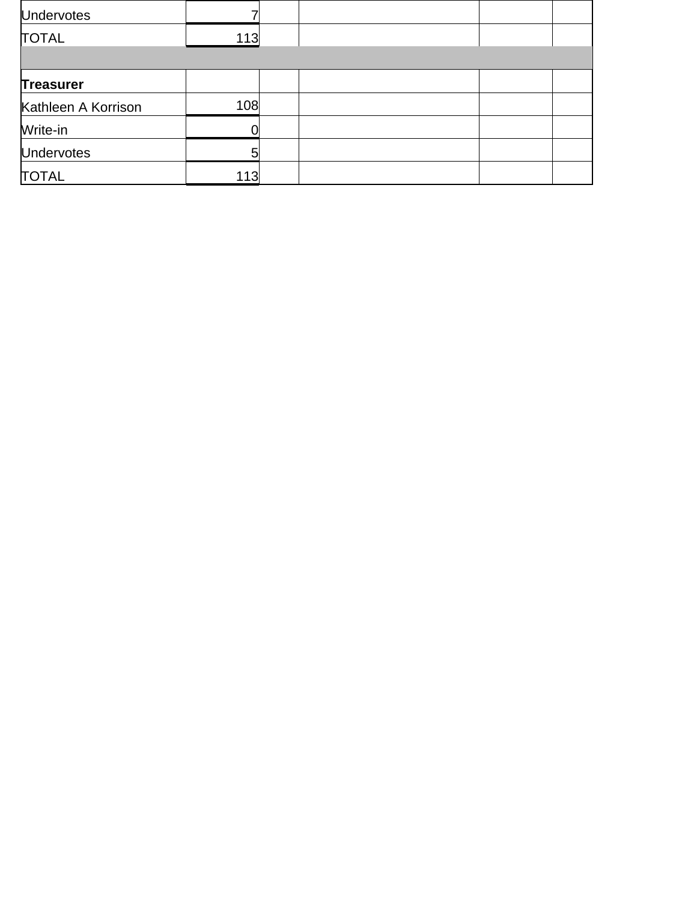| <b>Undervotes</b>   |     |  |  |
|---------------------|-----|--|--|
| <b>TOTAL</b>        | 113 |  |  |
|                     |     |  |  |
| <b>Treasurer</b>    |     |  |  |
| Kathleen A Korrison | 108 |  |  |
| Write-in            |     |  |  |
| <b>Undervotes</b>   | 5   |  |  |
| <b>TOTAL</b>        | 113 |  |  |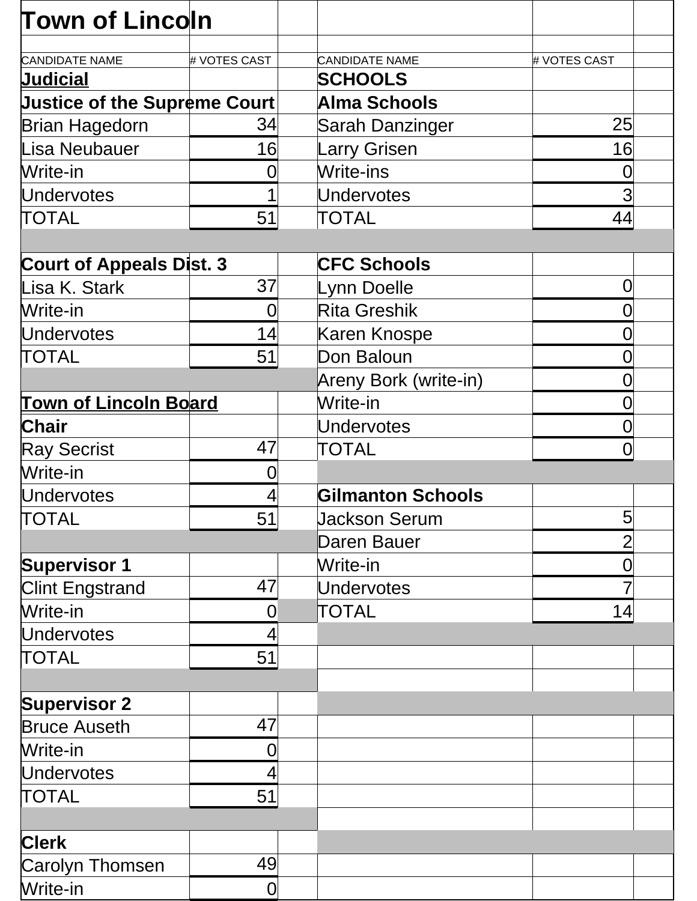| <b>Town of Lincoln</b>              |                |                          |                 |
|-------------------------------------|----------------|--------------------------|-----------------|
| <b>CANDIDATE NAME</b>               | # VOTES CAST   | <b>CANDIDATE NAME</b>    | # VOTES CAST    |
| <b>Judicial</b>                     |                | <b>SCHOOLS</b>           |                 |
| <b>Justice of the Supreme Court</b> |                | <b>Alma Schools</b>      |                 |
| <b>Brian Hagedorn</b>               | 34             | Sarah Danzinger          | 25 <sub>l</sub> |
| Lisa Neubauer                       | 16             | <b>Larry Grisen</b>      | 16              |
| Write-in                            | 0              | Write-ins                | 0               |
| <b>Undervotes</b>                   |                | <b>Undervotes</b>        | $\overline{3}$  |
| <b>TOTAL</b>                        | 51             | <b>TOTAL</b>             | 44              |
|                                     |                |                          |                 |
| <b>Court of Appeals Dist. 3</b>     |                | <b>CFC Schools</b>       |                 |
| Lisa K. Stark                       | 37             | Lynn Doelle              | 0               |
| Write-in                            | 0              | <b>Rita Greshik</b>      | 0               |
| <b>Undervotes</b>                   | 14             | Karen Knospe             | 0               |
| <b>TOTAL</b>                        | 51             | Don Baloun               |                 |
|                                     |                | Areny Bork (write-in)    | 0               |
| <b>Town of Lincoln Board</b>        |                | Write-in                 | 0               |
| <b>Chair</b>                        |                | <b>Undervotes</b>        | 0               |
| <b>Ray Secrist</b>                  | 47             | TOTAL                    | 0               |
| Write-in                            | 0              |                          |                 |
| <b>Undervotes</b>                   |                | <b>Gilmanton Schools</b> |                 |
| <b>TOTAL</b>                        | 51             | <b>Jackson Serum</b>     | 5               |
|                                     |                | Daren Bauer              | $\overline{2}$  |
| <b>Supervisor 1</b>                 |                | Write-in                 | 0               |
| <b>Clint Engstrand</b>              | 47             | <b>Undervotes</b>        |                 |
| Write-in                            | $\overline{0}$ | TOTAL                    | 4               |
| <b>Undervotes</b>                   | 4              |                          |                 |
| <b>TOTAL</b>                        | 51             |                          |                 |
|                                     |                |                          |                 |
| <b>Supervisor 2</b>                 |                |                          |                 |
| <b>Bruce Auseth</b>                 | 47             |                          |                 |
| Write-in                            | $\overline{0}$ |                          |                 |
| <b>Undervotes</b>                   | $\overline{4}$ |                          |                 |
| <b>TOTAL</b>                        | 51             |                          |                 |
| <b>Clerk</b>                        |                |                          |                 |
| Carolyn Thomsen                     | 49             |                          |                 |
| Write-in                            | $\overline{0}$ |                          |                 |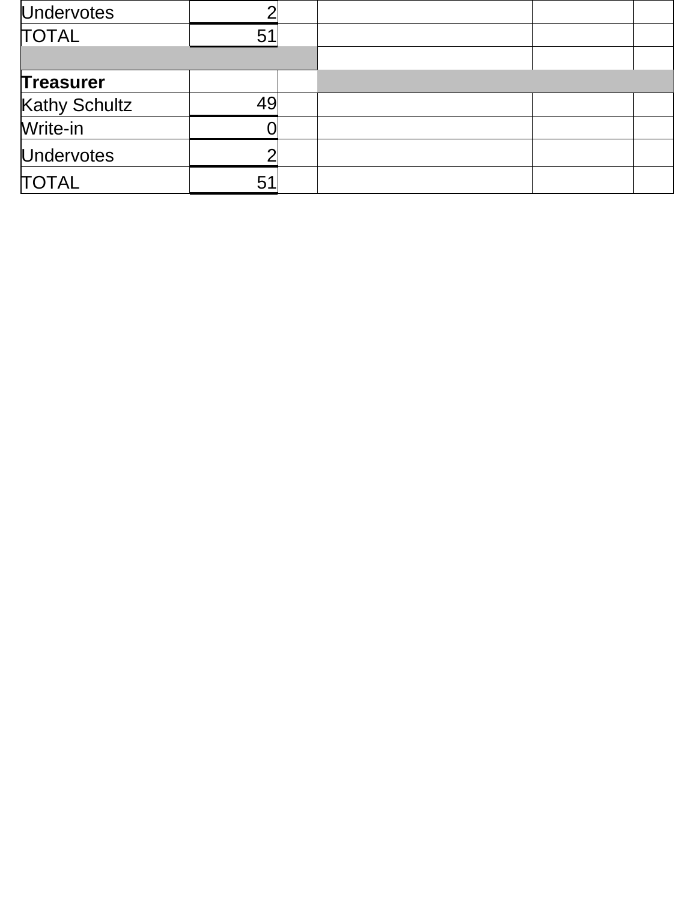| <b>Undervotes</b> |    |  |
|-------------------|----|--|
| <b>TOTAL</b>      | 51 |  |
|                   |    |  |
| <b>Treasurer</b>  |    |  |
| Kathy Schultz     | 49 |  |
| Write-in          |    |  |
| <b>Undervotes</b> |    |  |
| <b>TOTAL</b>      | 51 |  |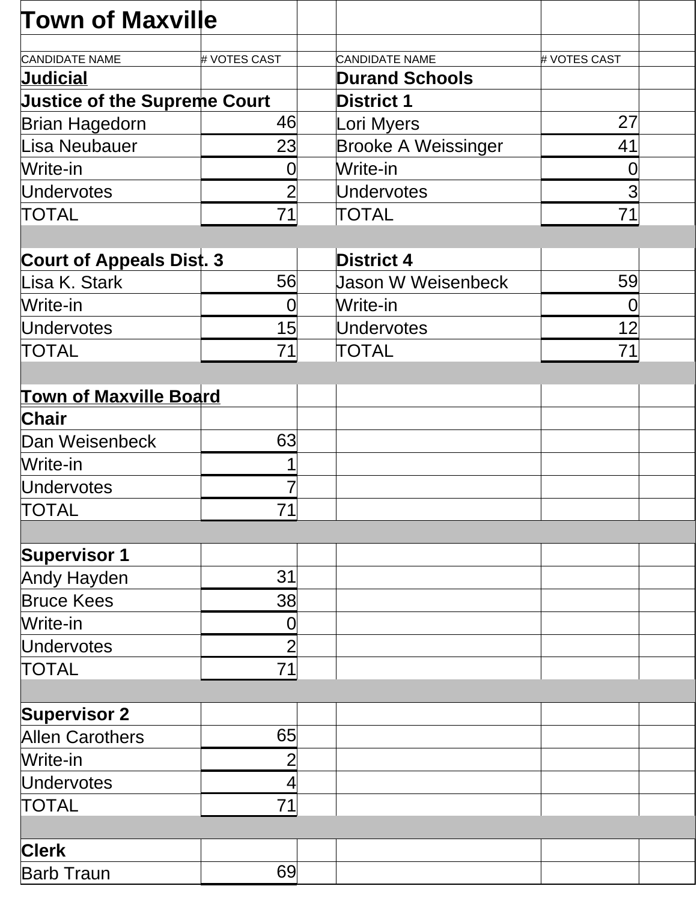| <b>Town of Maxville</b>             |                |                            |              |  |
|-------------------------------------|----------------|----------------------------|--------------|--|
| <b>CANDIDATE NAME</b>               | # VOTES CAST   | <b>CANDIDATE NAME</b>      | # VOTES CAST |  |
| <b>Judicial</b>                     |                | <b>Durand Schools</b>      |              |  |
| <b>Justice of the Supreme Court</b> |                | <b>District 1</b>          |              |  |
| <b>Brian Hagedorn</b>               | 46             | Lori Myers                 | 27           |  |
| <b>Lisa Neubauer</b>                | 23             | <b>Brooke A Weissinger</b> | 41           |  |
| Write-in                            | 0              | Write-in                   | 0            |  |
| <b>Undervotes</b>                   | $\overline{2}$ | <b>Undervotes</b>          | 3            |  |
| TOTAL                               | 71             | TOTAL                      | 71           |  |
|                                     |                |                            |              |  |
| <b>Court of Appeals Dist. 3</b>     |                | <b>District 4</b>          |              |  |
| Lisa K. Stark                       | 56             | <b>Jason W Weisenbeck</b>  | 59           |  |
| Write-in                            | $\Omega$       | Write-in                   | $\Omega$     |  |
| <b>Undervotes</b>                   | 15             | <b>Undervotes</b>          | 12           |  |
| TOTAL                               | 71             | TOTAL                      | 71           |  |
|                                     |                |                            |              |  |
| <b>Town of Maxville Board</b>       |                |                            |              |  |
| <b>Chair</b>                        |                |                            |              |  |
| Dan Weisenbeck                      | 63             |                            |              |  |
| Write-in                            | 1              |                            |              |  |
| Undervotes                          |                |                            |              |  |
| <b>TOTAL</b>                        | 71             |                            |              |  |
|                                     |                |                            |              |  |
| <b>Supervisor 1</b>                 |                |                            |              |  |
| Andy Hayden                         | 31             |                            |              |  |
| <b>Bruce Kees</b>                   | 38             |                            |              |  |
| Write-in                            | $\mathbf 0$    |                            |              |  |
| <b>Undervotes</b>                   | $\overline{2}$ |                            |              |  |
| TOTAL                               | 71             |                            |              |  |
|                                     |                |                            |              |  |
| <b>Supervisor 2</b>                 |                |                            |              |  |
| <b>Allen Carothers</b>              | 65             |                            |              |  |
| Write-in                            | $\overline{2}$ |                            |              |  |
| <b>Undervotes</b>                   | $\overline{4}$ |                            |              |  |
| TOTAL                               | 71             |                            |              |  |
|                                     |                |                            |              |  |
| <b>Clerk</b>                        |                |                            |              |  |
| <b>Barb Traun</b>                   | 69             |                            |              |  |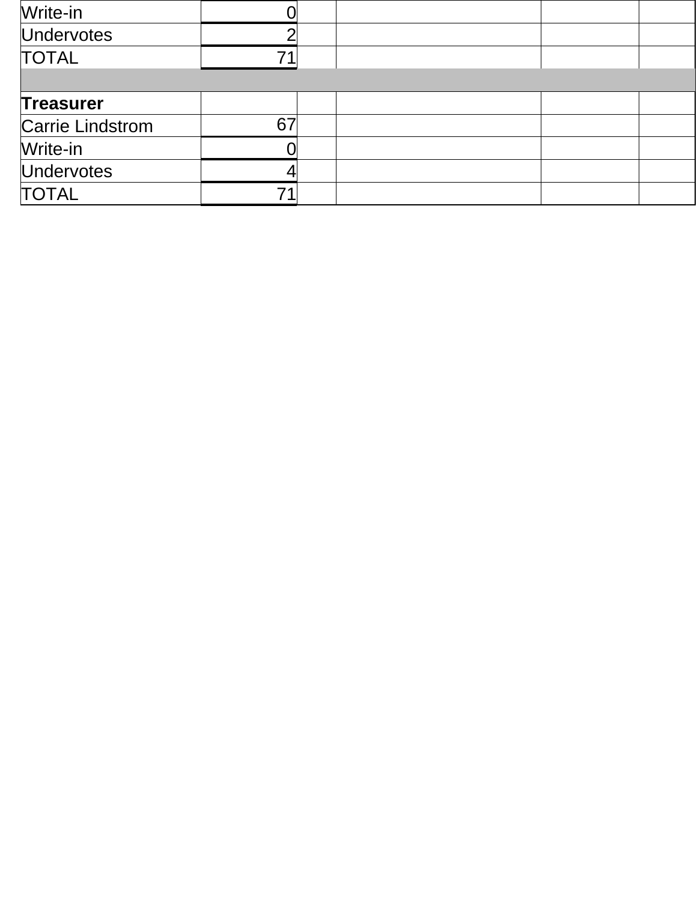| Write-in                |    |  |  |
|-------------------------|----|--|--|
| <b>Undervotes</b>       |    |  |  |
| <b>TOTAL</b>            |    |  |  |
|                         |    |  |  |
| <b>Treasurer</b>        |    |  |  |
| <b>Carrie Lindstrom</b> | 67 |  |  |
| Write-in                |    |  |  |
| <b>Undervotes</b>       |    |  |  |
| <b>TOTAL</b>            |    |  |  |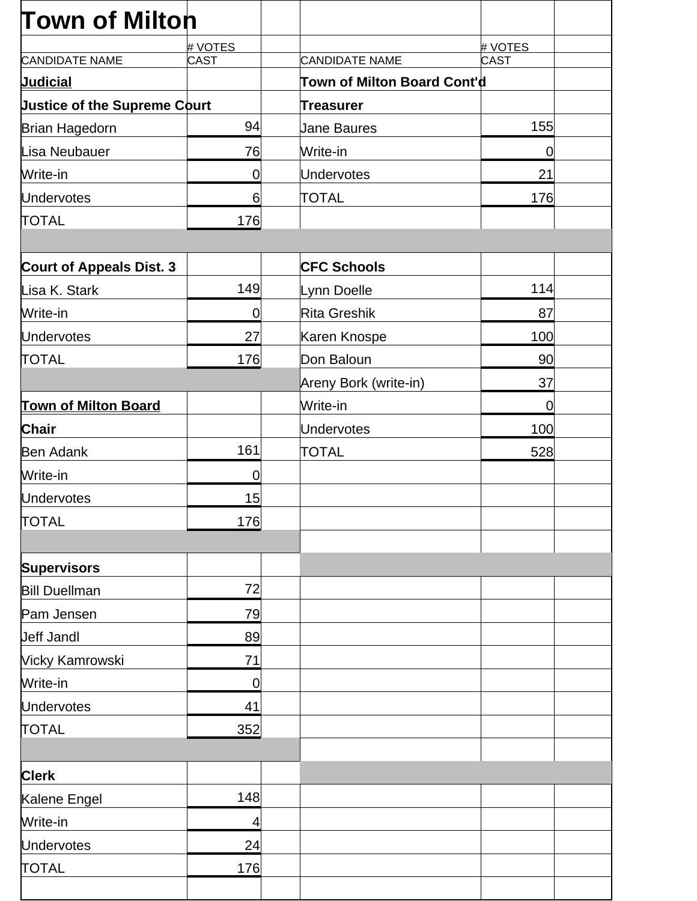| <b>Town of Milton</b>               |                          |                             |                |  |
|-------------------------------------|--------------------------|-----------------------------|----------------|--|
|                                     | # VOTES                  |                             | # VOTES        |  |
| <b>CANDIDATE NAME</b>               | CAST                     | <b>CANDIDATE NAME</b>       | CAST           |  |
| <b>Judicial</b>                     |                          | Town of Milton Board Cont'd |                |  |
| <b>Justice of the Supreme Court</b> |                          | Treasurer                   |                |  |
| <b>Brian Hagedorn</b>               | 94                       | <b>Jane Baures</b>          | 155            |  |
| Lisa Neubauer                       | 76                       | Write-in                    | $\overline{0}$ |  |
| Write-in                            | $\overline{0}$           | <b>Undervotes</b>           | 21             |  |
| <b>Undervotes</b>                   | 6                        | <b>TOTAL</b>                | 176            |  |
| <b>TOTAL</b>                        | 176                      |                             |                |  |
|                                     |                          |                             |                |  |
| <b>Court of Appeals Dist. 3</b>     |                          | <b>CFC Schools</b>          |                |  |
| Lisa K. Stark                       | 149                      | Lynn Doelle                 | 114            |  |
| Write-in                            | $\mathbf 0$              | <b>Rita Greshik</b>         | 87             |  |
| <b>Undervotes</b>                   | 27                       | Karen Knospe                | 100            |  |
| <b>TOTAL</b>                        | 176                      | Don Baloun                  | 90             |  |
|                                     |                          | Areny Bork (write-in)       | 37             |  |
| <b>Town of Milton Board</b>         |                          | Write-in                    | $\overline{0}$ |  |
| <b>Chair</b>                        |                          | <b>Undervotes</b>           | 100            |  |
| <b>Ben Adank</b>                    | 161                      | TOTAL                       | 528            |  |
| Write-in                            | $\mathbf 0$              |                             |                |  |
| <b>Undervotes</b>                   | 15                       |                             |                |  |
| <b>TOTAL</b>                        | 176                      |                             |                |  |
|                                     |                          |                             |                |  |
| <b>Supervisors</b>                  |                          |                             |                |  |
| <b>Bill Duellman</b>                | 72                       |                             |                |  |
| Pam Jensen                          | 79                       |                             |                |  |
| <b>Jeff Jandl</b>                   | 89                       |                             |                |  |
| Vicky Kamrowski                     | 71                       |                             |                |  |
| Write-in                            | $\mathbf 0$              |                             |                |  |
| <b>Undervotes</b>                   | 41                       |                             |                |  |
| <b>TOTAL</b>                        | 352                      |                             |                |  |
|                                     |                          |                             |                |  |
| <b>Clerk</b>                        |                          |                             |                |  |
| Kalene Engel                        | 148                      |                             |                |  |
| Write-in                            | $\overline{\mathcal{A}}$ |                             |                |  |
| <b>Undervotes</b>                   | 24                       |                             |                |  |
| <b>TOTAL</b>                        | 176                      |                             |                |  |
|                                     |                          |                             |                |  |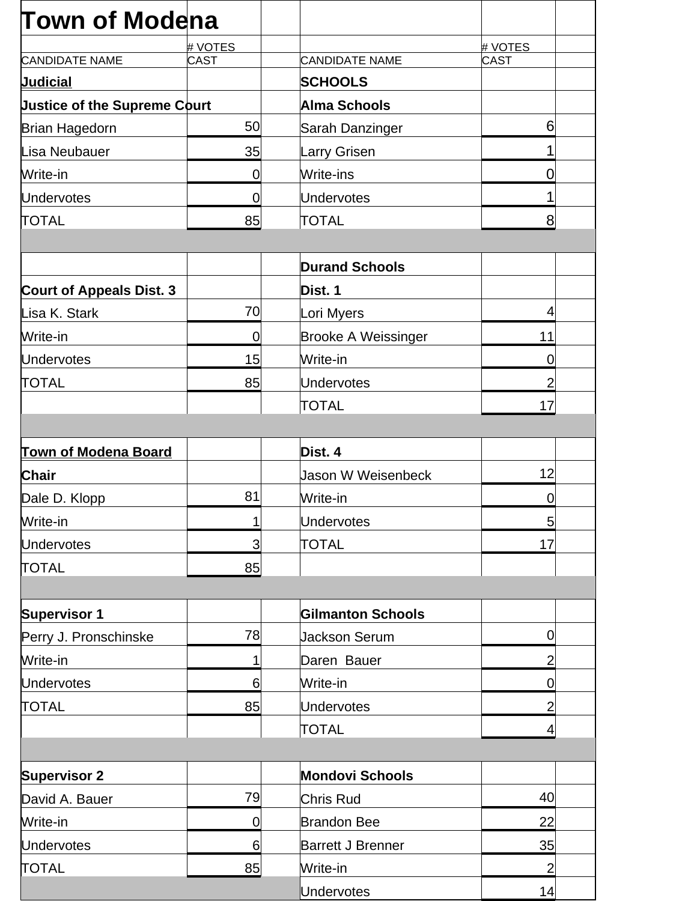| <b>Town of Modena</b>               |                |                            |                |
|-------------------------------------|----------------|----------------------------|----------------|
|                                     | # VOTES        |                            | # VOTES        |
| <b>CANDIDATE NAME</b>               | <b>CAST</b>    | <b>CANDIDATE NAME</b>      | <b>CAST</b>    |
| <b>Judicial</b>                     |                | <b>SCHOOLS</b>             |                |
| <b>Justice of the Supreme Court</b> |                | Alma Schools               |                |
| <b>Brian Hagedorn</b>               | 50             | Sarah Danzinger            | 6              |
| Lisa Neubauer                       | 35             | Larry Grisen               |                |
| Write-in                            | $\overline{0}$ | Write-ins                  | 0              |
| <b>Undervotes</b>                   | 0              | <b>Undervotes</b>          |                |
| <b>TOTAL</b>                        | 85             | <b>TOTAL</b>               | 8              |
|                                     |                | <b>Durand Schools</b>      |                |
| <b>Court of Appeals Dist. 3</b>     |                | Dist. 1                    |                |
| Lisa K. Stark                       | 70             | Lori Myers                 | 4              |
| Write-in                            | 0              | <b>Brooke A Weissinger</b> | 11             |
| <b>Undervotes</b>                   | 15             | Write-in                   | $\overline{0}$ |
| <b>TOTAL</b>                        | 85             | <b>Undervotes</b>          | 2              |
|                                     |                | TOTAL                      | 17             |
|                                     |                |                            |                |
| <b>Town of Modena Board</b>         |                | Dist. 4                    |                |
| <b>Chair</b>                        |                | Jason W Weisenbeck         | 12             |
| Dale D. Klopp                       | 81             | Write-in                   | $\overline{0}$ |
| Write-in                            | 1              | Undervotes                 | $\overline{5}$ |
| <b>Undervotes</b>                   | 3              | TOTAL                      | 17             |
| <b>TOTAL</b>                        | 85             |                            |                |
|                                     |                |                            |                |
| <b>Supervisor 1</b>                 |                | <b>Gilmanton Schools</b>   |                |
| Perry J. Pronschinske               | 78             | Jackson Serum              | $\mathbf 0$    |
| Write-in                            | 1              | Daren Bauer                | $\overline{2}$ |
| <b>Undervotes</b>                   | 6              | Write-in                   | 0              |
| <b>TOTAL</b>                        | 85             | <b>Undervotes</b>          | $\overline{2}$ |
|                                     |                | <b>TOTAL</b>               | 4              |
|                                     |                |                            |                |
| <b>Supervisor 2</b>                 |                | <b>Mondovi Schools</b>     |                |
| David A. Bauer                      | 79             | Chris Rud                  | 40             |
| Write-in                            | $\mathbf 0$    | <b>Brandon Bee</b>         | 22             |
| <b>Undervotes</b>                   | 6              | <b>Barrett J Brenner</b>   | 35             |
| <b>TOTAL</b>                        | 85             | Write-in                   | $\overline{2}$ |
|                                     |                | <b>Undervotes</b>          | 14             |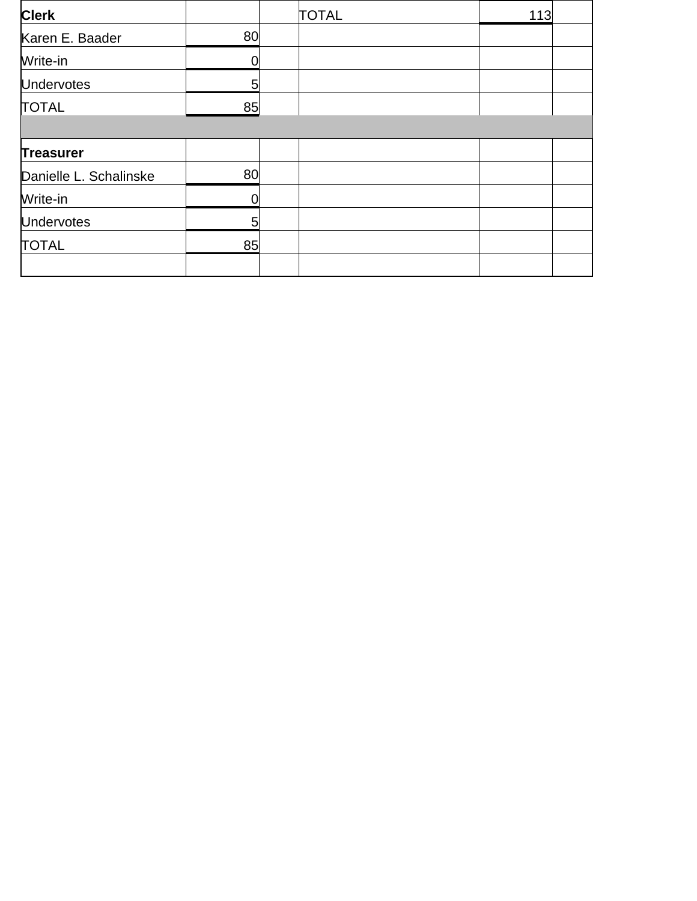| <b>Clerk</b>           |    | <b>TOTAL</b> | 113 |  |
|------------------------|----|--------------|-----|--|
| Karen E. Baader        | 80 |              |     |  |
| Write-in               | O  |              |     |  |
| <b>Undervotes</b>      | 5  |              |     |  |
| <b>TOTAL</b>           | 85 |              |     |  |
|                        |    |              |     |  |
| <b>Treasurer</b>       |    |              |     |  |
| Danielle L. Schalinske | 80 |              |     |  |
| Write-in               | O  |              |     |  |
| <b>Undervotes</b>      | 5  |              |     |  |
| <b>TOTAL</b>           | 85 |              |     |  |
|                        |    |              |     |  |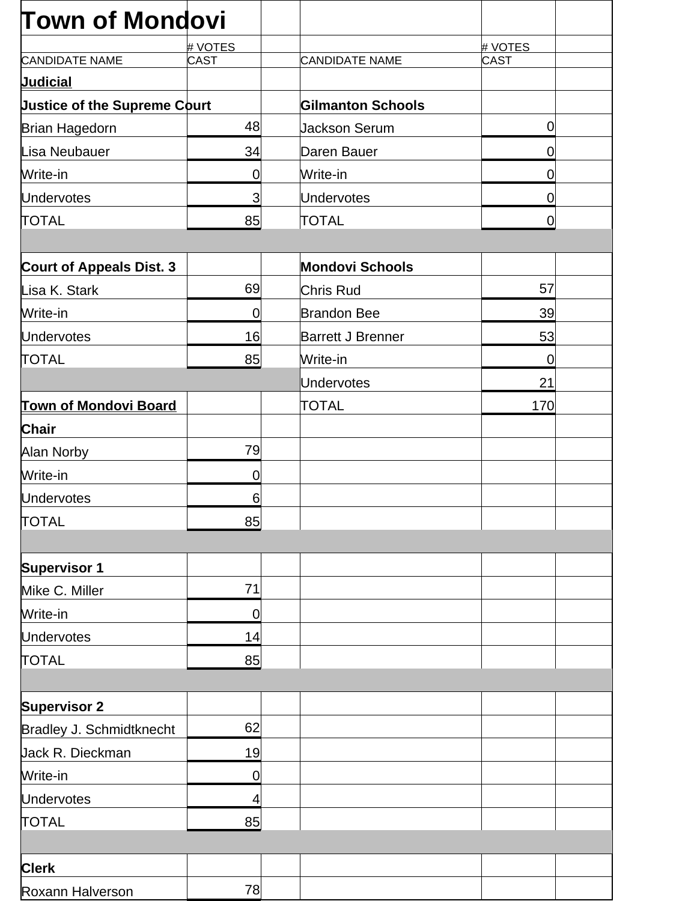| # VOTES<br># VOTES<br>CANDIDATE NAME<br>CAST<br>CAST<br><b>Justice of the Supreme Court</b><br><b>Gilmanton Schools</b><br>48<br>0<br><b>Jackson Serum</b><br>34<br>Daren Bauer<br>0<br>Write-in<br>0<br>0<br>Undervotes<br>3<br>0<br><b>TOTAL</b><br>85<br>0<br><b>Mondovi Schools</b><br>69<br>57<br>Chris Rud<br>39<br><b>Brandon Bee</b><br>$\mathbf 0$<br>16<br><b>Barrett J Brenner</b><br>53<br>85<br>Write-in<br>0<br><b>Undervotes</b><br>21<br><b>TOTAL</b><br>170<br>79<br>0<br>6<br>85<br><b>Supervisor 1</b><br>71<br>0<br><b>Undervotes</b><br>14<br><b>TOTAL</b><br>85<br><b>Supervisor 2</b><br>62<br>Bradley J. Schmidtknecht<br>Jack R. Dieckman<br>19<br>Write-in<br>0<br><b>Undervotes</b><br>4<br><b>TOTAL</b><br>85 | <b>Town of Mondovi</b>          |  |  |
|-------------------------------------------------------------------------------------------------------------------------------------------------------------------------------------------------------------------------------------------------------------------------------------------------------------------------------------------------------------------------------------------------------------------------------------------------------------------------------------------------------------------------------------------------------------------------------------------------------------------------------------------------------------------------------------------------------------------------------------------|---------------------------------|--|--|
|                                                                                                                                                                                                                                                                                                                                                                                                                                                                                                                                                                                                                                                                                                                                           |                                 |  |  |
|                                                                                                                                                                                                                                                                                                                                                                                                                                                                                                                                                                                                                                                                                                                                           | <b>CANDIDATE NAME</b>           |  |  |
|                                                                                                                                                                                                                                                                                                                                                                                                                                                                                                                                                                                                                                                                                                                                           | <b>Judicial</b>                 |  |  |
|                                                                                                                                                                                                                                                                                                                                                                                                                                                                                                                                                                                                                                                                                                                                           |                                 |  |  |
|                                                                                                                                                                                                                                                                                                                                                                                                                                                                                                                                                                                                                                                                                                                                           | <b>Brian Hagedorn</b>           |  |  |
|                                                                                                                                                                                                                                                                                                                                                                                                                                                                                                                                                                                                                                                                                                                                           | Lisa Neubauer                   |  |  |
|                                                                                                                                                                                                                                                                                                                                                                                                                                                                                                                                                                                                                                                                                                                                           | Write-in                        |  |  |
|                                                                                                                                                                                                                                                                                                                                                                                                                                                                                                                                                                                                                                                                                                                                           | <b>Undervotes</b>               |  |  |
|                                                                                                                                                                                                                                                                                                                                                                                                                                                                                                                                                                                                                                                                                                                                           | <b>TOTAL</b>                    |  |  |
|                                                                                                                                                                                                                                                                                                                                                                                                                                                                                                                                                                                                                                                                                                                                           | <b>Court of Appeals Dist. 3</b> |  |  |
|                                                                                                                                                                                                                                                                                                                                                                                                                                                                                                                                                                                                                                                                                                                                           | Lisa K. Stark                   |  |  |
|                                                                                                                                                                                                                                                                                                                                                                                                                                                                                                                                                                                                                                                                                                                                           | Write-in                        |  |  |
|                                                                                                                                                                                                                                                                                                                                                                                                                                                                                                                                                                                                                                                                                                                                           | <b>Undervotes</b>               |  |  |
|                                                                                                                                                                                                                                                                                                                                                                                                                                                                                                                                                                                                                                                                                                                                           | <b>TOTAL</b>                    |  |  |
|                                                                                                                                                                                                                                                                                                                                                                                                                                                                                                                                                                                                                                                                                                                                           |                                 |  |  |
|                                                                                                                                                                                                                                                                                                                                                                                                                                                                                                                                                                                                                                                                                                                                           | <b>Town of Mondovi Board</b>    |  |  |
|                                                                                                                                                                                                                                                                                                                                                                                                                                                                                                                                                                                                                                                                                                                                           | <b>Chair</b>                    |  |  |
|                                                                                                                                                                                                                                                                                                                                                                                                                                                                                                                                                                                                                                                                                                                                           | Alan Norby                      |  |  |
|                                                                                                                                                                                                                                                                                                                                                                                                                                                                                                                                                                                                                                                                                                                                           | Write-in                        |  |  |
|                                                                                                                                                                                                                                                                                                                                                                                                                                                                                                                                                                                                                                                                                                                                           | <b>Undervotes</b>               |  |  |
|                                                                                                                                                                                                                                                                                                                                                                                                                                                                                                                                                                                                                                                                                                                                           | <b>TOTAL</b>                    |  |  |
|                                                                                                                                                                                                                                                                                                                                                                                                                                                                                                                                                                                                                                                                                                                                           |                                 |  |  |
|                                                                                                                                                                                                                                                                                                                                                                                                                                                                                                                                                                                                                                                                                                                                           |                                 |  |  |
|                                                                                                                                                                                                                                                                                                                                                                                                                                                                                                                                                                                                                                                                                                                                           | Mike C. Miller                  |  |  |
|                                                                                                                                                                                                                                                                                                                                                                                                                                                                                                                                                                                                                                                                                                                                           | Write-in                        |  |  |
|                                                                                                                                                                                                                                                                                                                                                                                                                                                                                                                                                                                                                                                                                                                                           |                                 |  |  |
|                                                                                                                                                                                                                                                                                                                                                                                                                                                                                                                                                                                                                                                                                                                                           |                                 |  |  |
|                                                                                                                                                                                                                                                                                                                                                                                                                                                                                                                                                                                                                                                                                                                                           |                                 |  |  |
|                                                                                                                                                                                                                                                                                                                                                                                                                                                                                                                                                                                                                                                                                                                                           |                                 |  |  |
|                                                                                                                                                                                                                                                                                                                                                                                                                                                                                                                                                                                                                                                                                                                                           |                                 |  |  |
|                                                                                                                                                                                                                                                                                                                                                                                                                                                                                                                                                                                                                                                                                                                                           |                                 |  |  |
|                                                                                                                                                                                                                                                                                                                                                                                                                                                                                                                                                                                                                                                                                                                                           |                                 |  |  |
|                                                                                                                                                                                                                                                                                                                                                                                                                                                                                                                                                                                                                                                                                                                                           |                                 |  |  |
|                                                                                                                                                                                                                                                                                                                                                                                                                                                                                                                                                                                                                                                                                                                                           |                                 |  |  |
|                                                                                                                                                                                                                                                                                                                                                                                                                                                                                                                                                                                                                                                                                                                                           |                                 |  |  |
|                                                                                                                                                                                                                                                                                                                                                                                                                                                                                                                                                                                                                                                                                                                                           | <b>Clerk</b>                    |  |  |
| 78                                                                                                                                                                                                                                                                                                                                                                                                                                                                                                                                                                                                                                                                                                                                        | Roxann Halverson                |  |  |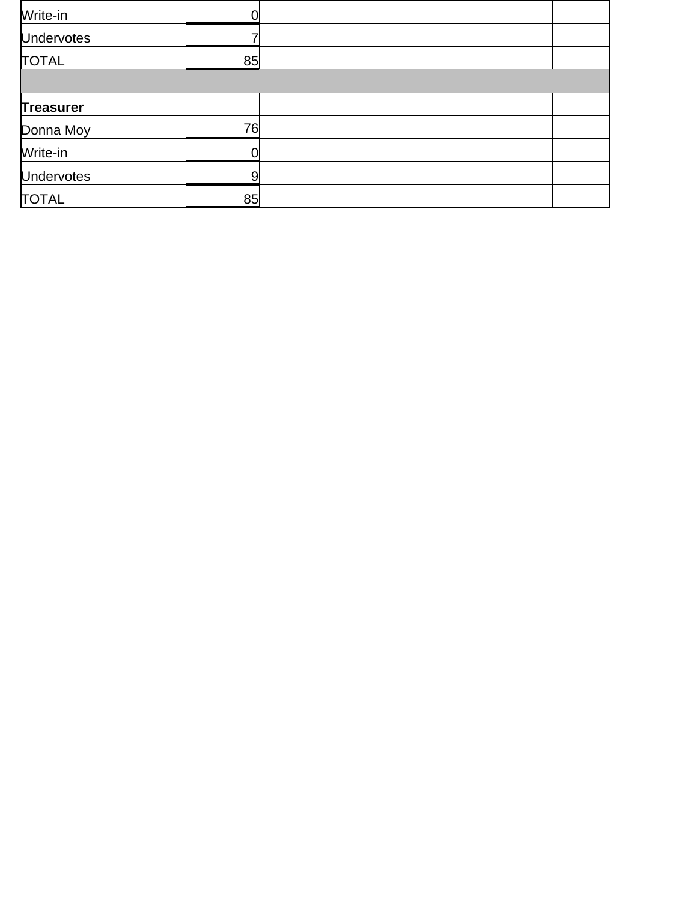| Write-in          |    |  |  |
|-------------------|----|--|--|
| <b>Undervotes</b> |    |  |  |
| <b>TOTAL</b>      | 85 |  |  |
|                   |    |  |  |
| <b>Treasurer</b>  |    |  |  |
| Donna Moy         | 76 |  |  |
| Write-in          |    |  |  |
| <b>Undervotes</b> |    |  |  |
| <b>TOTAL</b>      | 85 |  |  |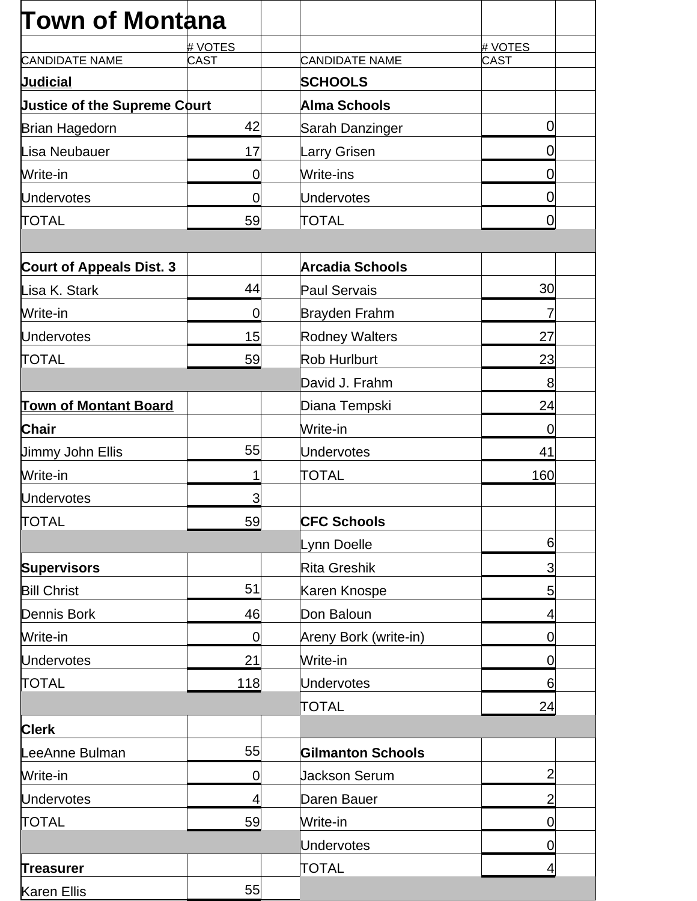| <b>Town of Montana</b>              |             |                          |                  |
|-------------------------------------|-------------|--------------------------|------------------|
|                                     | # VOTES     |                          | # VOTES          |
| <b>CANDIDATE NAME</b>               | <b>CAST</b> | <b>CANDIDATE NAME</b>    | CAST             |
| <b>Judicial</b>                     |             | <b>SCHOOLS</b>           |                  |
| <b>Justice of the Supreme Court</b> |             | <b>Alma Schools</b>      |                  |
| <b>Brian Hagedorn</b>               | 42          | Sarah Danzinger          | 0                |
| Lisa Neubauer                       | 17          | Larry Grisen             | $\boldsymbol{0}$ |
| Write-in                            | $\mathbf 0$ | Write-ins                | 0                |
| <b>Undervotes</b>                   | $\mathbf 0$ | Undervotes               | 0                |
| <b>TOTAL</b>                        | 59          | <b>TOTAL</b>             | $\overline{0}$   |
|                                     |             |                          |                  |
| <b>Court of Appeals Dist. 3</b>     |             | <b>Arcadia Schools</b>   |                  |
| Lisa K. Stark                       | 44          | Paul Servais             | 30               |
| Write-in                            | $\mathbf 0$ | Brayden Frahm            | 7                |
| <b>Undervotes</b>                   | 15          | <b>Rodney Walters</b>    | 27               |
| <b>TOTAL</b>                        | 59          | Rob Hurlburt             | 23               |
|                                     |             | David J. Frahm           | 8                |
| <b>Town of Montant Board</b>        |             | Diana Tempski            | 24               |
| <b>Chair</b>                        |             | Write-in                 | $\mathbf 0$      |
| <b>Jimmy John Ellis</b>             | 55          | Undervotes               | 41               |
| Write-in                            | 1           | <b>TOTAL</b>             | 160              |
| Undervotes                          | 3           |                          |                  |
| <b>TOTAL</b>                        | 59          | <b>CFC Schools</b>       |                  |
|                                     |             | Lynn Doelle              | 6                |
| <b>Supervisors</b>                  |             | Rita Greshik             | $\mathbf{3}$     |
| <b>Bill Christ</b>                  | 51          | Karen Knospe             | 5                |
| <b>Dennis Bork</b>                  | 46          | Don Baloun               | 4                |
| Write-in                            | $\mathbf 0$ | Areny Bork (write-in)    | $\mathbf 0$      |
| <b>Undervotes</b>                   | 21          | Write-in                 | $\mathbf 0$      |
| <b>TOTAL</b>                        | 118         | Undervotes               | 6                |
|                                     |             | TOTAL                    | 24               |
| <b>Clerk</b>                        |             |                          |                  |
| LeeAnne Bulman                      | 55          | <b>Gilmanton Schools</b> |                  |
| Write-in                            | $\mathbf 0$ | <b>Jackson Serum</b>     | $\overline{2}$   |
| <b>Undervotes</b>                   | 4           | Daren Bauer              | $\overline{2}$   |
| <b>TOTAL</b>                        | 59          | Write-in                 | 0                |
|                                     |             | Undervotes               | $\overline{0}$   |
| <b>Treasurer</b>                    |             | <b>TOTAL</b>             | 4                |
| <b>Karen Ellis</b>                  | 55          |                          |                  |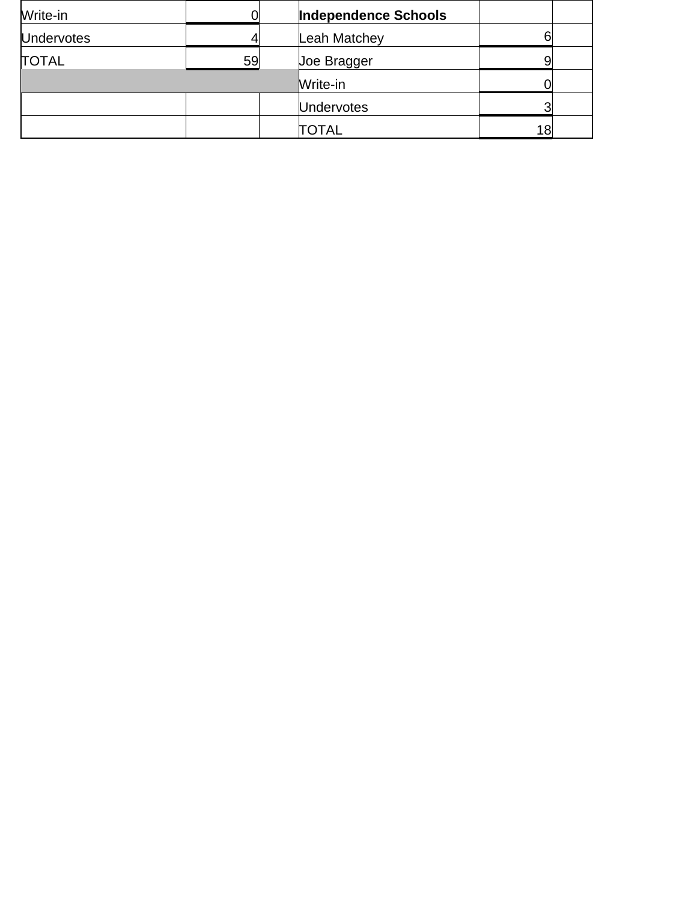| Write-in          |    | <b>Independence Schools</b> |    |  |
|-------------------|----|-----------------------------|----|--|
| <b>Undervotes</b> |    | Leah Matchey                |    |  |
| <b>TOTAL</b>      | 59 | Joe Bragger                 |    |  |
|                   |    | Write-in                    |    |  |
|                   |    | <b>Undervotes</b>           |    |  |
|                   |    | TOTAL                       | 18 |  |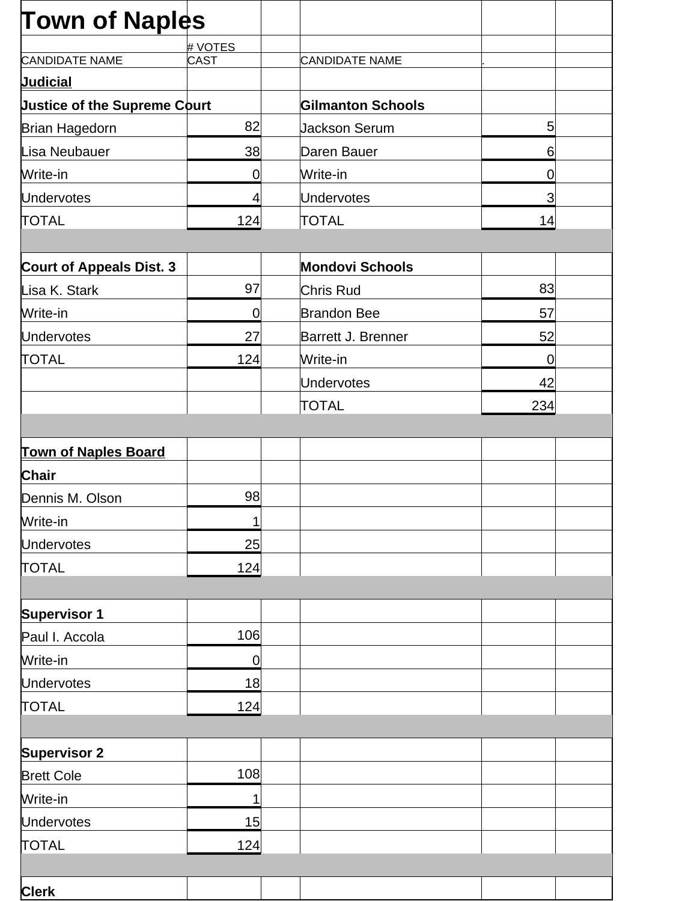| <b>Town of Naples</b>               |             |                          |             |  |
|-------------------------------------|-------------|--------------------------|-------------|--|
|                                     | # VOTES     |                          |             |  |
| <b>CANDIDATE NAME</b>               | <b>CAST</b> | <b>CANDIDATE NAME</b>    |             |  |
| <b>Judicial</b>                     |             |                          |             |  |
| <b>Justice of the Supreme Court</b> |             | <b>Gilmanton Schools</b> |             |  |
| <b>Brian Hagedorn</b>               | 82          | <b>Jackson Serum</b>     | $5\vert$    |  |
| Lisa Neubauer                       | 38          | Daren Bauer              | 6           |  |
| Write-in                            | 0           | Write-in                 | 0           |  |
| <b>Undervotes</b>                   | 4           | <b>Undervotes</b>        | 3           |  |
| <b>TOTAL</b>                        | 124         | <b>TOTAL</b>             | 14          |  |
|                                     |             |                          |             |  |
| <b>Court of Appeals Dist. 3</b>     |             | <b>Mondovi Schools</b>   |             |  |
| Lisa K. Stark                       | 97          | Chris Rud                | 83          |  |
| Write-in                            | 0           | <b>Brandon Bee</b>       | 57          |  |
| <b>Undervotes</b>                   | 27          | Barrett J. Brenner       | 52          |  |
| TOTAL                               | 124         | Write-in                 | $\mathbf 0$ |  |
|                                     |             | <b>Undervotes</b>        | 42          |  |
|                                     |             | <b>TOTAL</b>             | 234         |  |
|                                     |             |                          |             |  |
| <b>Town of Naples Board</b>         |             |                          |             |  |
| <b>Chair</b>                        |             |                          |             |  |
| Dennis M. Olson                     | 98          |                          |             |  |
| Write-in                            | 1           |                          |             |  |
| <b>Undervotes</b>                   | 25          |                          |             |  |
| <b>TOTAL</b>                        | 124         |                          |             |  |
|                                     |             |                          |             |  |
| <b>Supervisor 1</b>                 |             |                          |             |  |
| Paul I. Accola                      | 106         |                          |             |  |
| Write-in                            | 0           |                          |             |  |
| <b>Undervotes</b>                   | 18          |                          |             |  |
| <b>TOTAL</b>                        | 124         |                          |             |  |
|                                     |             |                          |             |  |
| <b>Supervisor 2</b>                 |             |                          |             |  |
| <b>Brett Cole</b>                   | 108         |                          |             |  |
| Write-in                            | 1           |                          |             |  |
| <b>Undervotes</b>                   | 15          |                          |             |  |
| <b>TOTAL</b>                        | 124         |                          |             |  |
|                                     |             |                          |             |  |
| <b>Clerk</b>                        |             |                          |             |  |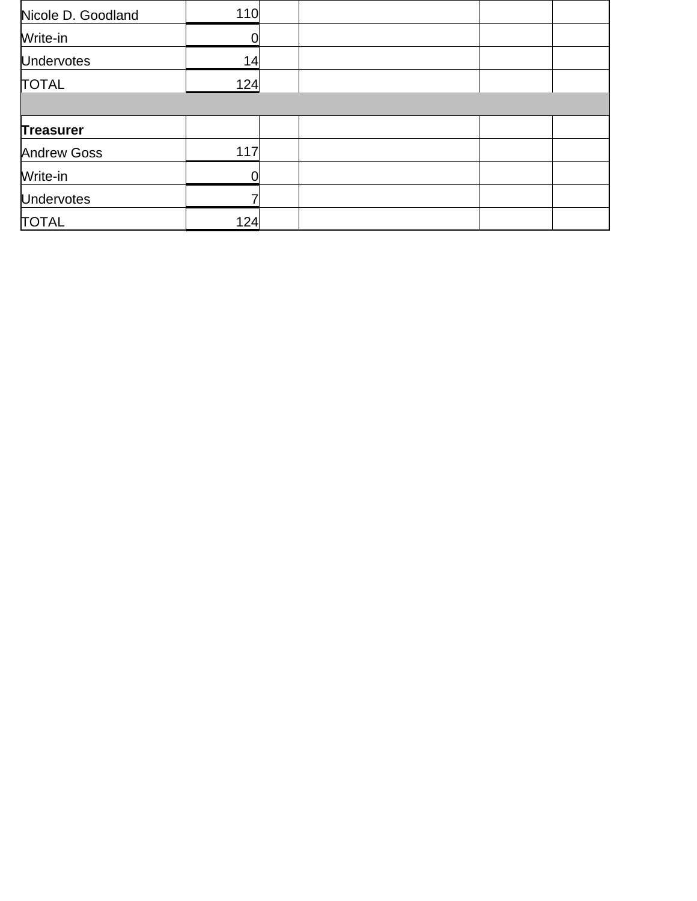| Nicole D. Goodland | 110 |  |  |
|--------------------|-----|--|--|
| Write-in           |     |  |  |
| <b>Undervotes</b>  | 14  |  |  |
| <b>TOTAL</b>       | 124 |  |  |
|                    |     |  |  |
| <b>Treasurer</b>   |     |  |  |
| <b>Andrew Goss</b> | 117 |  |  |
| Write-in           |     |  |  |
| <b>Undervotes</b>  |     |  |  |
| <b>TOTAL</b>       | 124 |  |  |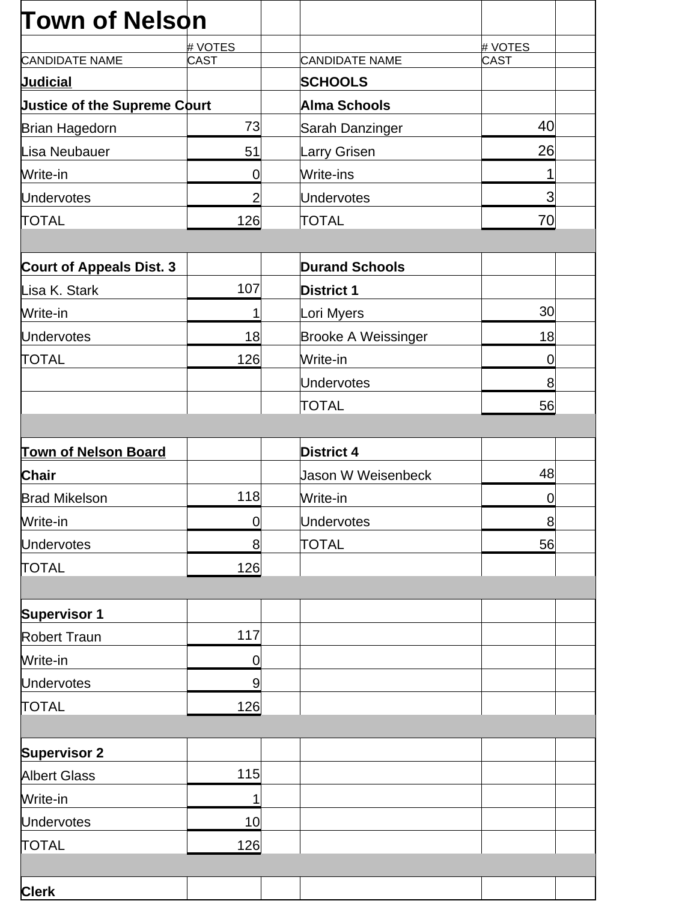| <b>Town of Nelson</b>               |                |                            |                 |
|-------------------------------------|----------------|----------------------------|-----------------|
|                                     | # VOTES        |                            | # VOTES         |
| <b>CANDIDATE NAME</b>               | <b>CAST</b>    | <b>CANDIDATE NAME</b>      | CAST            |
| <b>Judicial</b>                     |                | <b>SCHOOLS</b>             |                 |
| <b>Justice of the Supreme Court</b> |                | <b>Alma Schools</b>        |                 |
| Brian Hagedorn                      | 73             | Sarah Danzinger            | 40              |
| Lisa Neubauer                       | 51             | Larry Grisen               | 26              |
| Write-in                            | 0              | Write-ins                  |                 |
| <b>Undervotes</b>                   | $\overline{2}$ | Undervotes                 | 3               |
| <b>TOTAL</b>                        | 126            | <b>TOTAL</b>               | 70              |
|                                     |                |                            |                 |
| <b>Court of Appeals Dist. 3</b>     |                | <b>Durand Schools</b>      |                 |
| Lisa K. Stark                       | 107            | <b>District 1</b>          |                 |
| Write-in                            | 1              | Lori Myers                 | 30 <sup>°</sup> |
| <b>Undervotes</b>                   | 18             | <b>Brooke A Weissinger</b> | 18              |
| <b>TOTAL</b>                        | 126            | Write-in                   | $\mathbf 0$     |
|                                     |                | <b>Undervotes</b>          | 8               |
|                                     |                | TOTAL                      | 56              |
|                                     |                |                            |                 |
| <b>Town of Nelson Board</b>         |                | <b>District 4</b>          |                 |
| <b>Chair</b>                        |                | <b>Jason W Weisenbeck</b>  | 48              |
| <b>Brad Mikelson</b>                | 118            | Write-in                   | $\mathbf 0$     |
| Write-in                            | $\mathbf 0$    | Undervotes                 | 8               |
| <b>Undervotes</b>                   | 8              | TOTAL                      | 56              |
| <b>TOTAL</b>                        | 126            |                            |                 |
|                                     |                |                            |                 |
| <b>Supervisor 1</b>                 |                |                            |                 |
| <b>Robert Traun</b>                 | 117            |                            |                 |
| Write-in                            | $\mathbf 0$    |                            |                 |
| <b>Undervotes</b>                   | 9              |                            |                 |
| <b>TOTAL</b>                        | 126            |                            |                 |
|                                     |                |                            |                 |
| <b>Supervisor 2</b>                 |                |                            |                 |
| <b>Albert Glass</b>                 | 115            |                            |                 |
| Write-in                            | 1              |                            |                 |
| <b>Undervotes</b>                   | 10             |                            |                 |
| <b>TOTAL</b>                        | 126            |                            |                 |
|                                     |                |                            |                 |
| <b>Clerk</b>                        |                |                            |                 |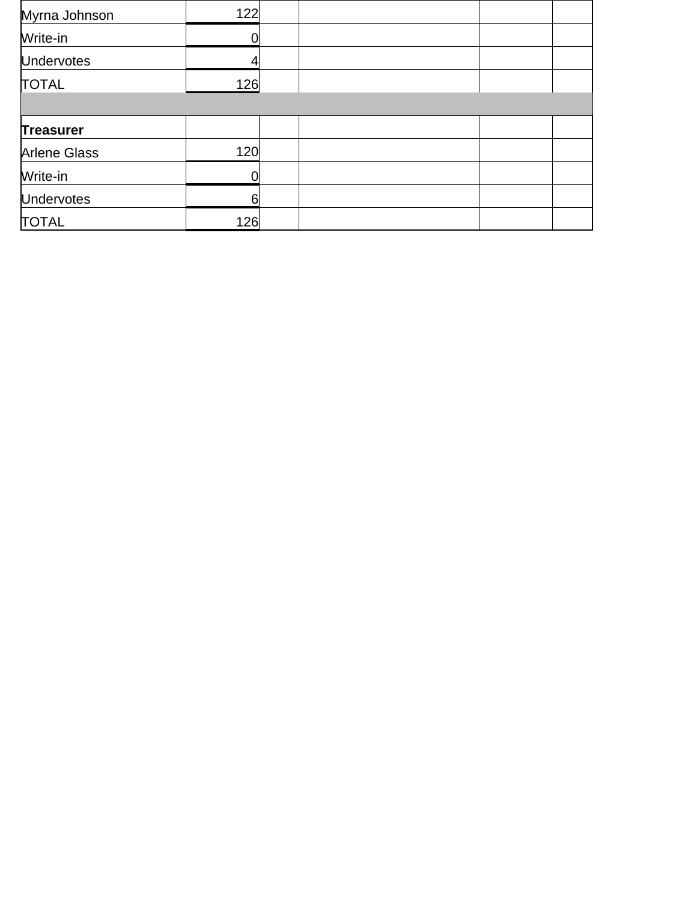| Myrna Johnson       | 122 |  |
|---------------------|-----|--|
| Write-in            |     |  |
| <b>Undervotes</b>   |     |  |
| <b>TOTAL</b>        | 126 |  |
|                     |     |  |
| <b>Treasurer</b>    |     |  |
| <b>Arlene Glass</b> | 120 |  |
| Write-in            | 0   |  |
| <b>Undervotes</b>   | 6   |  |
| <b>TOTAL</b>        | 126 |  |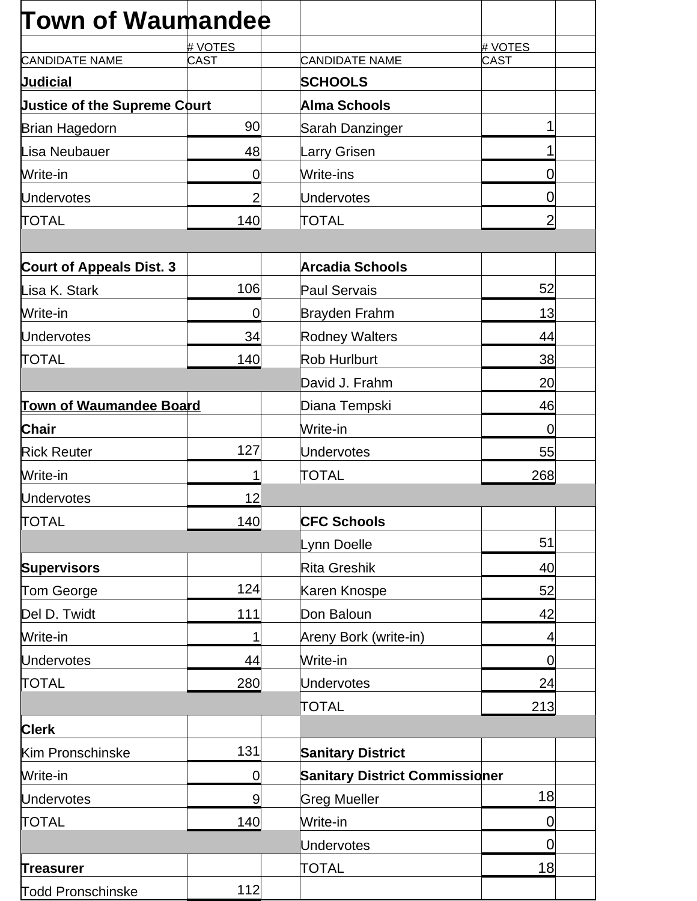| <b>Town of Waumandee</b>            |                |                                       |                |
|-------------------------------------|----------------|---------------------------------------|----------------|
|                                     | # VOTES        |                                       | # VOTES        |
| <b>CANDIDATE NAME</b>               | <b>CAST</b>    | CANDIDATE NAME                        | <b>CAST</b>    |
| <b>Judicial</b>                     |                | <b>SCHOOLS</b>                        |                |
| <b>Justice of the Supreme Court</b> |                | Alma Schools                          |                |
| <b>Brian Hagedorn</b>               | 90             | Sarah Danzinger                       | 1              |
| Lisa Neubauer                       | 48             | Larry Grisen                          | 1              |
| Write-in                            | $\mathbf 0$    | Write-ins                             | 0              |
| <b>Undervotes</b>                   | $\overline{2}$ | Undervotes                            | $\overline{0}$ |
| <b>TOTAL</b>                        | 140            | <b>TOTAL</b>                          | $\overline{2}$ |
|                                     |                |                                       |                |
| <b>Court of Appeals Dist. 3</b>     |                | <b>Arcadia Schools</b>                |                |
| Lisa K. Stark                       | 106            | Paul Servais                          | 52             |
| Write-in                            | $\overline{0}$ | Brayden Frahm                         | 13             |
| <b>Undervotes</b>                   | 34             | <b>Rodney Walters</b>                 | 44             |
| <b>TOTAL</b>                        | 140            | Rob Hurlburt                          | 38             |
|                                     |                | David J. Frahm                        | 20             |
| <b>Town of Waumandee Board</b>      |                | Diana Tempski                         | 46             |
| <b>Chair</b>                        |                | Write-in                              | $\Omega$       |
| <b>Rick Reuter</b>                  | 127            | Undervotes                            | 55             |
| Write-in                            | 1              | <b>TOTAL</b>                          | 268            |
| <b>Undervotes</b>                   | 12             |                                       |                |
| <b>TOTAL</b>                        | 140            | <b>CFC Schools</b>                    |                |
|                                     |                | Lynn Doelle                           | 51             |
| <b>Supervisors</b>                  |                | Rita Greshik                          | 40             |
| Tom George                          | 124            | Karen Knospe                          | 52             |
| Del D. Twidt                        | 111            | Don Baloun                            | 42             |
| Write-in                            | 1              | Areny Bork (write-in)                 | 4              |
| <b>Undervotes</b>                   | 44             | Write-in                              | $\overline{0}$ |
| <b>TOTAL</b>                        | 280            | Undervotes                            | 24             |
|                                     |                | TOTAL                                 | 213            |
| <b>Clerk</b>                        |                |                                       |                |
| Kim Pronschinske                    | 131            | <b>Sanitary District</b>              |                |
| Write-in                            | $\mathbf 0$    | <b>Sanitary District Commissioner</b> |                |
| <b>Undervotes</b>                   | 9              | <b>Greg Mueller</b>                   | 18             |
| <b>TOTAL</b>                        | 140            | Write-in                              | 0              |
|                                     |                | <b>Undervotes</b>                     | $\overline{0}$ |
| <b>Treasurer</b>                    |                | <b>TOTAL</b>                          | 18             |
| <b>Todd Pronschinske</b>            | 112            |                                       |                |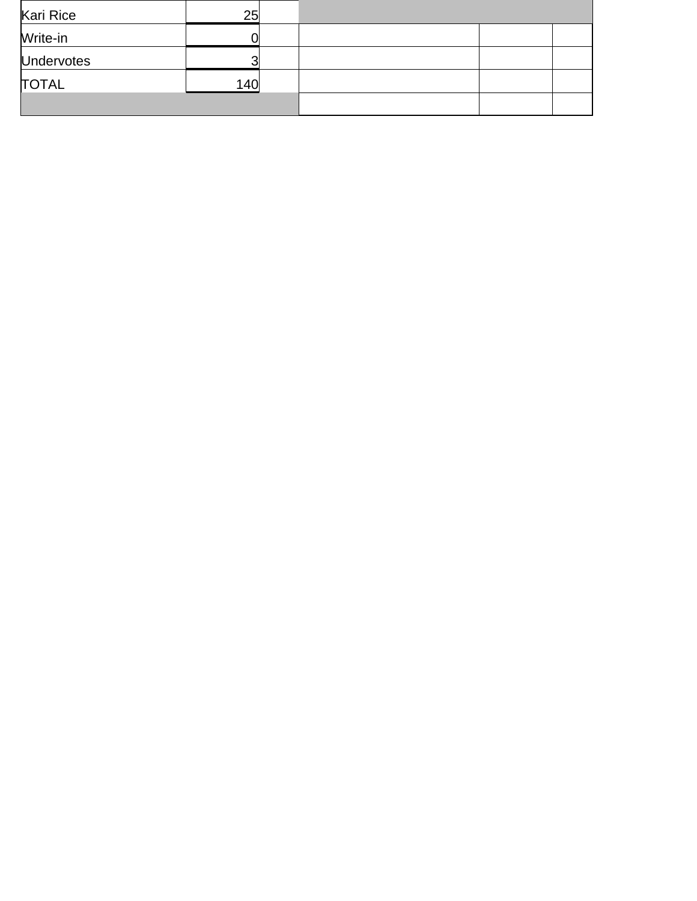| Kari Rice         | 25  |  |  |
|-------------------|-----|--|--|
| Write-in          |     |  |  |
| <b>Undervotes</b> | ◠   |  |  |
| <b>TOTAL</b>      | 140 |  |  |
|                   |     |  |  |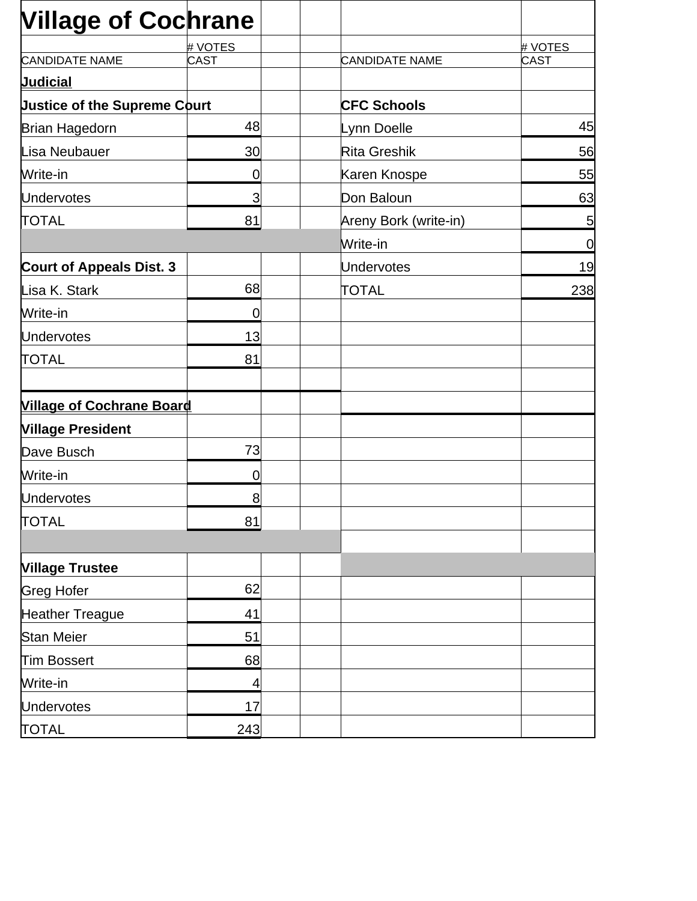| <b>Village of Cochrane</b>          |             |                       |             |
|-------------------------------------|-------------|-----------------------|-------------|
|                                     | # VOTES     |                       | # VOTES     |
| <b>CANDIDATE NAME</b>               | <b>CAST</b> | <b>CANDIDATE NAME</b> | <b>CAST</b> |
| <b>Judicial</b>                     |             |                       |             |
| <b>Justice of the Supreme Court</b> |             | <b>CFC Schools</b>    |             |
| <b>Brian Hagedorn</b>               | 48          | Lynn Doelle           | 45          |
| Lisa Neubauer                       | 30          | Rita Greshik          | 56          |
| Write-in                            | $\mathbf 0$ | Karen Knospe          | 55          |
| <b>Undervotes</b>                   | 3           | Don Baloun            | 63          |
| <b>TOTAL</b>                        | 81          | Areny Bork (write-in) | 5           |
|                                     |             | Write-in              | $\mathbf 0$ |
| <b>Court of Appeals Dist. 3</b>     |             | Undervotes            | 19          |
| Lisa K. Stark                       | 68          | <b>TOTAL</b>          | 238         |
| Write-in                            | 0           |                       |             |
| <b>Undervotes</b>                   | 13          |                       |             |
| <b>TOTAL</b>                        | 81          |                       |             |
| <b>Village of Cochrane Board</b>    |             |                       |             |
| <b>Village President</b>            |             |                       |             |
| Dave Busch                          | 73          |                       |             |
| Write-in                            | 0           |                       |             |
| <b>Undervotes</b>                   | 8           |                       |             |
| <b>TOTAL</b>                        | 81          |                       |             |
|                                     |             |                       |             |
| <b>Village Trustee</b>              |             |                       |             |
| <b>Greg Hofer</b>                   | 62          |                       |             |
| <b>Heather Treague</b>              | 41          |                       |             |
| Stan Meier                          | 51          |                       |             |
| Tim Bossert                         | 68          |                       |             |
| Write-in                            | 4           |                       |             |
| <b>Undervotes</b>                   | 17          |                       |             |
| <b>TOTAL</b>                        | 243         |                       |             |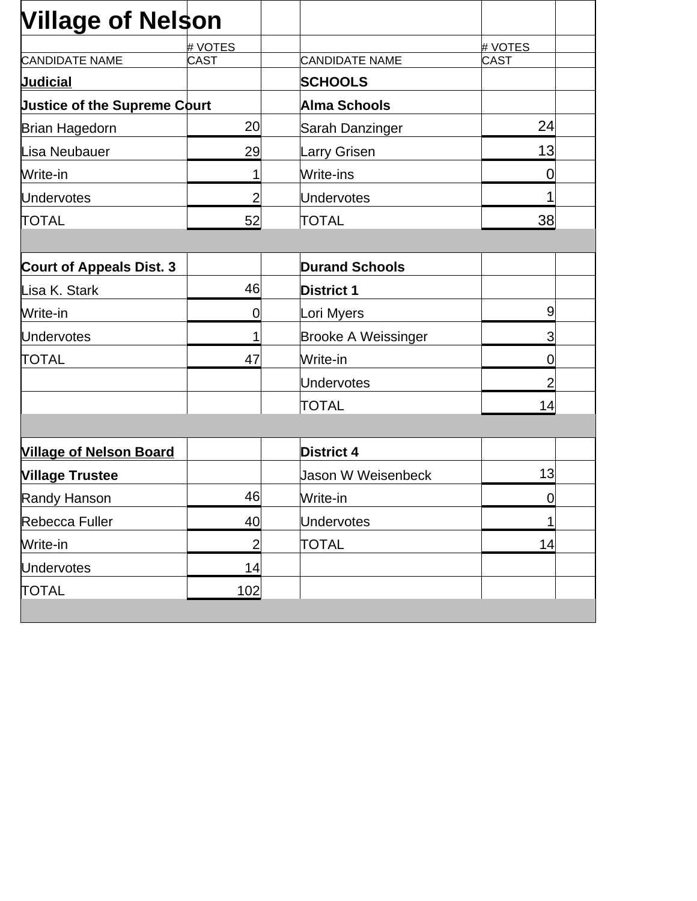| <b>Village of Nelson</b>            |                |                            |                |  |
|-------------------------------------|----------------|----------------------------|----------------|--|
|                                     | # VOTES        |                            | # VOTES        |  |
| <b>CANDIDATE NAME</b>               | <b>CAST</b>    | <b>CANDIDATE NAME</b>      | <b>CAST</b>    |  |
| <b>Judicial</b>                     |                | <b>SCHOOLS</b>             |                |  |
| <b>Justice of the Supreme Court</b> |                | Alma Schools               |                |  |
| <b>Brian Hagedorn</b>               | 20             | Sarah Danzinger            | 24             |  |
| Lisa Neubauer                       | 29             | Larry Grisen               | 13             |  |
| Write-in                            | 1              | Write-ins                  | 0              |  |
| <b>Undervotes</b>                   | $\overline{2}$ | Undervotes                 | 1              |  |
| <b>TOTAL</b>                        | 52             | <b>TOTAL</b>               | 38             |  |
|                                     |                |                            |                |  |
| <b>Court of Appeals Dist. 3</b>     |                | <b>Durand Schools</b>      |                |  |
| Lisa K. Stark                       | 46             | <b>District 1</b>          |                |  |
| Write-in                            | $\overline{0}$ | Lori Myers                 | $\overline{9}$ |  |
| <b>Undervotes</b>                   | 1              | <b>Brooke A Weissinger</b> | 3              |  |
| <b>TOTAL</b>                        | 47             | Write-in                   | 0              |  |
|                                     |                | Undervotes                 | $\overline{2}$ |  |
|                                     |                | TOTAL                      | 14             |  |
|                                     |                |                            |                |  |
| <b>Village of Nelson Board</b>      |                | <b>District 4</b>          |                |  |
| <b>Village Trustee</b>              |                | Jason W Weisenbeck         | 13             |  |
| Randy Hanson                        | 46             | Write-in                   | 0              |  |
| Rebecca Fuller                      | 40             | Undervotes                 | 1              |  |
| Write-in                            | $\overline{2}$ | <b>TOTAL</b>               | 14             |  |
| <b>Undervotes</b>                   | 14             |                            |                |  |
| <b>TOTAL</b>                        | 102            |                            |                |  |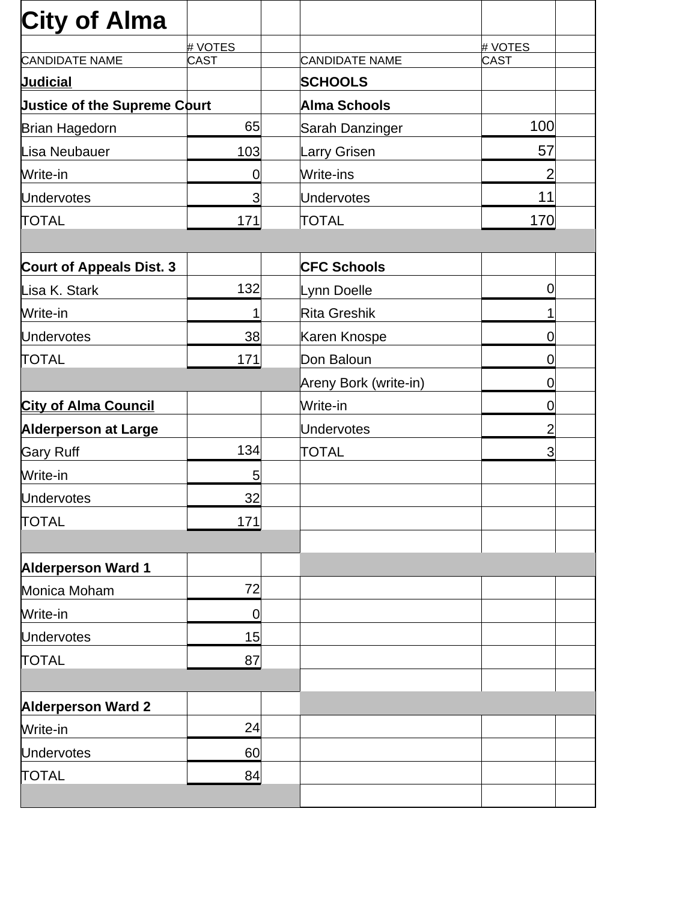| <b>City of Alma</b>                 |             |                       |                |
|-------------------------------------|-------------|-----------------------|----------------|
|                                     | # VOTES     |                       | # VOTES        |
| <b>CANDIDATE NAME</b>               | <b>CAST</b> | <b>CANDIDATE NAME</b> | CAST           |
| <b>Judicial</b>                     |             | <b>SCHOOLS</b>        |                |
| <b>Justice of the Supreme Court</b> |             | Alma Schools          |                |
| Brian Hagedorn                      | 65          | Sarah Danzinger       | 100            |
| Lisa Neubauer                       | 103         | Larry Grisen          | 57             |
| Write-in                            | 0           | Write-ins             | 2              |
| <b>Undervotes</b>                   | 3           | Undervotes            | 11             |
| <b>TOTAL</b>                        | 171         | <b>TOTAL</b>          | 170            |
|                                     |             |                       |                |
| <b>Court of Appeals Dist. 3</b>     |             | <b>CFC Schools</b>    |                |
| Lisa K. Stark                       | 132         | Lynn Doelle           | 0              |
| Write-in                            | 1           | Rita Greshik          | 1              |
| <b>Undervotes</b>                   | 38          | Karen Knospe          | 0              |
| <b>TOTAL</b>                        | 171         | Don Baloun            | 0              |
|                                     |             | Areny Bork (write-in) | 0              |
| <b>City of Alma Council</b>         |             | Write-in              | 0              |
| <b>Alderperson at Large</b>         |             | Undervotes            | $\overline{2}$ |
| <b>Gary Ruff</b>                    | 134         | <b>TOTAL</b>          | 3              |
| Write-in                            | 5           |                       |                |
| <b>Undervotes</b>                   | 32          |                       |                |
| <b>TOTAL</b>                        | 171         |                       |                |
|                                     |             |                       |                |
| <b>Alderperson Ward 1</b>           |             |                       |                |
| Monica Moham                        | 72          |                       |                |
| Write-in                            | $\mathbf 0$ |                       |                |
| <b>Undervotes</b>                   | 15          |                       |                |
| <b>TOTAL</b>                        | 87          |                       |                |
|                                     |             |                       |                |
| <b>Alderperson Ward 2</b>           |             |                       |                |
| Write-in                            | 24          |                       |                |
| <b>Undervotes</b>                   | 60          |                       |                |
| <b>TOTAL</b>                        | 84          |                       |                |
|                                     |             |                       |                |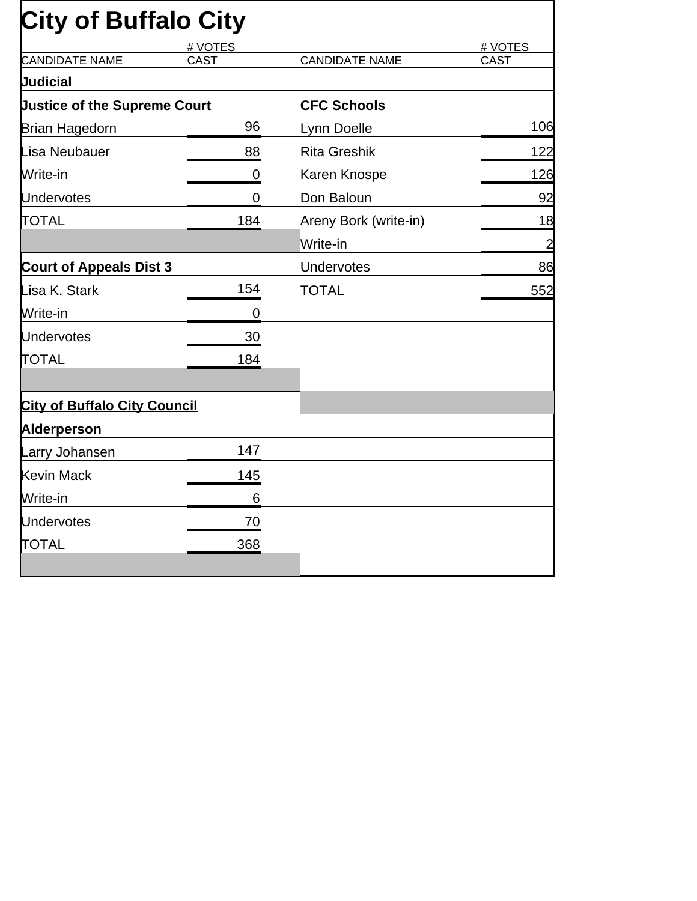| <b>City of Buffalo City</b>         |                |                       |                |
|-------------------------------------|----------------|-----------------------|----------------|
|                                     | # VOTES        |                       | # VOTES        |
| <b>CANDIDATE NAME</b>               | <b>CAST</b>    | <b>CANDIDATE NAME</b> | CAST           |
| <b>Judicial</b>                     |                |                       |                |
| <b>Justice of the Supreme Court</b> |                | <b>CFC Schools</b>    |                |
| Brian Hagedorn                      | 96             | Lynn Doelle           | 106            |
| Lisa Neubauer                       | 88             | Rita Greshik          | 122            |
| Write-in                            | $\overline{0}$ | Karen Knospe          | 126            |
| <b>Undervotes</b>                   | $\overline{0}$ | Don Baloun            | 92             |
| <b>TOTAL</b>                        | 184            | Areny Bork (write-in) | 18             |
|                                     |                | Write-in              | $\overline{2}$ |
| <b>Court of Appeals Dist 3</b>      |                | <b>Undervotes</b>     | 86             |
| Lisa K. Stark                       | 154            | <b>TOTAL</b>          | 552            |
| Write-in                            | $\overline{0}$ |                       |                |
| <b>Undervotes</b>                   | 30             |                       |                |
| <b>TOTAL</b>                        | 184            |                       |                |
|                                     |                |                       |                |
| <b>City of Buffalo City Council</b> |                |                       |                |
| Alderperson                         |                |                       |                |
| Larry Johansen                      | 147            |                       |                |
| <b>Kevin Mack</b>                   | 145            |                       |                |
| Write-in                            | 6              |                       |                |
| <b>Undervotes</b>                   | 70             |                       |                |
| <b>TOTAL</b>                        | 368            |                       |                |
|                                     |                |                       |                |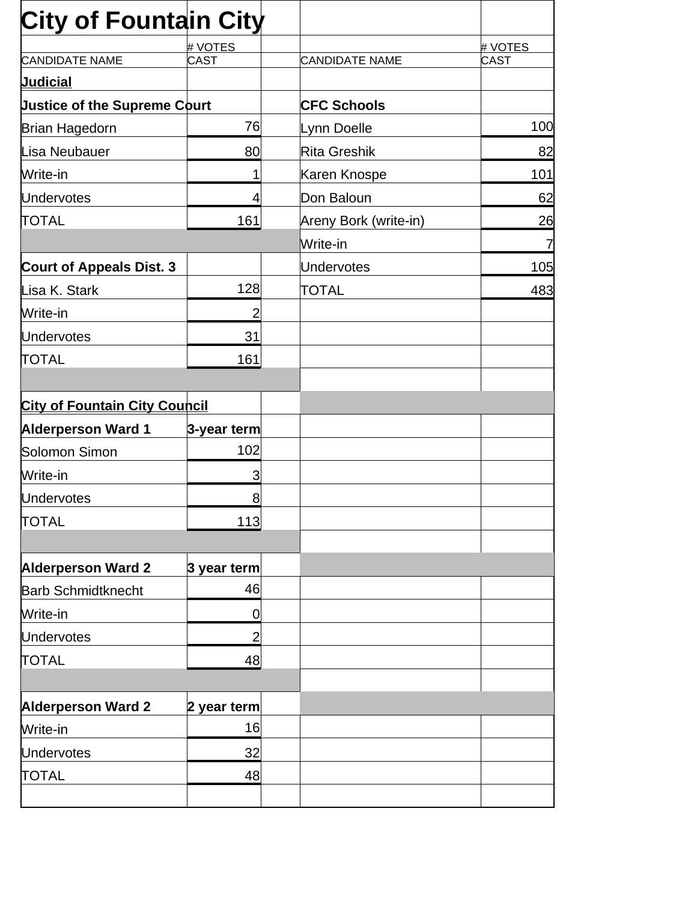| <b>City of Fountain City</b>         |                |                       |                       |             |
|--------------------------------------|----------------|-----------------------|-----------------------|-------------|
|                                      | # VOTES        |                       |                       | # VOTES     |
| <b>CANDIDATE NAME</b>                | <b>CAST</b>    | <b>CANDIDATE NAME</b> |                       | <b>CAST</b> |
| <b>Judicial</b>                      |                |                       |                       |             |
| <b>Justice of the Supreme Court</b>  |                | <b>CFC Schools</b>    |                       |             |
| <b>Brian Hagedorn</b>                | 76             | Lynn Doelle           |                       | 100         |
| Lisa Neubauer                        | 80             | Rita Greshik          |                       | 82          |
| Write-in                             | 1              | Karen Knospe          |                       | 101         |
| <b>Undervotes</b>                    | 4              | Don Baloun            |                       | 62          |
| <b>TOTAL</b>                         | 161            |                       | Areny Bork (write-in) | 26          |
|                                      |                | Write-in              |                       | 7           |
| <b>Court of Appeals Dist. 3</b>      |                | Undervotes            |                       | 105         |
| Lisa K. Stark                        | 128            | <b>TOTAL</b>          |                       | 483         |
| Write-in                             | $\overline{2}$ |                       |                       |             |
| <b>Undervotes</b>                    | 31             |                       |                       |             |
| <b>TOTAL</b>                         | 161            |                       |                       |             |
|                                      |                |                       |                       |             |
| <b>City of Fountain City Council</b> |                |                       |                       |             |
| <b>Alderperson Ward 1</b>            | 3-year term    |                       |                       |             |
| Solomon Simon                        | 102            |                       |                       |             |
| Write-in                             | 3              |                       |                       |             |
| <b>Undervotes</b>                    | 8              |                       |                       |             |
| <b>TOTAL</b>                         | 113            |                       |                       |             |
|                                      |                |                       |                       |             |
| <b>Alderperson Ward 2</b>            | 3 year term    |                       |                       |             |
| <b>Barb Schmidtknecht</b>            | 46             |                       |                       |             |
| Write-in                             | 0              |                       |                       |             |
| <b>Undervotes</b>                    | 2              |                       |                       |             |
| <b>TOTAL</b>                         | 48             |                       |                       |             |
|                                      |                |                       |                       |             |
| <b>Alderperson Ward 2</b>            | 2 year term    |                       |                       |             |
| Write-in                             | 16             |                       |                       |             |
| <b>Undervotes</b>                    | 32             |                       |                       |             |
| <b>TOTAL</b>                         | 48             |                       |                       |             |
|                                      |                |                       |                       |             |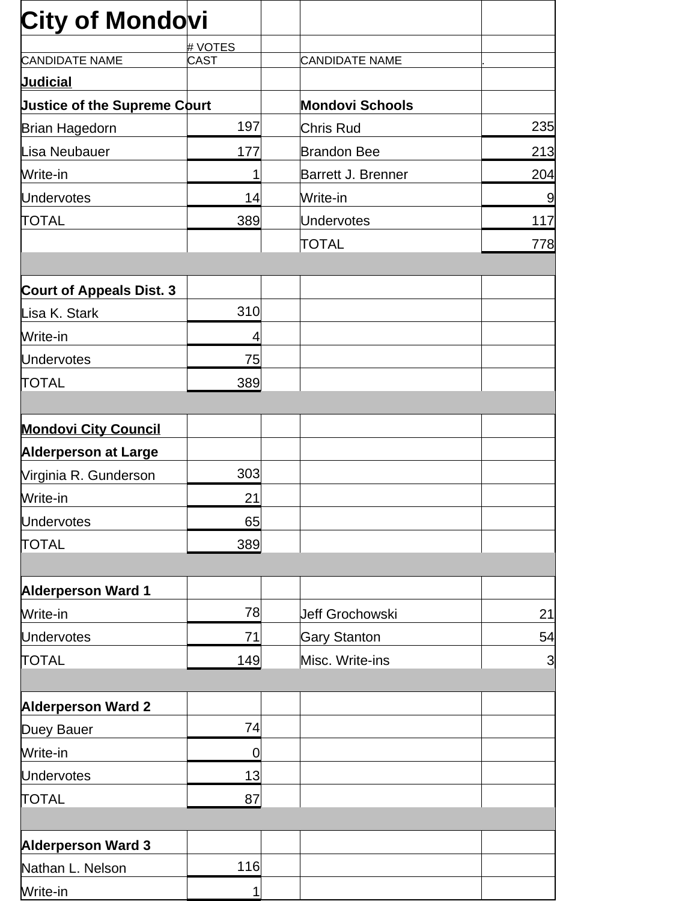| <b>City of Mondovi</b>              |             |                           |                |
|-------------------------------------|-------------|---------------------------|----------------|
|                                     | # VOTES     |                           |                |
| <b>CANDIDATE NAME</b>               | <b>CAST</b> | <b>CANDIDATE NAME</b>     |                |
| <b>Judicial</b>                     |             |                           |                |
| <b>Justice of the Supreme Court</b> |             | <b>Mondovi Schools</b>    |                |
| <b>Brian Hagedorn</b>               | 197         | Chris Rud                 | 235            |
| Lisa Neubauer                       | 177         | <b>Brandon Bee</b>        | 213            |
| Write-in                            | 1           | <b>Barrett J. Brenner</b> | 204            |
| <b>Undervotes</b>                   | 14          | Write-in                  | 9              |
| <b>TOTAL</b>                        | 389         | Undervotes                | 117            |
|                                     |             | TOTAL                     | 778            |
| <b>Court of Appeals Dist. 3</b>     |             |                           |                |
| Lisa K. Stark                       | 310         |                           |                |
| Write-in                            | 4           |                           |                |
| <b>Undervotes</b>                   | 75          |                           |                |
| <b>TOTAL</b>                        | 389         |                           |                |
|                                     |             |                           |                |
| <b>Mondovi City Council</b>         |             |                           |                |
| <b>Alderperson at Large</b>         |             |                           |                |
| Virginia R. Gunderson               | 303         |                           |                |
| Write-in                            | 21          |                           |                |
| <b>Undervotes</b>                   | 65          |                           |                |
| <b>TOTAL</b>                        | 389         |                           |                |
|                                     |             |                           |                |
| <b>Alderperson Ward 1</b>           |             |                           |                |
| Write-in                            | 78          | Jeff Grochowski           | 21             |
| <b>Undervotes</b>                   | 71          | <b>Gary Stanton</b>       | 54             |
| <b>TOTAL</b>                        | 149         | Misc. Write-ins           | $\overline{3}$ |
|                                     |             |                           |                |
| <b>Alderperson Ward 2</b>           |             |                           |                |
| Duey Bauer                          | 74          |                           |                |
| Write-in                            | 0           |                           |                |
| <b>Undervotes</b>                   | 13          |                           |                |
| <b>TOTAL</b>                        | 87          |                           |                |
| <b>Alderperson Ward 3</b>           |             |                           |                |
| Nathan L. Nelson                    | 116         |                           |                |
| Write-in                            | 1           |                           |                |